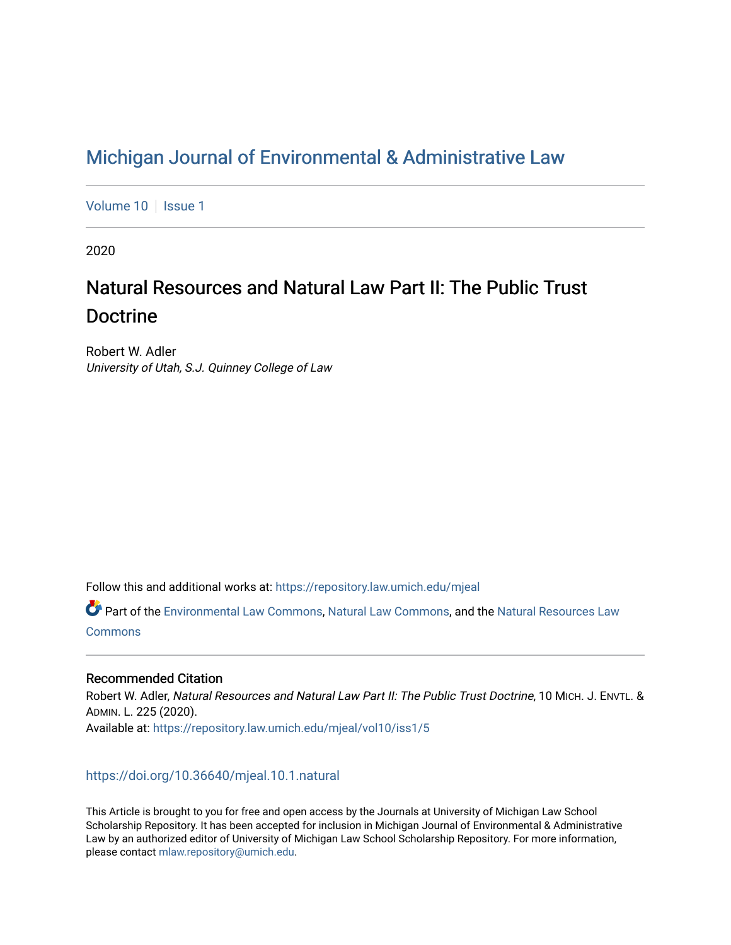## [Michigan Journal of Environmental & Administrative Law](https://repository.law.umich.edu/mjeal)

[Volume 10](https://repository.law.umich.edu/mjeal/vol10) | [Issue 1](https://repository.law.umich.edu/mjeal/vol10/iss1)

2020

# Natural Resources and Natural Law Part II: The Public Trust Doctrine

Robert W. Adler University of Utah, S.J. Quinney College of Law

Follow this and additional works at: [https://repository.law.umich.edu/mjeal](https://repository.law.umich.edu/mjeal?utm_source=repository.law.umich.edu%2Fmjeal%2Fvol10%2Fiss1%2F5&utm_medium=PDF&utm_campaign=PDFCoverPages)

Part of the [Environmental Law Commons](http://network.bepress.com/hgg/discipline/599?utm_source=repository.law.umich.edu%2Fmjeal%2Fvol10%2Fiss1%2F5&utm_medium=PDF&utm_campaign=PDFCoverPages), [Natural Law Commons,](http://network.bepress.com/hgg/discipline/1263?utm_source=repository.law.umich.edu%2Fmjeal%2Fvol10%2Fiss1%2F5&utm_medium=PDF&utm_campaign=PDFCoverPages) and the [Natural Resources Law](http://network.bepress.com/hgg/discipline/863?utm_source=repository.law.umich.edu%2Fmjeal%2Fvol10%2Fiss1%2F5&utm_medium=PDF&utm_campaign=PDFCoverPages) **[Commons](http://network.bepress.com/hgg/discipline/863?utm_source=repository.law.umich.edu%2Fmjeal%2Fvol10%2Fiss1%2F5&utm_medium=PDF&utm_campaign=PDFCoverPages)** 

### Recommended Citation

Robert W. Adler, Natural Resources and Natural Law Part II: The Public Trust Doctrine, 10 MICH. J. ENVTL. & ADMIN. L. 225 (2020). Available at: [https://repository.law.umich.edu/mjeal/vol10/iss1/5](https://repository.law.umich.edu/mjeal/vol10/iss1/5?utm_source=repository.law.umich.edu%2Fmjeal%2Fvol10%2Fiss1%2F5&utm_medium=PDF&utm_campaign=PDFCoverPages)

## <https://doi.org/10.36640/mjeal.10.1.natural>

This Article is brought to you for free and open access by the Journals at University of Michigan Law School Scholarship Repository. It has been accepted for inclusion in Michigan Journal of Environmental & Administrative Law by an authorized editor of University of Michigan Law School Scholarship Repository. For more information, please contact [mlaw.repository@umich.edu.](mailto:mlaw.repository@umich.edu)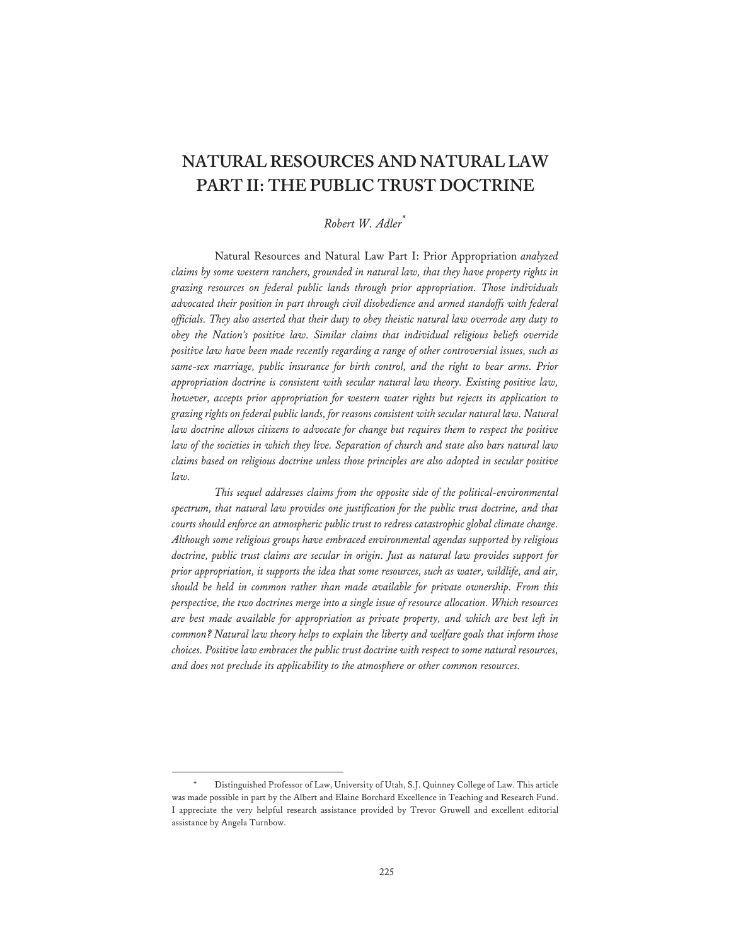## **NATURAL RESOURCES AND NATURAL LAW PART II: THE PUBLIC TRUST DOCTRINE**

## *Robert W. Adler*\*

Natural Resources and Natural Law Part I: Prior Appropriation *analyzed claims by some western ranchers, grounded in natural law, that they have property rights in grazing resources on federal public lands through prior appropriation. Those individuals advocated their position in part through civil disobedience and armed standoffs with federal officials. They also asserted that their duty to obey theistic natural law overrode any duty to obey the Nation's positive law. Similar claims that individual religious beliefs override positive law have been made recently regarding a range of other controversial issues, such as same-sex marriage, public insurance for birth control, and the right to bear arms. Prior appropriation doctrine is consistent with secular natural law theory. Existing positive law, however, accepts prior appropriation for western water rights but rejects its application to grazing rights on federal public lands, for reasons consistent with secular natural law. Natural law doctrine allows citizens to advocate for change but requires them to respect the positive law of the societies in which they live. Separation of church and state also bars natural law claims based on religious doctrine unless those principles are also adopted in secular positive law.* 

*This sequel addresses claims from the opposite side of the political-environmental spectrum, that natural law provides one justification for the public trust doctrine, and that courts should enforce an atmospheric public trust to redress catastrophic global climate change. Although some religious groups have embraced environmental agendas supported by religious doctrine, public trust claims are secular in origin. Just as natural law provides support for prior appropriation, it supports the idea that some resources, such as water, wildlife, and air, should be held in common rather than made available for private ownership. From this perspective, the two doctrines merge into a single issue of resource allocation. Which resources are best made available for appropriation as private property, and which are best left in common? Natural law theory helps to explain the liberty and welfare goals that inform those choices. Positive law embraces the public trust doctrine with respect to some natural resources, and does not preclude its applicability to the atmosphere or other common resources.* 

<sup>\*</sup> Distinguished Professor of Law, University of Utah, S.J. Quinney College of Law. This article was made possible in part by the Albert and Elaine Borchard Excellence in Teaching and Research Fund. I appreciate the very helpful research assistance provided by Trevor Gruwell and excellent editorial assistance by Angela Turnbow.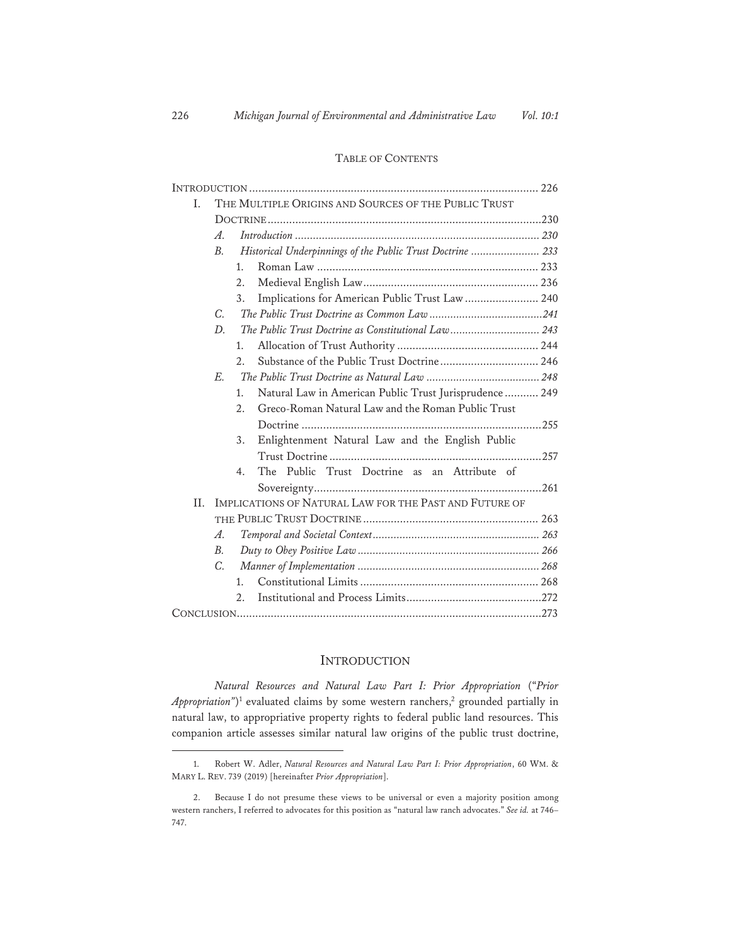#### TABLE OF CONTENTS

| I.  | THE MULTIPLE ORIGINS AND SOURCES OF THE PUBLIC TRUST   |                                                            |                                                        |  |
|-----|--------------------------------------------------------|------------------------------------------------------------|--------------------------------------------------------|--|
|     |                                                        |                                                            |                                                        |  |
|     | A.                                                     |                                                            |                                                        |  |
|     | <i>B.</i>                                              | Historical Underpinnings of the Public Trust Doctrine  233 |                                                        |  |
|     |                                                        | $1_{-}$                                                    |                                                        |  |
|     |                                                        | 2.                                                         |                                                        |  |
|     |                                                        | 3.                                                         | Implications for American Public Trust Law  240        |  |
|     | C.                                                     |                                                            |                                                        |  |
|     | D.                                                     |                                                            | The Public Trust Doctrine as Constitutional Law 243    |  |
|     |                                                        | 1.                                                         |                                                        |  |
|     |                                                        | 2.                                                         | Substance of the Public Trust Doctrine 246             |  |
|     | $E_{\cdot}$                                            |                                                            |                                                        |  |
|     |                                                        | 1.                                                         | Natural Law in American Public Trust Jurisprudence 249 |  |
|     |                                                        | 2.                                                         | Greco-Roman Natural Law and the Roman Public Trust     |  |
|     |                                                        |                                                            |                                                        |  |
|     |                                                        | 3.                                                         | Enlightenment Natural Law and the English Public       |  |
|     |                                                        |                                                            |                                                        |  |
|     |                                                        | $4_{\cdot}$                                                | The Public Trust Doctrine as an Attribute of           |  |
|     |                                                        |                                                            |                                                        |  |
| II. | IMPLICATIONS OF NATURAL LAW FOR THE PAST AND FUTURE OF |                                                            |                                                        |  |
|     |                                                        |                                                            |                                                        |  |
|     | A.                                                     |                                                            |                                                        |  |
|     | <i>B.</i>                                              |                                                            |                                                        |  |
|     | C.                                                     |                                                            |                                                        |  |
|     |                                                        | $1_{-}$                                                    |                                                        |  |
|     |                                                        | 2.                                                         |                                                        |  |
|     |                                                        |                                                            |                                                        |  |

#### **INTRODUCTION**

*Natural Resources and Natural Law Part I: Prior Appropriation* ("*Prior Appropriation*")<sup>1</sup> evaluated claims by some western ranchers,<sup>2</sup> grounded partially in natural law, to appropriative property rights to federal public land resources. This companion article assesses similar natural law origins of the public trust doctrine,

<sup>1.</sup> Robert W. Adler, *Natural Resources and Natural Law Part I: Prior Appropriation*, 60 WM. & MARY L. REV. 739 (2019) [hereinafter *Prior Appropriation*].

<sup>2.</sup> Because I do not presume these views to be universal or even a majority position among western ranchers, I referred to advocates for this position as "natural law ranch advocates." *See id.* at 746– 747.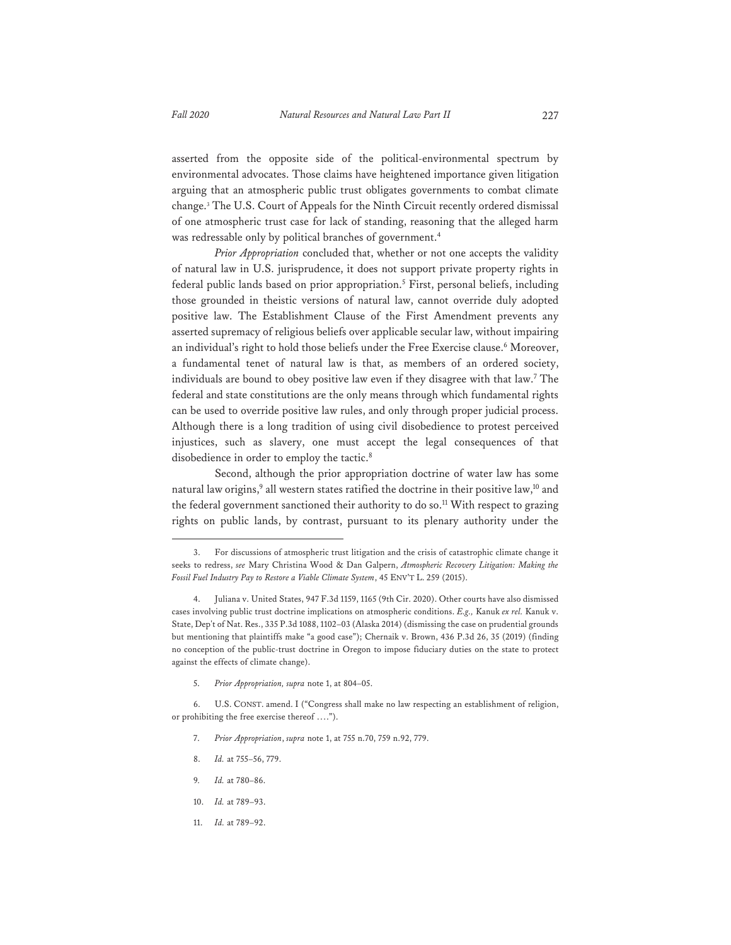asserted from the opposite side of the political-environmental spectrum by environmental advocates. Those claims have heightened importance given litigation arguing that an atmospheric public trust obligates governments to combat climate change.3 The U.S. Court of Appeals for the Ninth Circuit recently ordered dismissal of one atmospheric trust case for lack of standing, reasoning that the alleged harm was redressable only by political branches of government.<sup>4</sup>

*Prior Appropriation* concluded that, whether or not one accepts the validity of natural law in U.S. jurisprudence, it does not support private property rights in federal public lands based on prior appropriation.<sup>5</sup> First, personal beliefs, including those grounded in theistic versions of natural law, cannot override duly adopted positive law. The Establishment Clause of the First Amendment prevents any asserted supremacy of religious beliefs over applicable secular law, without impairing an individual's right to hold those beliefs under the Free Exercise clause.<sup>6</sup> Moreover, a fundamental tenet of natural law is that, as members of an ordered society, individuals are bound to obey positive law even if they disagree with that law.<sup>7</sup> The federal and state constitutions are the only means through which fundamental rights can be used to override positive law rules, and only through proper judicial process. Although there is a long tradition of using civil disobedience to protest perceived injustices, such as slavery, one must accept the legal consequences of that disobedience in order to employ the tactic.<sup>8</sup>

Second, although the prior appropriation doctrine of water law has some natural law origins,<sup>9</sup> all western states ratified the doctrine in their positive law,<sup>10</sup> and the federal government sanctioned their authority to do so.<sup>11</sup> With respect to grazing rights on public lands, by contrast, pursuant to its plenary authority under the

5. *Prior Appropriation, supra* note 1, at 804–05.

- 7. *Prior Appropriation*, *supra* note 1, at 755 n.70, 759 n.92, 779.
- 8. *Id.* at 755–56, 779.
- 9*. Id.* at 780–86.
- 10. *Id.* at 789–93.
- 11. *Id.* at 789–92.

<sup>3.</sup> For discussions of atmospheric trust litigation and the crisis of catastrophic climate change it seeks to redress, *see* Mary Christina Wood & Dan Galpern, *Atmospheric Recovery Litigation: Making the Fossil Fuel Industry Pay to Restore a Viable Climate System*, 45 ENV'T L. 259 (2015).

<sup>4.</sup> Juliana v. United States, 947 F.3d 1159, 1165 (9th Cir. 2020). Other courts have also dismissed cases involving public trust doctrine implications on atmospheric conditions. *E.g.,* Kanuk *ex rel.* Kanuk v. State, Dep't of Nat. Res., 335 P.3d 1088, 1102–03 (Alaska 2014) (dismissing the case on prudential grounds but mentioning that plaintiffs make "a good case"); Chernaik v. Brown, 436 P.3d 26, 35 (2019) (finding no conception of the public-trust doctrine in Oregon to impose fiduciary duties on the state to protect against the effects of climate change).

<sup>6.</sup> U.S. CONST. amend. I ("Congress shall make no law respecting an establishment of religion, or prohibiting the free exercise thereof ….").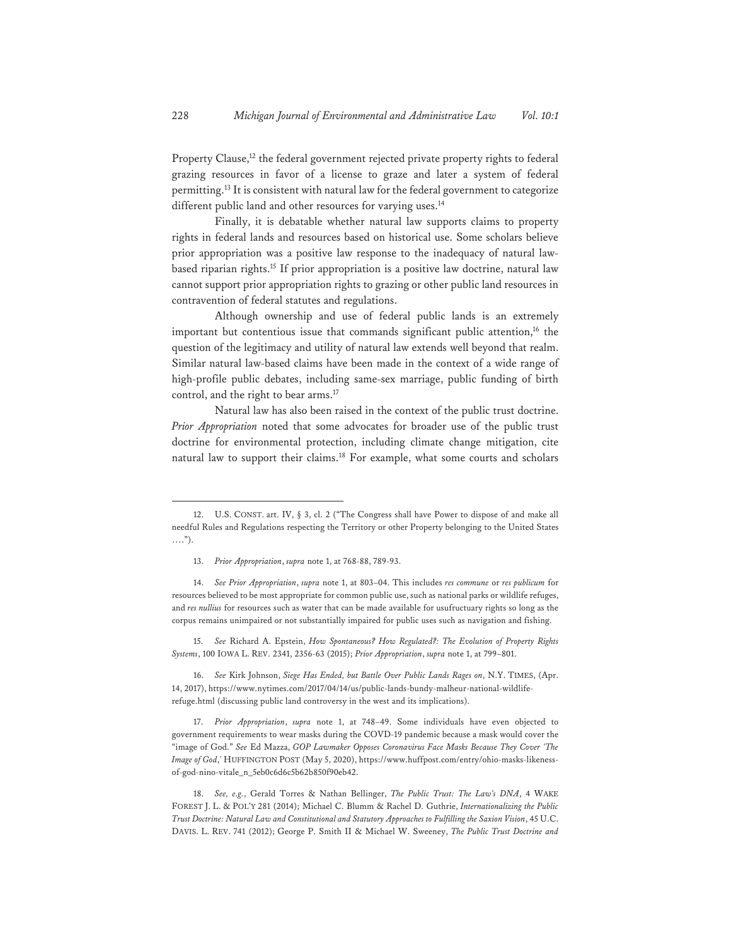Property Clause,<sup>12</sup> the federal government rejected private property rights to federal grazing resources in favor of a license to graze and later a system of federal permitting.<sup>13</sup> It is consistent with natural law for the federal government to categorize different public land and other resources for varying uses.<sup>14</sup>

Finally, it is debatable whether natural law supports claims to property rights in federal lands and resources based on historical use. Some scholars believe prior appropriation was a positive law response to the inadequacy of natural lawbased riparian rights.15 If prior appropriation is a positive law doctrine, natural law cannot support prior appropriation rights to grazing or other public land resources in contravention of federal statutes and regulations.

Although ownership and use of federal public lands is an extremely important but contentious issue that commands significant public attention, $16$  the question of the legitimacy and utility of natural law extends well beyond that realm. Similar natural law-based claims have been made in the context of a wide range of high-profile public debates, including same-sex marriage, public funding of birth control, and the right to bear arms.<sup>17</sup>

Natural law has also been raised in the context of the public trust doctrine. *Prior Appropriation* noted that some advocates for broader use of the public trust doctrine for environmental protection, including climate change mitigation, cite natural law to support their claims.<sup>18</sup> For example, what some courts and scholars

14. *See Prior Appropriation*, *supra* note 1, at 803–04. This includes *res commune* or *res publicum* for resources believed to be most appropriate for common public use, such as national parks or wildlife refuges, and *res nullius* for resources such as water that can be made available for usufructuary rights so long as the corpus remains unimpaired or not substantially impaired for public uses such as navigation and fishing.

15. *See* Richard A. Epstein, *How Spontaneous? How Regulated?: The Evolution of Property Rights Systems*, 100 IOWA L. REV. 2341, 2356-63 (2015); *Prior Appropriation*, *supra* note 1, at 799–801.

16. *See* Kirk Johnson, *Siege Has Ended, but Battle Over Public Lands Rages on*, N.Y. TIMES, (Apr. 14, 2017), https://www.nytimes.com/2017/04/14/us/public-lands-bundy-malheur-national-wildliferefuge.html (discussing public land controversy in the west and its implications).

17. *Prior Appropriation*, *supra* note 1, at 748–49. Some individuals have even objected to government requirements to wear masks during the COVD-19 pandemic because a mask would cover the "image of God." *See* Ed Mazza, *GOP Lawmaker Opposes Coronavirus Face Masks Because They Cover 'The Image of God*,*'* HUFFINGTON POST (May 5, 2020), https://www.huffpost.com/entry/ohio-masks-likenessof-god-nino-vitale\_n\_5eb0c6d6c5b62b850f90eb42.

18. *See, e.g.*, Gerald Torres & Nathan Bellinger, *The Public Trust: The Law's DNA*, 4 WAKE FOREST J. L. & POL'Y 281 (2014); Michael C. Blumm & Rachel D. Guthrie, *Internationalizing the Public Trust Doctrine: Natural Law and Constitutional and Statutory Approaches to Fulfilling the Saxion Vision*, 45 U.C. DAVIS. L. REV. 741 (2012); George P. Smith II & Michael W. Sweeney, *The Public Trust Doctrine and* 

<sup>12.</sup> U.S. CONST. art. IV, § 3, cl. 2 ("The Congress shall have Power to dispose of and make all needful Rules and Regulations respecting the Territory or other Property belonging to the United States ….").

<sup>13.</sup> *Prior Appropriation*, *supra* note 1, at 768-88, 789-93.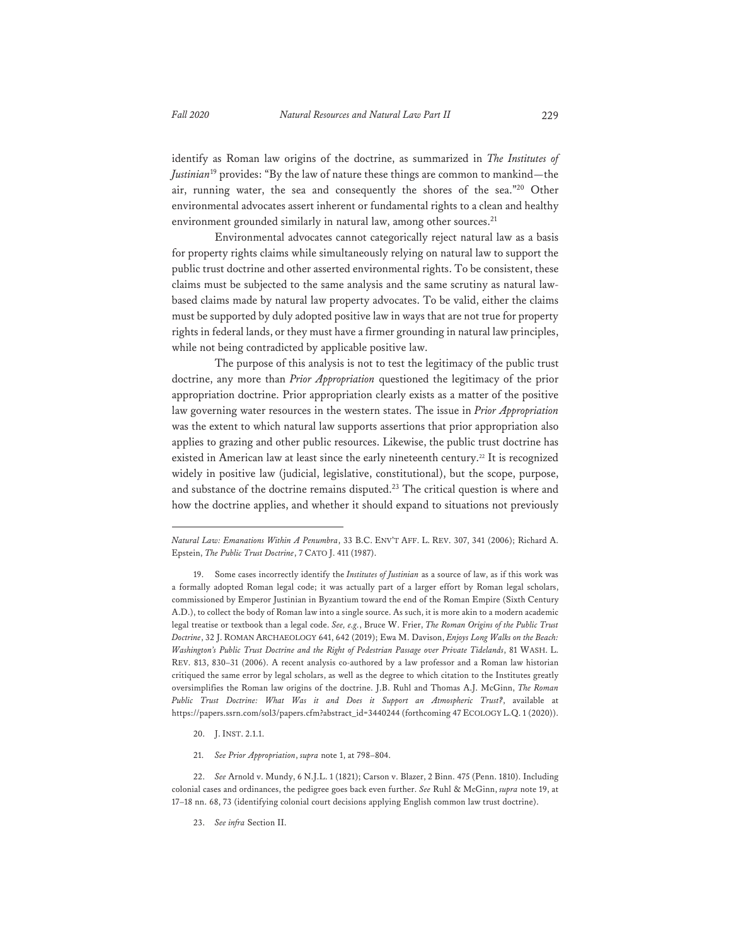identify as Roman law origins of the doctrine, as summarized in *The Institutes of Justinian*19 provides: "By the law of nature these things are common to mankind—the air, running water, the sea and consequently the shores of the sea."20 Other environmental advocates assert inherent or fundamental rights to a clean and healthy environment grounded similarly in natural law, among other sources.<sup>21</sup>

Environmental advocates cannot categorically reject natural law as a basis for property rights claims while simultaneously relying on natural law to support the public trust doctrine and other asserted environmental rights. To be consistent, these claims must be subjected to the same analysis and the same scrutiny as natural lawbased claims made by natural law property advocates. To be valid, either the claims must be supported by duly adopted positive law in ways that are not true for property rights in federal lands, or they must have a firmer grounding in natural law principles, while not being contradicted by applicable positive law.

The purpose of this analysis is not to test the legitimacy of the public trust doctrine, any more than *Prior Appropriation* questioned the legitimacy of the prior appropriation doctrine. Prior appropriation clearly exists as a matter of the positive law governing water resources in the western states. The issue in *Prior Appropriation* was the extent to which natural law supports assertions that prior appropriation also applies to grazing and other public resources. Likewise, the public trust doctrine has existed in American law at least since the early nineteenth century.<sup>22</sup> It is recognized widely in positive law (judicial, legislative, constitutional), but the scope, purpose, and substance of the doctrine remains disputed.23 The critical question is where and how the doctrine applies, and whether it should expand to situations not previously

- 20. J. INST. 2.1.1.
- 21. *See Prior Appropriation*, *supra* note 1, at 798–804.

23. *See infra* Section II.

*Natural Law: Emanations Within A Penumbra*, 33 B.C. ENV'T AFF. L. REV. 307, 341 (2006); Richard A. Epstein, *The Public Trust Doctrine*, 7 CATO J. 411 (1987).

<sup>19.</sup> Some cases incorrectly identify the *Institutes of Justinian* as a source of law, as if this work was a formally adopted Roman legal code; it was actually part of a larger effort by Roman legal scholars, commissioned by Emperor Justinian in Byzantium toward the end of the Roman Empire (Sixth Century A.D.), to collect the body of Roman law into a single source. As such, it is more akin to a modern academic legal treatise or textbook than a legal code. *See, e.g.*, Bruce W. Frier, *The Roman Origins of the Public Trust Doctrine*, 32 J. ROMAN ARCHAEOLOGY 641, 642 (2019); Ewa M. Davison, *Enjoys Long Walks on the Beach: Washington's Public Trust Doctrine and the Right of Pedestrian Passage over Private Tidelands*, 81 WASH. L. REV. 813, 830–31 (2006). A recent analysis co-authored by a law professor and a Roman law historian critiqued the same error by legal scholars, as well as the degree to which citation to the Institutes greatly oversimplifies the Roman law origins of the doctrine. J.B. Ruhl and Thomas A.J. McGinn, *The Roman Public Trust Doctrine: What Was it and Does it Support an Atmospheric Trust?*, available at https://papers.ssrn.com/sol3/papers.cfm?abstract\_id=3440244 (forthcoming 47 ECOLOGY L.Q. 1 (2020)).

<sup>22.</sup> *See* Arnold v. Mundy, 6 N.J.L. 1 (1821); Carson v. Blazer, 2 Binn. 475 (Penn. 1810). Including colonial cases and ordinances, the pedigree goes back even further. *See* Ruhl & McGinn, *supra* note 19, at 17–18 nn. 68, 73 (identifying colonial court decisions applying English common law trust doctrine).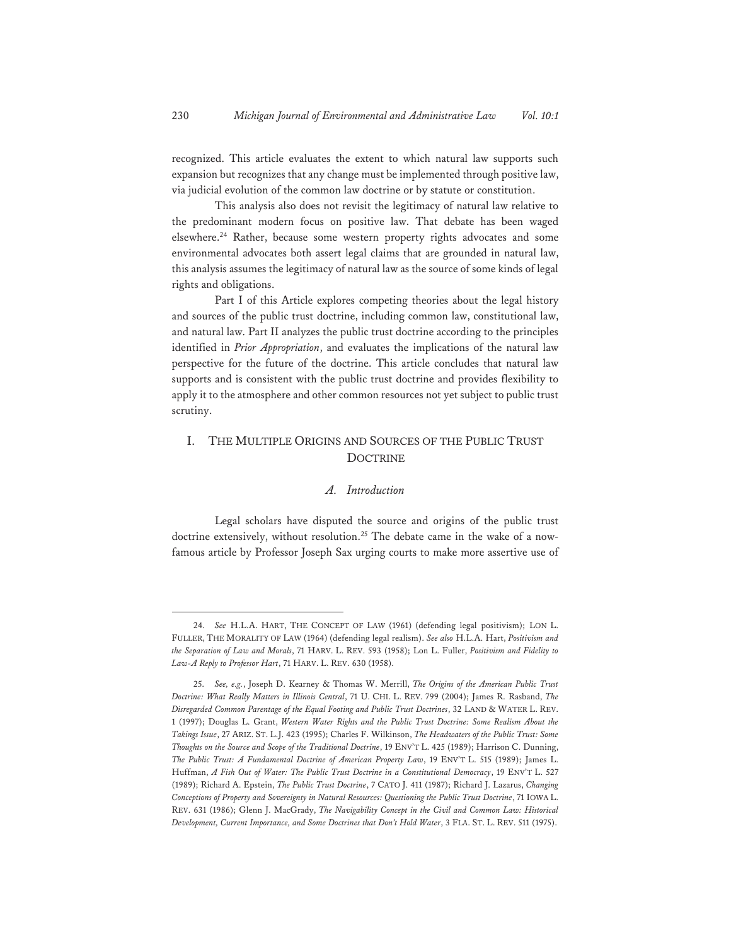recognized. This article evaluates the extent to which natural law supports such expansion but recognizes that any change must be implemented through positive law, via judicial evolution of the common law doctrine or by statute or constitution.

This analysis also does not revisit the legitimacy of natural law relative to the predominant modern focus on positive law. That debate has been waged elsewhere.24 Rather, because some western property rights advocates and some environmental advocates both assert legal claims that are grounded in natural law, this analysis assumes the legitimacy of natural law as the source of some kinds of legal rights and obligations.

Part I of this Article explores competing theories about the legal history and sources of the public trust doctrine, including common law, constitutional law, and natural law. Part II analyzes the public trust doctrine according to the principles identified in *Prior Appropriation*, and evaluates the implications of the natural law perspective for the future of the doctrine. This article concludes that natural law supports and is consistent with the public trust doctrine and provides flexibility to apply it to the atmosphere and other common resources not yet subject to public trust scrutiny.

## I. THE MULTIPLE ORIGINS AND SOURCES OF THE PUBLIC TRUST **DOCTRINE**

#### *A. Introduction*

Legal scholars have disputed the source and origins of the public trust doctrine extensively, without resolution.<sup>25</sup> The debate came in the wake of a nowfamous article by Professor Joseph Sax urging courts to make more assertive use of

<sup>24.</sup> *See* H.L.A. HART, THE CONCEPT OF LAW (1961) (defending legal positivism); LON L. FULLER, THE MORALITY OF LAW (1964) (defending legal realism). *See also* H.L.A. Hart, *Positivism and the Separation of Law and Morals*, 71 HARV. L. REV. 593 (1958); Lon L. Fuller, *Positivism and Fidelity to Law-A Reply to Professor Hart*, 71 HARV. L. REV. 630 (1958).

<sup>25.</sup> *See, e.g.*, Joseph D. Kearney & Thomas W. Merrill, *The Origins of the American Public Trust Doctrine: What Really Matters in Illinois Central*, 71 U. CHI. L. REV. 799 (2004); James R. Rasband, *The Disregarded Common Parentage of the Equal Footing and Public Trust Doctrines*, 32 LAND & WATER L. REV. 1 (1997); Douglas L. Grant, *Western Water Rights and the Public Trust Doctrine: Some Realism About the Takings Issue*, 27 ARIZ. ST. L.J. 423 (1995); Charles F. Wilkinson, *The Headwaters of the Public Trust: Some Thoughts on the Source and Scope of the Traditional Doctrine*, 19 ENV'T L. 425 (1989); Harrison C. Dunning, *The Public Trust: A Fundamental Doctrine of American Property Law*, 19 ENV'T L. 515 (1989); James L. Huffman, *A Fish Out of Water: The Public Trust Doctrine in a Constitutional Democracy*, 19 ENV'T L. 527 (1989); Richard A. Epstein, *The Public Trust Doctrine*, 7 CATO J. 411 (1987); Richard J. Lazarus, *Changing Conceptions of Property and Sovereignty in Natural Resources: Questioning the Public Trust Doctrine*, 71 IOWA L. REV. 631 (1986); Glenn J. MacGrady, *The Navigability Concept in the Civil and Common Law: Historical Development, Current Importance, and Some Doctrines that Don't Hold Water*, 3 FLA. ST. L. REV. 511 (1975).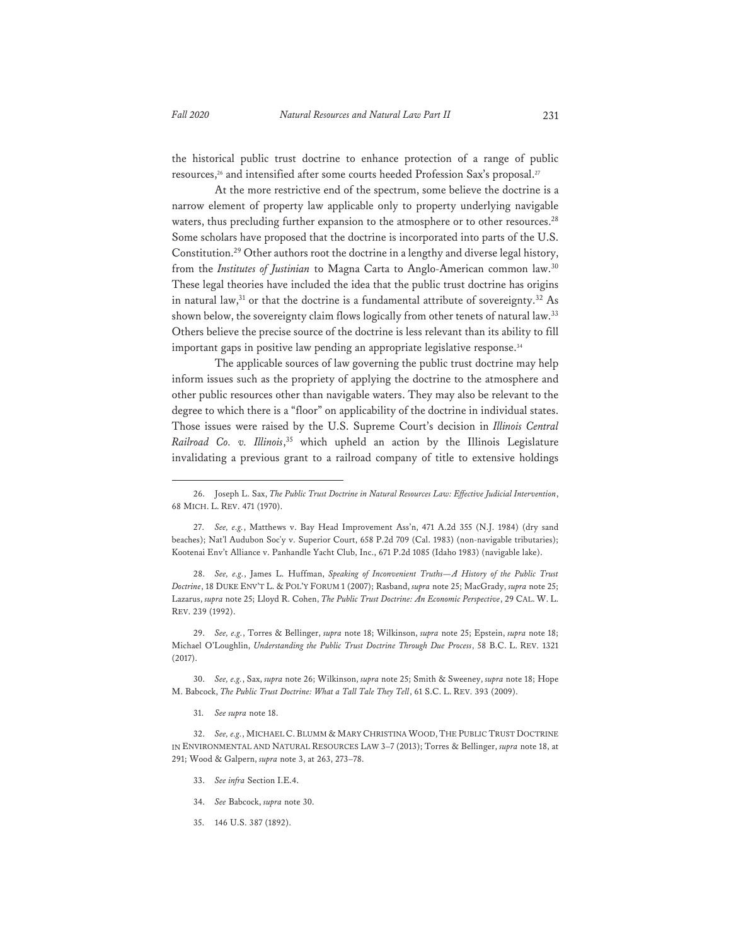the historical public trust doctrine to enhance protection of a range of public resources,<sup>26</sup> and intensified after some courts heeded Profession Sax's proposal.<sup>27</sup>

At the more restrictive end of the spectrum, some believe the doctrine is a narrow element of property law applicable only to property underlying navigable waters, thus precluding further expansion to the atmosphere or to other resources.<sup>28</sup> Some scholars have proposed that the doctrine is incorporated into parts of the U.S. Constitution.29 Other authors root the doctrine in a lengthy and diverse legal history, from the *Institutes of Justinian* to Magna Carta to Anglo-American common law.<sup>30</sup> These legal theories have included the idea that the public trust doctrine has origins in natural law, $31$  or that the doctrine is a fundamental attribute of sovereignty. $32$  As shown below, the sovereignty claim flows logically from other tenets of natural law.<sup>33</sup> Others believe the precise source of the doctrine is less relevant than its ability to fill important gaps in positive law pending an appropriate legislative response.<sup>34</sup>

The applicable sources of law governing the public trust doctrine may help inform issues such as the propriety of applying the doctrine to the atmosphere and other public resources other than navigable waters. They may also be relevant to the degree to which there is a "floor" on applicability of the doctrine in individual states. Those issues were raised by the U.S. Supreme Court's decision in *Illinois Central Railroad Co. v. Illinois*, 35 which upheld an action by the Illinois Legislature invalidating a previous grant to a railroad company of title to extensive holdings

28. *See, e.g.*, James L. Huffman, *Speaking of Inconvenient Truths—A History of the Public Trust Doctrine*, 18 DUKE ENV'T L. & POL'Y FORUM 1 (2007); Rasband, *supra* note 25; MacGrady, *supra* note 25; Lazarus, *supra* note 25; Lloyd R. Cohen, *The Public Trust Doctrine: An Economic Perspective*, 29 CAL. W. L. REV. 239 (1992).

29. *See, e.g.*, Torres & Bellinger, *supra* note 18; Wilkinson, *supra* note 25; Epstein, *supra* note 18; Michael O'Loughlin, *Understanding the Public Trust Doctrine Through Due Process*, 58 B.C. L. REV. 1321 (2017).

30. *See, e.g.*, Sax, *supra* note 26; Wilkinson, *supra* note 25; Smith & Sweeney, *supra* note 18; Hope M. Babcock, *The Public Trust Doctrine: What a Tall Tale They Tell*, 61 S.C. L. REV. 393 (2009).

31. *See supra* note 18.

- 33. *See infra* Section I.E.4.
- 34. *See* Babcock, *supra* note 30.
- 35. 146 U.S. 387 (1892).

<sup>26.</sup> Joseph L. Sax, *The Public Trust Doctrine in Natural Resources Law: Effective Judicial Intervention*, 68 MICH. L. REV. 471 (1970).

<sup>27.</sup> *See, e.g.*, Matthews v. Bay Head Improvement Ass'n, 471 A.2d 355 (N.J. 1984) (dry sand beaches); Nat'l Audubon Soc'y v. Superior Court, 658 P.2d 709 (Cal. 1983) (non-navigable tributaries); Kootenai Env't Alliance v. Panhandle Yacht Club, Inc., 671 P.2d 1085 (Idaho 1983) (navigable lake).

<sup>32.</sup> *See, e.g.*, MICHAEL C. BLUMM & MARY CHRISTINA WOOD, THE PUBLIC TRUST DOCTRINE IN ENVIRONMENTAL AND NATURAL RESOURCES LAW 3–7 (2013); Torres & Bellinger, *supra* note 18, at 291; Wood & Galpern, *supra* note 3, at 263, 273–78.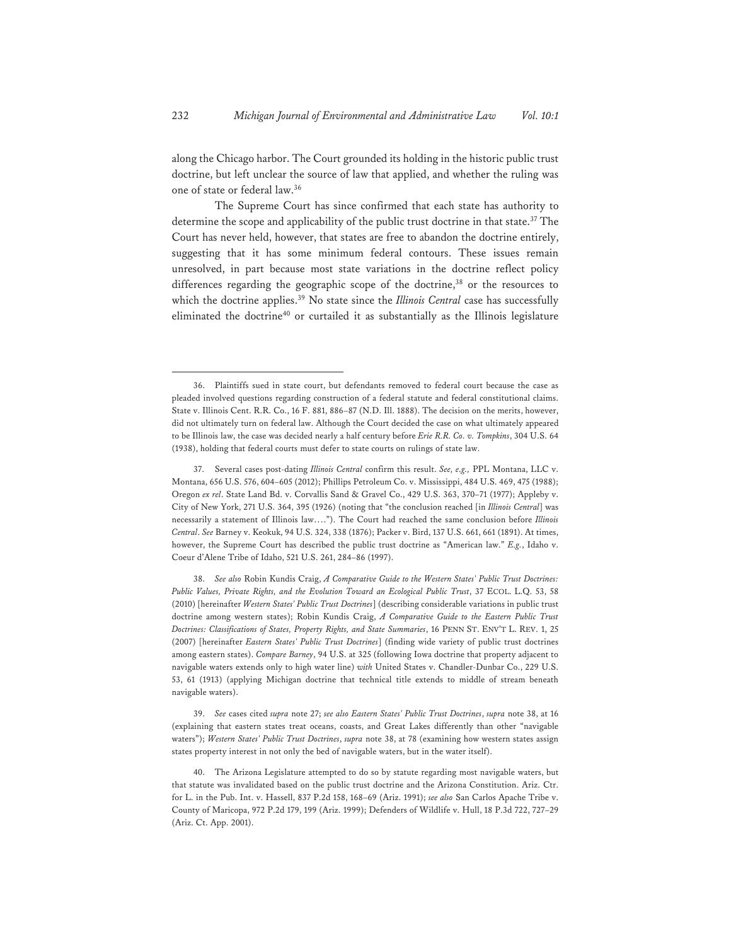along the Chicago harbor. The Court grounded its holding in the historic public trust doctrine, but left unclear the source of law that applied, and whether the ruling was one of state or federal law.36

The Supreme Court has since confirmed that each state has authority to determine the scope and applicability of the public trust doctrine in that state.<sup>37</sup> The Court has never held, however, that states are free to abandon the doctrine entirely, suggesting that it has some minimum federal contours. These issues remain unresolved, in part because most state variations in the doctrine reflect policy differences regarding the geographic scope of the doctrine,<sup>38</sup> or the resources to which the doctrine applies.<sup>39</sup> No state since the *Illinois Central* case has successfully eliminated the doctrine<sup>40</sup> or curtailed it as substantially as the Illinois legislature

38. *See also* Robin Kundis Craig, *A Comparative Guide to the Western States' Public Trust Doctrines:*  Public Values, Private Rights, and the Evolution Toward an Ecological Public Trust, 37 ECOL. L.Q. 53, 58 (2010) [hereinafter *Western States' Public Trust Doctrines*] (describing considerable variations in public trust doctrine among western states); Robin Kundis Craig, *A Comparative Guide to the Eastern Public Trust Doctrines: Classifications of States, Property Rights, and State Summaries*, 16 PENN ST. ENV'T L. REV. 1, 25 (2007) [hereinafter *Eastern States' Public Trust Doctrines*] (finding wide variety of public trust doctrines among eastern states). *Compare Barney*, 94 U.S. at 325 (following Iowa doctrine that property adjacent to navigable waters extends only to high water line) *with* United States v. Chandler-Dunbar Co., 229 U.S. 53, 61 (1913) (applying Michigan doctrine that technical title extends to middle of stream beneath navigable waters).

39. *See* cases cited *supra* note 27; *see also Eastern States' Public Trust Doctrines*, *supra* note 38, at 16 (explaining that eastern states treat oceans, coasts, and Great Lakes differently than other "navigable waters"); *Western States' Public Trust Doctrines*, *supra* note 38, at 78 (examining how western states assign states property interest in not only the bed of navigable waters, but in the water itself).

<sup>36.</sup> Plaintiffs sued in state court, but defendants removed to federal court because the case as pleaded involved questions regarding construction of a federal statute and federal constitutional claims. State v. Illinois Cent. R.R. Co., 16 F. 881, 886–87 (N.D. Ill. 1888). The decision on the merits, however, did not ultimately turn on federal law. Although the Court decided the case on what ultimately appeared to be Illinois law, the case was decided nearly a half century before *Erie R.R. Co. v. Tompkins*, 304 U.S. 64 (1938), holding that federal courts must defer to state courts on rulings of state law.

<sup>37.</sup> Several cases post-dating *Illinois Central* confirm this result. *See, e.g.,* PPL Montana, LLC v. Montana, 656 U.S. 576, 604–605 (2012); Phillips Petroleum Co. v. Mississippi, 484 U.S. 469, 475 (1988); Oregon *ex rel*. State Land Bd. v. Corvallis Sand & Gravel Co., 429 U.S. 363, 370–71 (1977); Appleby v. City of New York, 271 U.S. 364, 395 (1926) (noting that "the conclusion reached [in *Illinois Central*] was necessarily a statement of Illinois law…."). The Court had reached the same conclusion before *Illinois Central*. *See* Barney v. Keokuk, 94 U.S. 324, 338 (1876); Packer v. Bird, 137 U.S. 661, 661 (1891). At times, however, the Supreme Court has described the public trust doctrine as "American law." *E.g.*, Idaho v. Coeur d'Alene Tribe of Idaho, 521 U.S. 261, 284–86 (1997).

<sup>40.</sup> The Arizona Legislature attempted to do so by statute regarding most navigable waters, but that statute was invalidated based on the public trust doctrine and the Arizona Constitution. Ariz. Ctr. for L. in the Pub. Int. v. Hassell, 837 P.2d 158, 168–69 (Ariz. 1991); *see also* San Carlos Apache Tribe v. County of Maricopa, 972 P.2d 179, 199 (Ariz. 1999); Defenders of Wildlife v. Hull, 18 P.3d 722, 727–29 (Ariz. Ct. App. 2001).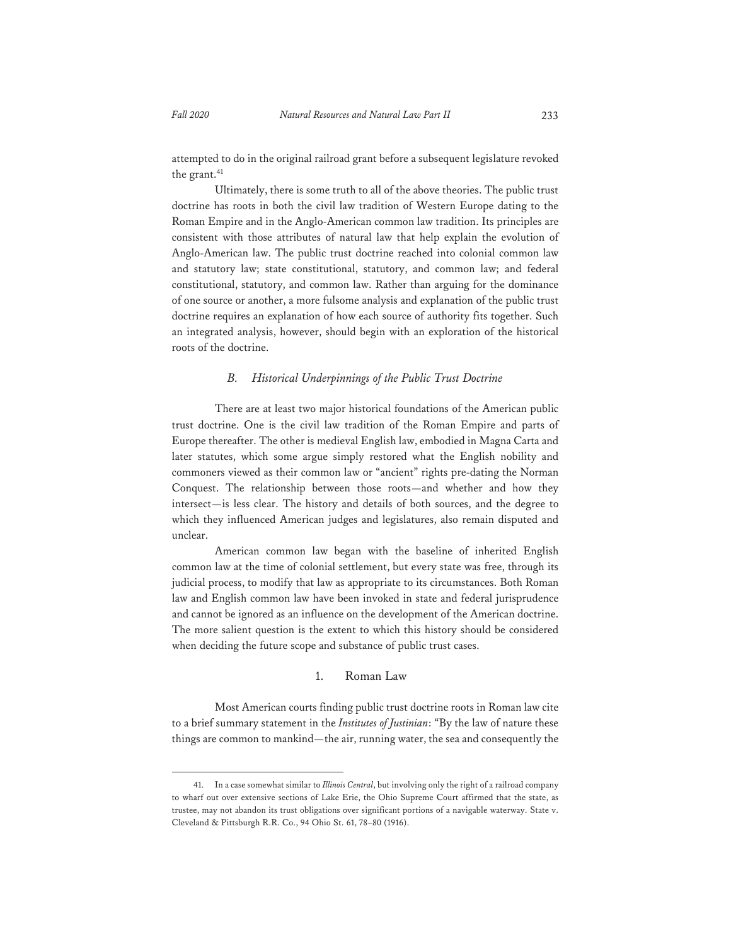attempted to do in the original railroad grant before a subsequent legislature revoked the grant.<sup>41</sup>

Ultimately, there is some truth to all of the above theories. The public trust doctrine has roots in both the civil law tradition of Western Europe dating to the Roman Empire and in the Anglo-American common law tradition. Its principles are consistent with those attributes of natural law that help explain the evolution of Anglo-American law. The public trust doctrine reached into colonial common law and statutory law; state constitutional, statutory, and common law; and federal constitutional, statutory, and common law. Rather than arguing for the dominance of one source or another, a more fulsome analysis and explanation of the public trust doctrine requires an explanation of how each source of authority fits together. Such an integrated analysis, however, should begin with an exploration of the historical roots of the doctrine.

#### *B. Historical Underpinnings of the Public Trust Doctrine*

There are at least two major historical foundations of the American public trust doctrine. One is the civil law tradition of the Roman Empire and parts of Europe thereafter. The other is medieval English law, embodied in Magna Carta and later statutes, which some argue simply restored what the English nobility and commoners viewed as their common law or "ancient" rights pre-dating the Norman Conquest. The relationship between those roots—and whether and how they intersect—is less clear. The history and details of both sources, and the degree to which they influenced American judges and legislatures, also remain disputed and unclear.

American common law began with the baseline of inherited English common law at the time of colonial settlement, but every state was free, through its judicial process, to modify that law as appropriate to its circumstances. Both Roman law and English common law have been invoked in state and federal jurisprudence and cannot be ignored as an influence on the development of the American doctrine. The more salient question is the extent to which this history should be considered when deciding the future scope and substance of public trust cases.

#### 1. Roman Law

Most American courts finding public trust doctrine roots in Roman law cite to a brief summary statement in the *Institutes of Justinian*: "By the law of nature these things are common to mankind—the air, running water, the sea and consequently the

<sup>41.</sup> In a case somewhat similar to *Illinois Central*, but involving only the right of a railroad company to wharf out over extensive sections of Lake Erie, the Ohio Supreme Court affirmed that the state, as trustee, may not abandon its trust obligations over significant portions of a navigable waterway. State v. Cleveland & Pittsburgh R.R. Co., 94 Ohio St. 61, 78–80 (1916).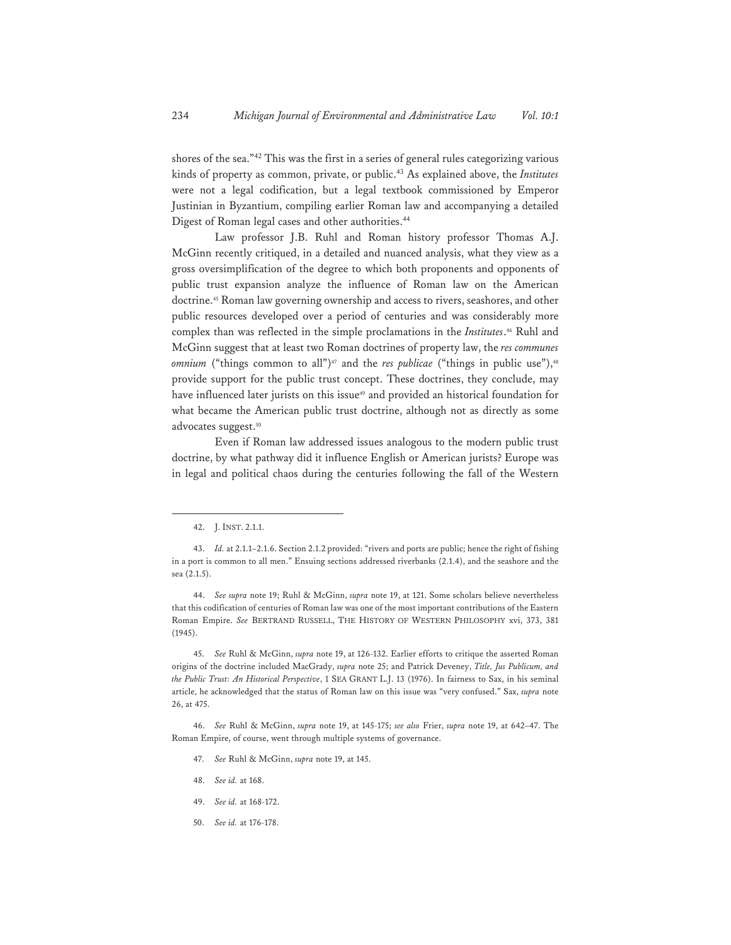shores of the sea."42 This was the first in a series of general rules categorizing various kinds of property as common, private, or public.43 As explained above, the *Institutes* were not a legal codification, but a legal textbook commissioned by Emperor Justinian in Byzantium, compiling earlier Roman law and accompanying a detailed Digest of Roman legal cases and other authorities.44

Law professor J.B. Ruhl and Roman history professor Thomas A.J. McGinn recently critiqued, in a detailed and nuanced analysis, what they view as a gross oversimplification of the degree to which both proponents and opponents of public trust expansion analyze the influence of Roman law on the American doctrine.45 Roman law governing ownership and access to rivers, seashores, and other public resources developed over a period of centuries and was considerably more complex than was reflected in the simple proclamations in the *Institutes*.46 Ruhl and McGinn suggest that at least two Roman doctrines of property law, the *res communes omnium* ("things common to all")<sup>47</sup> and the *res publicae* ("things in public use"),<sup>48</sup> provide support for the public trust concept. These doctrines, they conclude, may have influenced later jurists on this issue<sup>49</sup> and provided an historical foundation for what became the American public trust doctrine, although not as directly as some advocates suggest.<sup>50</sup>

Even if Roman law addressed issues analogous to the modern public trust doctrine, by what pathway did it influence English or American jurists? Europe was in legal and political chaos during the centuries following the fall of the Western

44. *See supra* note 19; Ruhl & McGinn, *supra* note 19, at 121. Some scholars believe nevertheless that this codification of centuries of Roman law was one of the most important contributions of the Eastern Roman Empire. *See* BERTRAND RUSSELL, THE HISTORY OF WESTERN PHILOSOPHY xvi, 373, 381 (1945).

45. *See* Ruhl & McGinn, *supra* note 19, at 126-132. Earlier efforts to critique the asserted Roman origins of the doctrine included MacGrady, *supra* note 25; and Patrick Deveney, *Title, Jus Publicum, and the Public Trust: An Historical Perspective*, 1 SEA GRANT L.J. 13 (1976). In fairness to Sax, in his seminal article, he acknowledged that the status of Roman law on this issue was "very confused." Sax, *supra* note 26, at 475.

46. *See* Ruhl & McGinn, *supra* note 19, at 145-175; *see also* Frier, *supra* note 19, at 642–47. The Roman Empire, of course, went through multiple systems of governance.

- 47. *See* Ruhl & McGinn, *supra* note 19, at 145.
- 48. *See id.* at 168.
- 49. *See id.* at 168-172.
- 50. *See id.* at 176-178.

<sup>42.</sup> J. INST. 2.1.1.

<sup>43.</sup> *Id.* at 2.1.1–2.1.6. Section 2.1.2 provided: "rivers and ports are public; hence the right of fishing in a port is common to all men." Ensuing sections addressed riverbanks (2.1.4), and the seashore and the sea (2.1.5).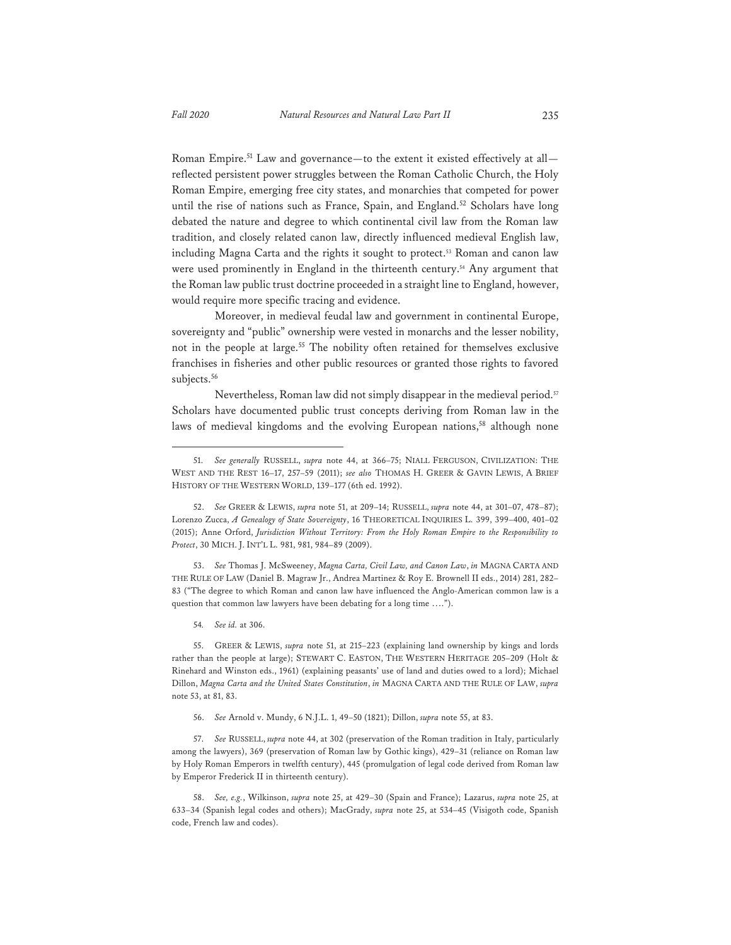Roman Empire.51 Law and governance—to the extent it existed effectively at all reflected persistent power struggles between the Roman Catholic Church, the Holy Roman Empire, emerging free city states, and monarchies that competed for power until the rise of nations such as France, Spain, and England.<sup>52</sup> Scholars have long debated the nature and degree to which continental civil law from the Roman law tradition, and closely related canon law, directly influenced medieval English law, including Magna Carta and the rights it sought to protect.<sup>53</sup> Roman and canon law were used prominently in England in the thirteenth century.<sup>54</sup> Any argument that the Roman law public trust doctrine proceeded in a straight line to England, however, would require more specific tracing and evidence.

Moreover, in medieval feudal law and government in continental Europe, sovereignty and "public" ownership were vested in monarchs and the lesser nobility, not in the people at large.<sup>55</sup> The nobility often retained for themselves exclusive franchises in fisheries and other public resources or granted those rights to favored subjects.<sup>56</sup>

Nevertheless, Roman law did not simply disappear in the medieval period.<sup>57</sup> Scholars have documented public trust concepts deriving from Roman law in the laws of medieval kingdoms and the evolving European nations,<sup>58</sup> although none

53. *See* Thomas J. McSweeney, *Magna Carta, Civil Law, and Canon Law*, *in* MAGNA CARTA AND THE RULE OF LAW (Daniel B. Magraw Jr., Andrea Martinez & Roy E. Brownell II eds., 2014) 281, 282– 83 ("The degree to which Roman and canon law have influenced the Anglo-American common law is a question that common law lawyers have been debating for a long time ….").

54*. See id.* at 306.

55. GREER & LEWIS, *supra* note 51, at 215–223 (explaining land ownership by kings and lords rather than the people at large); STEWART C. EASTON, THE WESTERN HERITAGE 205–209 (Holt & Rinehard and Winston eds., 1961) (explaining peasants' use of land and duties owed to a lord); Michael Dillon, *Magna Carta and the United States Constitution*, *in* MAGNA CARTA AND THE RULE OF LAW, *supra* note 53, at 81, 83.

56. *See* Arnold v. Mundy, 6 N.J.L. 1, 49–50 (1821); Dillon, *supra* note 55, at 83.

57. *See* RUSSELL, *supra* note 44, at 302 (preservation of the Roman tradition in Italy, particularly among the lawyers), 369 (preservation of Roman law by Gothic kings), 429–31 (reliance on Roman law by Holy Roman Emperors in twelfth century), 445 (promulgation of legal code derived from Roman law by Emperor Frederick II in thirteenth century).

<sup>51.</sup> *See generally* RUSSELL, *supra* note 44, at 366–75; NIALL FERGUSON, CIVILIZATION: THE WEST AND THE REST 16–17, 257–59 (2011); *see also* THOMAS H. GREER & GAVIN LEWIS, A BRIEF HISTORY OF THE WESTERN WORLD, 139–177 (6th ed. 1992).

<sup>52.</sup> *See* GREER & LEWIS, *supra* note 51, at 209–14; RUSSELL, *supra* note 44, at 301–07, 478–87); Lorenzo Zucca, *A Genealogy of State Sovereignty*, 16 THEORETICAL INQUIRIES L. 399, 399–400, 401–02 (2015); Anne Orford, *Jurisdiction Without Territory: From the Holy Roman Empire to the Responsibility to Protect*, 30 MICH. J. INT'L L. 981, 981, 984–89 (2009).

<sup>58.</sup> *See, e.g.*, Wilkinson, *supra* note 25, at 429–30 (Spain and France); Lazarus, *supra* note 25, at 633–34 (Spanish legal codes and others); MacGrady, *supra* note 25, at 534–45 (Visigoth code, Spanish code, French law and codes).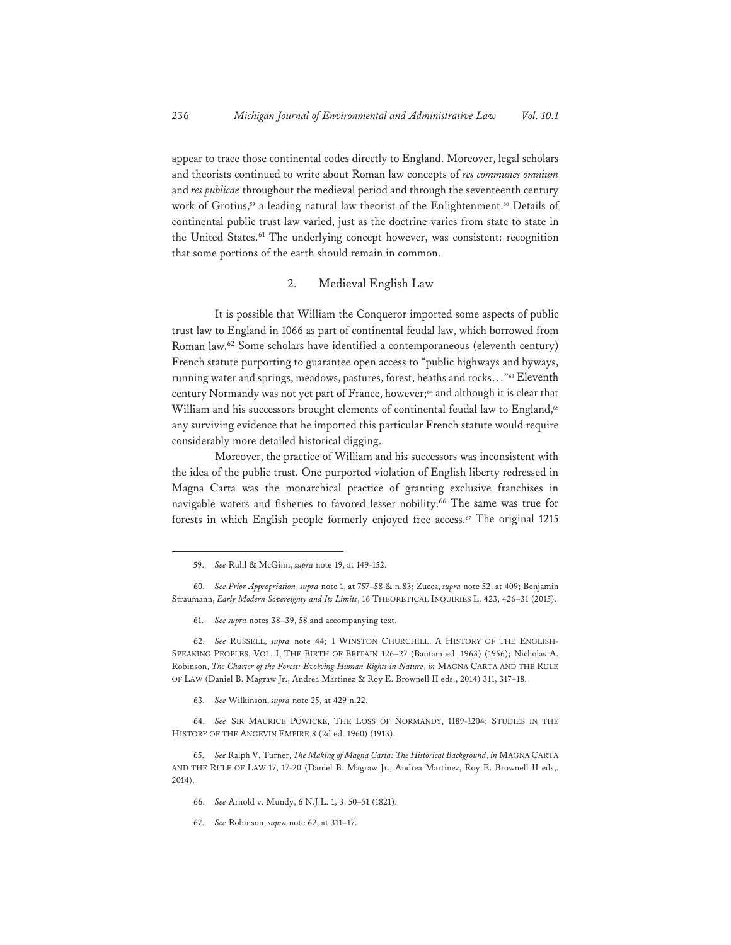appear to trace those continental codes directly to England. Moreover, legal scholars and theorists continued to write about Roman law concepts of *res communes omnium* and *res publicae* throughout the medieval period and through the seventeenth century work of Grotius,<sup>59</sup> a leading natural law theorist of the Enlightenment.<sup>60</sup> Details of continental public trust law varied, just as the doctrine varies from state to state in the United States.<sup>61</sup> The underlying concept however, was consistent: recognition that some portions of the earth should remain in common.

#### 2. Medieval English Law

It is possible that William the Conqueror imported some aspects of public trust law to England in 1066 as part of continental feudal law, which borrowed from Roman law.62 Some scholars have identified a contemporaneous (eleventh century) French statute purporting to guarantee open access to "public highways and byways, running water and springs, meadows, pastures, forest, heaths and rocks…"63 Eleventh century Normandy was not yet part of France, however;<sup>64</sup> and although it is clear that William and his successors brought elements of continental feudal law to England,<sup>65</sup> any surviving evidence that he imported this particular French statute would require considerably more detailed historical digging.

Moreover, the practice of William and his successors was inconsistent with the idea of the public trust. One purported violation of English liberty redressed in Magna Carta was the monarchical practice of granting exclusive franchises in navigable waters and fisheries to favored lesser nobility.<sup>66</sup> The same was true for forests in which English people formerly enjoyed free access.67 The original 1215

61. *See supra* notes 38–39, 58 and accompanying text.

62. *See* RUSSELL, *supra* note 44; 1 WINSTON CHURCHILL, A HISTORY OF THE ENGLISH-SPEAKING PEOPLES, VOL. I, THE BIRTH OF BRITAIN 126–27 (Bantam ed. 1963) (1956); Nicholas A. Robinson, *The Charter of the Forest: Evolving Human Rights in Nature*, *in* MAGNA CARTA AND THE RULE OF LAW (Daniel B. Magraw Jr., Andrea Martinez & Roy E. Brownell II eds., 2014) 311, 317–18.

63. *See* Wilkinson, *supra* note 25, at 429 n.22.

64. *See* SIR MAURICE POWICKE, THE LOSS OF NORMANDY, 1189-1204: STUDIES IN THE HISTORY OF THE ANGEVIN EMPIRE 8 (2d ed. 1960) (1913).

65. *See* Ralph V. Turner, *The Making of Magna Carta: The Historical Background*, *in* MAGNA CARTA AND THE RULE OF LAW 17, 17-20 (Daniel B. Magraw Jr., Andrea Martinez, Roy E. Brownell II eds,. 2014).

- 66. *See* Arnold v. Mundy, 6 N.J.L. 1, 3, 50–51 (1821).
- 67. *See* Robinson, *supra* note 62, at 311–17.

<sup>59.</sup> *See* Ruhl & McGinn, *supra* note 19, at 149-152.

<sup>60.</sup> *See Prior Appropriation*, *supra* note 1, at 757–58 & n.83; Zucca, *supra* note 52, at 409; Benjamin Straumann, *Early Modern Sovereignty and Its Limits*, 16 THEORETICAL INQUIRIES L. 423, 426–31 (2015).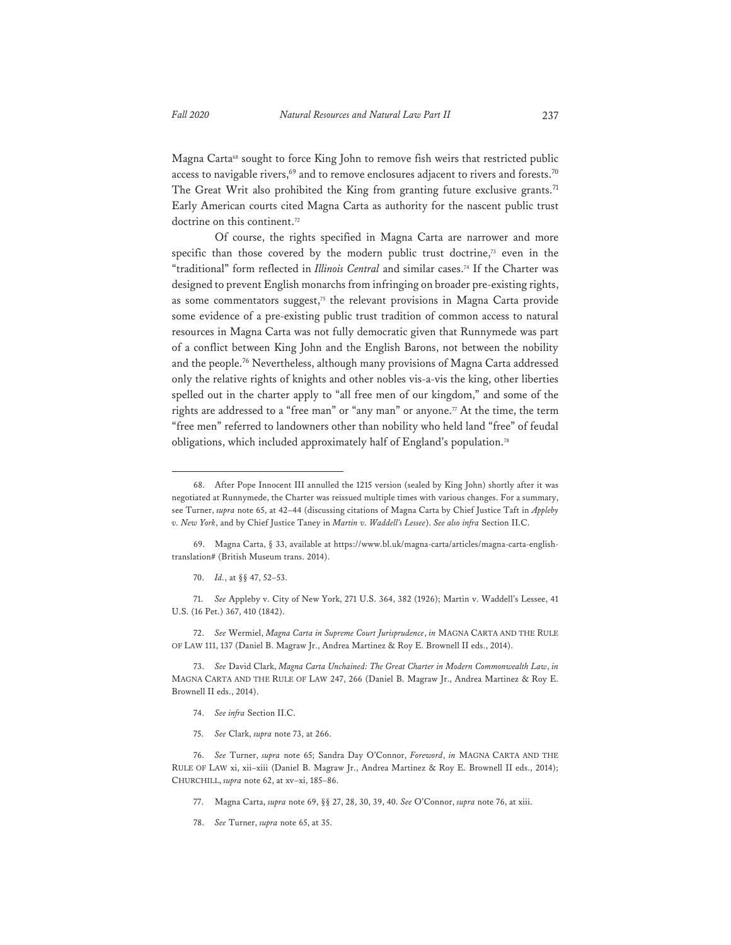Magna Carta<sup>68</sup> sought to force King John to remove fish weirs that restricted public access to navigable rivers, $69$  and to remove enclosures adjacent to rivers and forests.<sup>70</sup> The Great Writ also prohibited the King from granting future exclusive grants.<sup>71</sup> Early American courts cited Magna Carta as authority for the nascent public trust doctrine on this continent.<sup>72</sup>

Of course, the rights specified in Magna Carta are narrower and more specific than those covered by the modern public trust doctrine,<sup>73</sup> even in the "traditional" form reflected in *Illinois Central* and similar cases.74 If the Charter was designed to prevent English monarchs from infringing on broader pre-existing rights, as some commentators suggest, $75$  the relevant provisions in Magna Carta provide some evidence of a pre-existing public trust tradition of common access to natural resources in Magna Carta was not fully democratic given that Runnymede was part of a conflict between King John and the English Barons, not between the nobility and the people.76 Nevertheless, although many provisions of Magna Carta addressed only the relative rights of knights and other nobles vis-a-vis the king, other liberties spelled out in the charter apply to "all free men of our kingdom," and some of the rights are addressed to a "free man" or "any man" or anyone.<sup>77</sup> At the time, the term "free men" referred to landowners other than nobility who held land "free" of feudal obligations, which included approximately half of England's population.78

71. *See* Appleby v. City of New York, 271 U.S. 364, 382 (1926); Martin v. Waddell's Lessee, 41 U.S. (16 Pet.) 367, 410 (1842).

72. *See* Wermiel, *Magna Carta in Supreme Court Jurisprudence*, *in* MAGNA CARTA AND THE RULE OF LAW 111, 137 (Daniel B. Magraw Jr., Andrea Martinez & Roy E. Brownell II eds., 2014).

73. *See* David Clark, *Magna Carta Unchained: The Great Charter in Modern Commonwealth Law*, *in*  MAGNA CARTA AND THE RULE OF LAW 247, 266 (Daniel B. Magraw Jr., Andrea Martinez & Roy E. Brownell II eds., 2014).

- 74. *See infra* Section II.C.
- 75. *See* Clark, *supra* note 73, at 266.

76. *See* Turner, *supra* note 65; Sandra Day O'Connor, *Foreword*, *in* MAGNA CARTA AND THE RULE OF LAW xi, xii–xiii (Daniel B. Magraw Jr., Andrea Martinez & Roy E. Brownell II eds., 2014); CHURCHILL, *supra* note 62, at xv–xi, 185–86.

- 77. Magna Carta, *supra* note 69, §§ 27, 28, 30, 39, 40. *See* O'Connor, *supra* note 76, at xiii.
- 78. *See* Turner, *supra* note 65, at 35.

<sup>68.</sup> After Pope Innocent III annulled the 1215 version (sealed by King John) shortly after it was negotiated at Runnymede, the Charter was reissued multiple times with various changes. For a summary, see Turner, *supra* note 65, at 42–44 (discussing citations of Magna Carta by Chief Justice Taft in *Appleby v. New York*, and by Chief Justice Taney in *Martin v. Waddell's Lessee*). *See also infra* Section II.C.

<sup>69.</sup> Magna Carta, § 33, available at https://www.bl.uk/magna-carta/articles/magna-carta-englishtranslation# (British Museum trans. 2014).

<sup>70.</sup> *Id.*, at §§ 47, 52–53.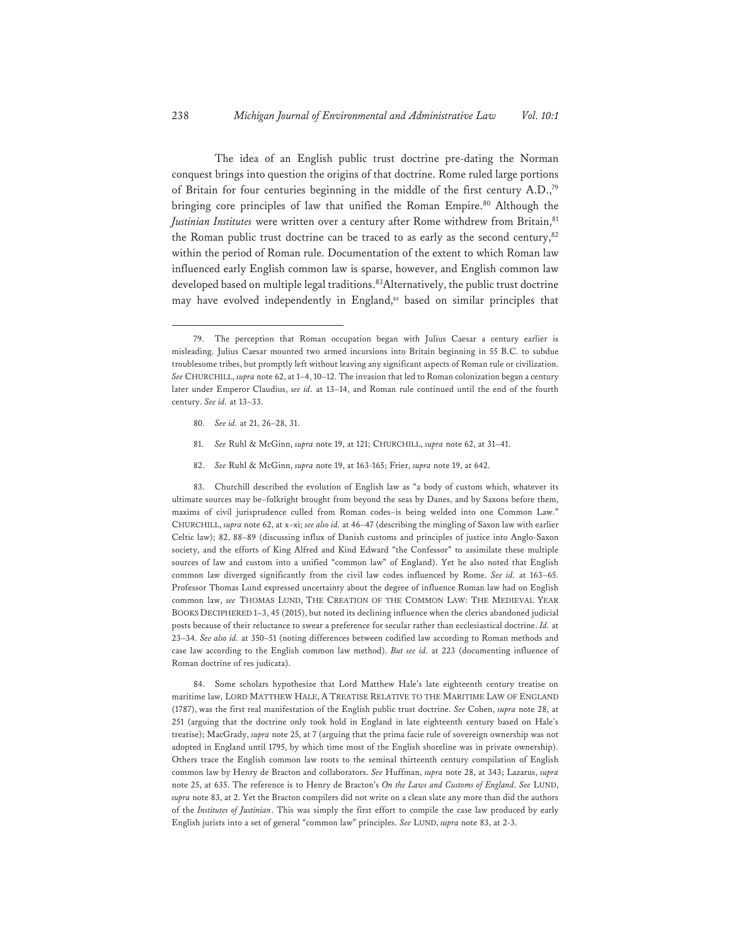The idea of an English public trust doctrine pre-dating the Norman conquest brings into question the origins of that doctrine. Rome ruled large portions of Britain for four centuries beginning in the middle of the first century A.D.,79 bringing core principles of law that unified the Roman Empire.<sup>80</sup> Although the *Justinian Institutes* were written over a century after Rome withdrew from Britain,<sup>81</sup> the Roman public trust doctrine can be traced to as early as the second century, $82$ within the period of Roman rule. Documentation of the extent to which Roman law influenced early English common law is sparse, however, and English common law developed based on multiple legal traditions.<sup>83</sup>Alternatively, the public trust doctrine may have evolved independently in England,<sup>84</sup> based on similar principles that

- 80. *See id.* at 21, 26–28, 31.
- 81. *See* Ruhl & McGinn, *supra* note 19, at 121; CHURCHILL, *supra* note 62, at 31–41.
- 82. *See* Ruhl & McGinn, *supra* note 19, at 163-165; Frier, *supra* note 19, at 642.

83. Churchill described the evolution of English law as "a body of custom which, whatever its ultimate sources may be–folkright brought from beyond the seas by Danes, and by Saxons before them, maxims of civil jurisprudence culled from Roman codes–is being welded into one Common Law." CHURCHILL, *supra* note 62, at x–xi; *see also id.* at 46–47 (describing the mingling of Saxon law with earlier Celtic law); 82, 88–89 (discussing influx of Danish customs and principles of justice into Anglo-Saxon society, and the efforts of King Alfred and Kind Edward "the Confessor" to assimilate these multiple sources of law and custom into a unified "common law" of England). Yet he also noted that English common law diverged significantly from the civil law codes influenced by Rome. *See id.* at 163–65. Professor Thomas Lund expressed uncertainty about the degree of influence Roman law had on English common law, *see* THOMAS LUND, THE CREATION OF THE COMMON LAW: THE MEDIEVAL YEAR BOOKS DECIPHERED 1–3, 45 (2015), but noted its declining influence when the clerics abandoned judicial posts because of their reluctance to swear a preference for secular rather than ecclesiastical doctrine. *Id.* at 23–34. *See also id.* at 350–51 (noting differences between codified law according to Roman methods and case law according to the English common law method). *But see id.* at 223 (documenting influence of Roman doctrine of res judicata).

84. Some scholars hypothesize that Lord Matthew Hale's late eighteenth century treatise on maritime law, LORD MATTHEW HALE, A TREATISE RELATIVE TO THE MARITIME LAW OF ENGLAND (1787), was the first real manifestation of the English public trust doctrine. *See* Cohen, *supra* note 28, at 251 (arguing that the doctrine only took hold in England in late eighteenth century based on Hale's treatise); MacGrady, *supra* note 25, at 7 (arguing that the prima facie rule of sovereign ownership was not adopted in England until 1795, by which time most of the English shoreline was in private ownership). Others trace the English common law roots to the seminal thirteenth century compilation of English common law by Henry de Bracton and collaborators. *See* Huffman, *supra* note 28, at 343; Lazarus, *supra* note 25, at 635. The reference is to Henry de Bracton's *On the Laws and Customs of England*. *See* LUND, *supra* note 83, at 2. Yet the Bracton compilers did not write on a clean slate any more than did the authors of the *Institutes of Justinian*. This was simply the first effort to compile the case law produced by early English jurists into a set of general "common law" principles. *See* LUND, *supra* note 83, at 2-3.

<sup>79.</sup> The perception that Roman occupation began with Julius Caesar a century earlier is misleading. Julius Caesar mounted two armed incursions into Britain beginning in 55 B.C. to subdue troublesome tribes, but promptly left without leaving any significant aspects of Roman rule or civilization. *See* CHURCHILL, *supra* note 62, at 1–4, 10–12. The invasion that led to Roman colonization began a century later under Emperor Claudius, *see id*. at 13–14, and Roman rule continued until the end of the fourth century. *See id.* at 13–33.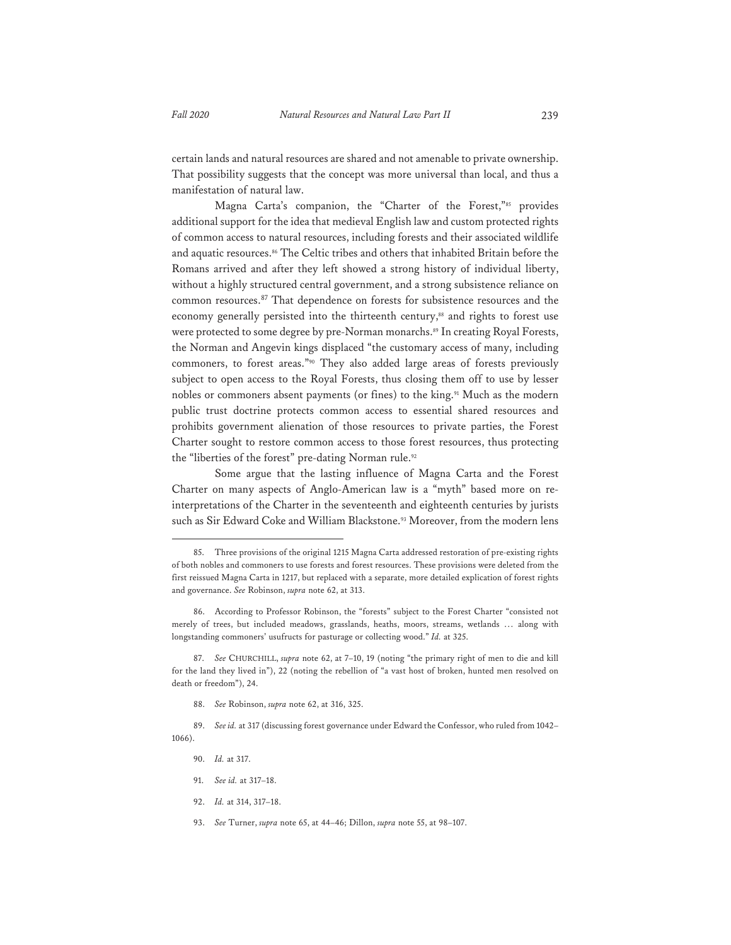certain lands and natural resources are shared and not amenable to private ownership. That possibility suggests that the concept was more universal than local, and thus a manifestation of natural law.

Magna Carta's companion, the "Charter of the Forest,"<sup>85</sup> provides additional support for the idea that medieval English law and custom protected rights of common access to natural resources, including forests and their associated wildlife and aquatic resources.<sup>86</sup> The Celtic tribes and others that inhabited Britain before the Romans arrived and after they left showed a strong history of individual liberty, without a highly structured central government, and a strong subsistence reliance on common resources.87 That dependence on forests for subsistence resources and the economy generally persisted into the thirteenth century,<sup>88</sup> and rights to forest use were protected to some degree by pre-Norman monarchs.<sup>89</sup> In creating Royal Forests, the Norman and Angevin kings displaced "the customary access of many, including commoners, to forest areas."90 They also added large areas of forests previously subject to open access to the Royal Forests, thus closing them off to use by lesser nobles or commoners absent payments (or fines) to the king.91 Much as the modern public trust doctrine protects common access to essential shared resources and prohibits government alienation of those resources to private parties, the Forest Charter sought to restore common access to those forest resources, thus protecting the "liberties of the forest" pre-dating Norman rule.<sup>92</sup>

Some argue that the lasting influence of Magna Carta and the Forest Charter on many aspects of Anglo-American law is a "myth" based more on reinterpretations of the Charter in the seventeenth and eighteenth centuries by jurists such as Sir Edward Coke and William Blackstone.<sup>93</sup> Moreover, from the modern lens

- 91. *See id.* at 317–18.
- 92. *Id.* at 314, 317–18.
- 93. *See* Turner, *supra* note 65, at 44–46; Dillon, *supra* note 55, at 98–107.

<sup>85.</sup> Three provisions of the original 1215 Magna Carta addressed restoration of pre-existing rights of both nobles and commoners to use forests and forest resources. These provisions were deleted from the first reissued Magna Carta in 1217, but replaced with a separate, more detailed explication of forest rights and governance. *See* Robinson, *supra* note 62, at 313.

<sup>86.</sup> According to Professor Robinson, the "forests" subject to the Forest Charter "consisted not merely of trees, but included meadows, grasslands, heaths, moors, streams, wetlands … along with longstanding commoners' usufructs for pasturage or collecting wood." *Id.* at 325.

<sup>87.</sup> *See* CHURCHILL, *supra* note 62, at 7–10, 19 (noting "the primary right of men to die and kill for the land they lived in"), 22 (noting the rebellion of "a vast host of broken, hunted men resolved on death or freedom"), 24.

<sup>88.</sup> *See* Robinson, *supra* note 62, at 316, 325.

<sup>89.</sup> *See id.* at 317 (discussing forest governance under Edward the Confessor, who ruled from 1042– 1066).

<sup>90.</sup> *Id.* at 317.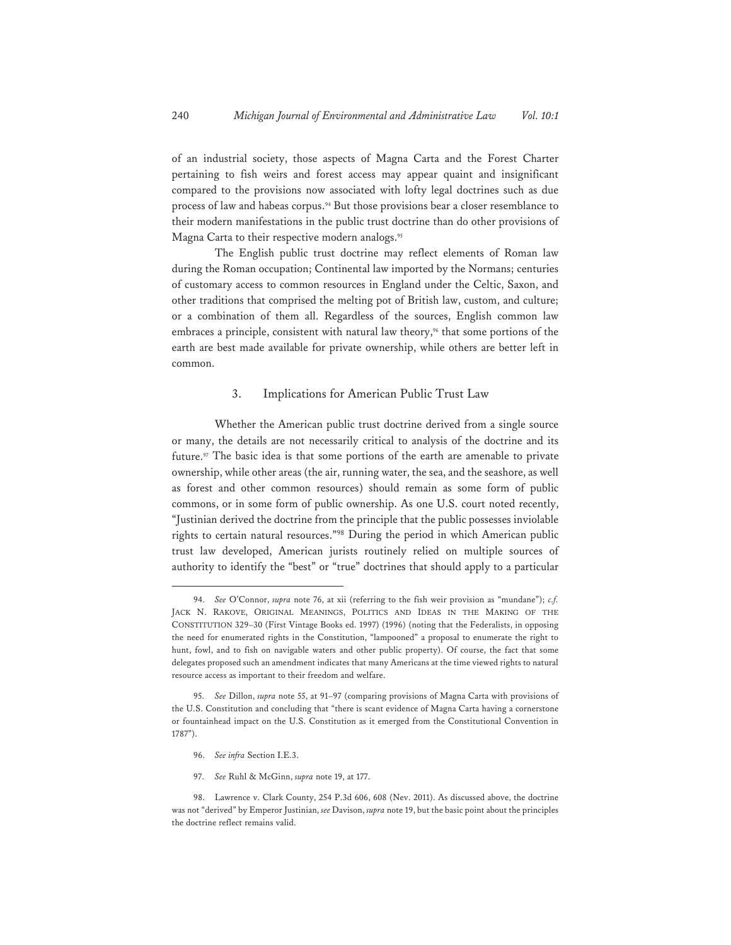of an industrial society, those aspects of Magna Carta and the Forest Charter pertaining to fish weirs and forest access may appear quaint and insignificant compared to the provisions now associated with lofty legal doctrines such as due process of law and habeas corpus.<sup>94</sup> But those provisions bear a closer resemblance to their modern manifestations in the public trust doctrine than do other provisions of Magna Carta to their respective modern analogs.<sup>95</sup>

The English public trust doctrine may reflect elements of Roman law during the Roman occupation; Continental law imported by the Normans; centuries of customary access to common resources in England under the Celtic, Saxon, and other traditions that comprised the melting pot of British law, custom, and culture; or a combination of them all. Regardless of the sources, English common law embraces a principle, consistent with natural law theory, $96$  that some portions of the earth are best made available for private ownership, while others are better left in common.

#### 3. Implications for American Public Trust Law

Whether the American public trust doctrine derived from a single source or many, the details are not necessarily critical to analysis of the doctrine and its future.97 The basic idea is that some portions of the earth are amenable to private ownership, while other areas (the air, running water, the sea, and the seashore, as well as forest and other common resources) should remain as some form of public commons, or in some form of public ownership. As one U.S. court noted recently, "Justinian derived the doctrine from the principle that the public possesses inviolable rights to certain natural resources."98 During the period in which American public trust law developed, American jurists routinely relied on multiple sources of authority to identify the "best" or "true" doctrines that should apply to a particular

- 96. *See infra* Section I.E.3.
- 97. *See* Ruhl & McGinn, *supra* note 19, at 177.

<sup>94.</sup> *See* O'Connor, *supra* note 76, at xii (referring to the fish weir provision as "mundane"); *c.f.*  JACK N. RAKOVE, ORIGINAL MEANINGS, POLITICS AND IDEAS IN THE MAKING OF THE CONSTITUTION 329–30 (First Vintage Books ed. 1997) (1996) (noting that the Federalists, in opposing the need for enumerated rights in the Constitution, "lampooned" a proposal to enumerate the right to hunt, fowl, and to fish on navigable waters and other public property). Of course, the fact that some delegates proposed such an amendment indicates that many Americans at the time viewed rights to natural resource access as important to their freedom and welfare.

<sup>95.</sup> *See* Dillon, *supra* note 55, at 91–97 (comparing provisions of Magna Carta with provisions of the U.S. Constitution and concluding that "there is scant evidence of Magna Carta having a cornerstone or fountainhead impact on the U.S. Constitution as it emerged from the Constitutional Convention in 1787").

<sup>98.</sup> Lawrence v. Clark County, 254 P.3d 606, 608 (Nev. 2011). As discussed above, the doctrine was not "derived" by Emperor Justinian, *see* Davison, *supra* note 19, but the basic point about the principles the doctrine reflect remains valid.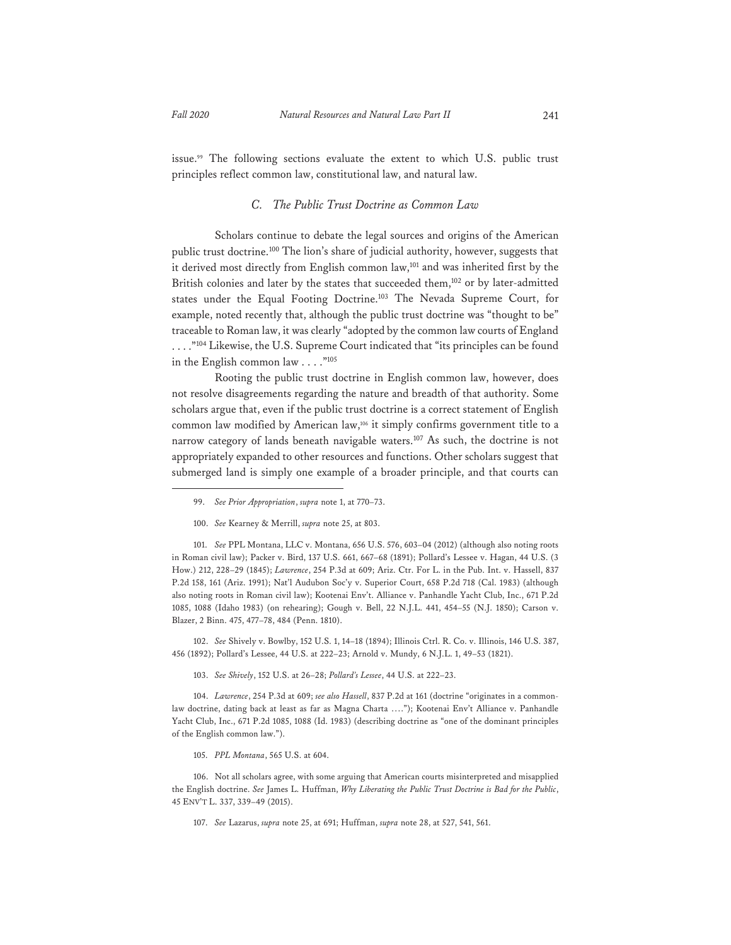issue.99 The following sections evaluate the extent to which U.S. public trust principles reflect common law, constitutional law, and natural law.

#### *C. The Public Trust Doctrine as Common Law*

Scholars continue to debate the legal sources and origins of the American public trust doctrine.<sup>100</sup> The lion's share of judicial authority, however, suggests that it derived most directly from English common law,<sup>101</sup> and was inherited first by the British colonies and later by the states that succeeded them,<sup>102</sup> or by later-admitted states under the Equal Footing Doctrine.103 The Nevada Supreme Court, for example, noted recently that, although the public trust doctrine was "thought to be" traceable to Roman law, it was clearly "adopted by the common law courts of England ...."<sup>104</sup> Likewise, the U.S. Supreme Court indicated that "its principles can be found in the English common law  $\ldots$ ."<sup>105</sup>

Rooting the public trust doctrine in English common law, however, does not resolve disagreements regarding the nature and breadth of that authority. Some scholars argue that, even if the public trust doctrine is a correct statement of English common law modified by American law,106 it simply confirms government title to a narrow category of lands beneath navigable waters.<sup>107</sup> As such, the doctrine is not appropriately expanded to other resources and functions. Other scholars suggest that submerged land is simply one example of a broader principle, and that courts can

101. *See* PPL Montana, LLC v. Montana, 656 U.S. 576, 603–04 (2012) (although also noting roots in Roman civil law); Packer v. Bird, 137 U.S. 661, 667–68 (1891); Pollard's Lessee v. Hagan, 44 U.S. (3 How.) 212, 228–29 (1845); *Lawrence*, 254 P.3d at 609; Ariz. Ctr. For L. in the Pub. Int. v. Hassell, 837 P.2d 158, 161 (Ariz. 1991); Nat'l Audubon Soc'y v. Superior Court, 658 P.2d 718 (Cal. 1983) (although also noting roots in Roman civil law); Kootenai Env't. Alliance v. Panhandle Yacht Club, Inc., 671 P.2d 1085, 1088 (Idaho 1983) (on rehearing); Gough v. Bell, 22 N.J.L. 441, 454–55 (N.J. 1850); Carson v. Blazer, 2 Binn. 475, 477–78, 484 (Penn. 1810).

102. *See* Shively v. Bowlby, 152 U.S. 1, 14–18 (1894); Illinois Ctrl. R. Co. v. Illinois, 146 U.S. 387, 456 (1892); Pollard's Lessee, 44 U.S. at 222–23; Arnold v. Mundy, 6 N.J.L. 1, 49–53 (1821).

103. *See Shively*, 152 U.S. at 26–28; *Pollard's Lessee*, 44 U.S. at 222–23.

104. *Lawrence*, 254 P.3d at 609; *see also Hassell*, 837 P.2d at 161 (doctrine "originates in a commonlaw doctrine, dating back at least as far as Magna Charta …."); Kootenai Env't Alliance v. Panhandle Yacht Club, Inc., 671 P.2d 1085, 1088 (Id. 1983) (describing doctrine as "one of the dominant principles of the English common law.").

105. *PPL Montana*, 565 U.S. at 604.

106. Not all scholars agree, with some arguing that American courts misinterpreted and misapplied the English doctrine. *See* James L. Huffman, *Why Liberating the Public Trust Doctrine is Bad for the Public*, 45 ENV'T L. 337, 339–49 (2015).

107. *See* Lazarus, *supra* note 25, at 691; Huffman, *supra* note 28, at 527, 541, 561.

<sup>99.</sup> *See Prior Appropriation*, *supra* note 1, at 770–73.

<sup>100.</sup> *See* Kearney & Merrill, *supra* note 25, at 803.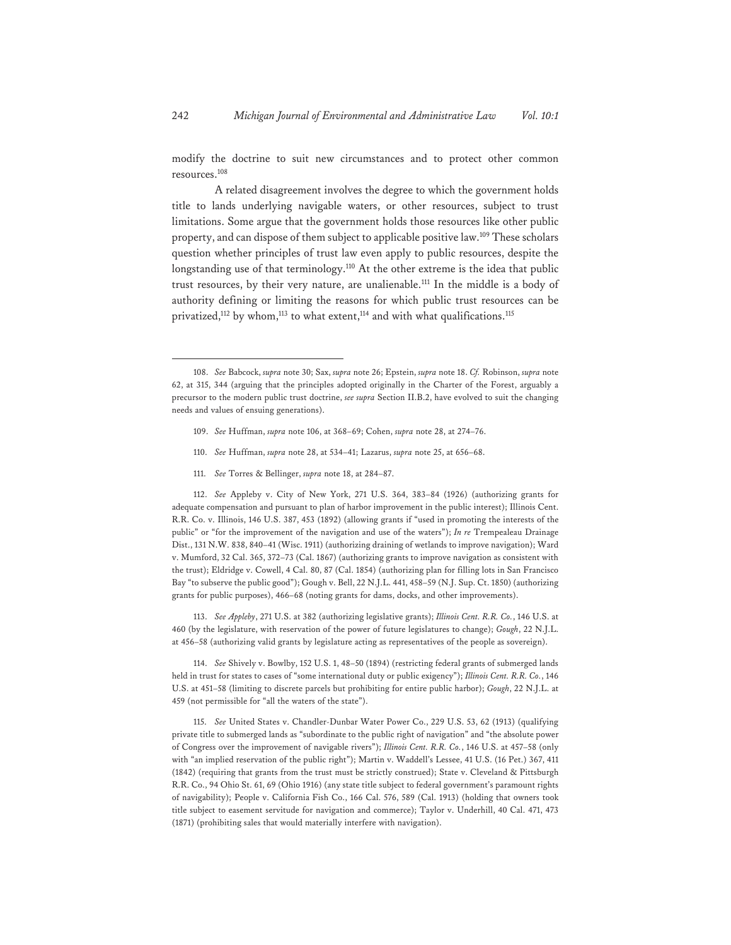modify the doctrine to suit new circumstances and to protect other common resources.<sup>108</sup>

A related disagreement involves the degree to which the government holds title to lands underlying navigable waters, or other resources, subject to trust limitations. Some argue that the government holds those resources like other public property, and can dispose of them subject to applicable positive law.<sup>109</sup> These scholars question whether principles of trust law even apply to public resources, despite the longstanding use of that terminology.<sup>110</sup> At the other extreme is the idea that public trust resources, by their very nature, are unalienable.111 In the middle is a body of authority defining or limiting the reasons for which public trust resources can be privatized,<sup>112</sup> by whom,<sup>113</sup> to what extent,<sup>114</sup> and with what qualifications.<sup>115</sup>

- 109. *See* Huffman, *supra* note 106, at 368–69; Cohen, *supra* note 28, at 274–76.
- 110. *See* Huffman, *supra* note 28, at 534–41; Lazarus, *supra* note 25, at 656–68.
- 111. *See* Torres & Bellinger, *supra* note 18, at 284–87.

112. *See* Appleby v. City of New York, 271 U.S. 364, 383–84 (1926) (authorizing grants for adequate compensation and pursuant to plan of harbor improvement in the public interest); Illinois Cent. R.R. Co. v. Illinois, 146 U.S. 387, 453 (1892) (allowing grants if "used in promoting the interests of the public" or "for the improvement of the navigation and use of the waters"); *In re* Trempealeau Drainage Dist., 131 N.W. 838, 840–41 (Wisc. 1911) (authorizing draining of wetlands to improve navigation); Ward v. Mumford, 32 Cal. 365, 372–73 (Cal. 1867) (authorizing grants to improve navigation as consistent with the trust); Eldridge v. Cowell, 4 Cal. 80, 87 (Cal. 1854) (authorizing plan for filling lots in San Francisco Bay "to subserve the public good"); Gough v. Bell, 22 N.J.L. 441, 458–59 (N.J. Sup. Ct. 1850) (authorizing grants for public purposes), 466–68 (noting grants for dams, docks, and other improvements).

113. *See Appleby*, 271 U.S. at 382 (authorizing legislative grants); *Illinois Cent. R.R. Co.*, 146 U.S. at 460 (by the legislature, with reservation of the power of future legislatures to change); *Gough*, 22 N.J.L. at 456–58 (authorizing valid grants by legislature acting as representatives of the people as sovereign).

114. *See* Shively v. Bowlby, 152 U.S. 1, 48–50 (1894) (restricting federal grants of submerged lands held in trust for states to cases of "some international duty or public exigency"); *Illinois Cent. R.R. Co.*, 146 U.S. at 451–58 (limiting to discrete parcels but prohibiting for entire public harbor); *Gough*, 22 N.J.L. at 459 (not permissible for "all the waters of the state").

115. *See* United States v. Chandler-Dunbar Water Power Co., 229 U.S. 53, 62 (1913) (qualifying private title to submerged lands as "subordinate to the public right of navigation" and "the absolute power of Congress over the improvement of navigable rivers"); *Illinois Cent. R.R. Co.*, 146 U.S. at 457–58 (only with "an implied reservation of the public right"); Martin v. Waddell's Lessee, 41 U.S. (16 Pet.) 367, 411 (1842) (requiring that grants from the trust must be strictly construed); State v. Cleveland & Pittsburgh R.R. Co., 94 Ohio St. 61, 69 (Ohio 1916) (any state title subject to federal government's paramount rights of navigability); People v. California Fish Co., 166 Cal. 576, 589 (Cal. 1913) (holding that owners took title subject to easement servitude for navigation and commerce); Taylor v. Underhill, 40 Cal. 471, 473 (1871) (prohibiting sales that would materially interfere with navigation).

<sup>108.</sup> *See* Babcock, *supra* note 30; Sax, *supra* note 26; Epstein, *supra* note 18. *Cf.* Robinson, *supra* note 62, at 315, 344 (arguing that the principles adopted originally in the Charter of the Forest, arguably a precursor to the modern public trust doctrine, *see supra* Section II.B.2, have evolved to suit the changing needs and values of ensuing generations).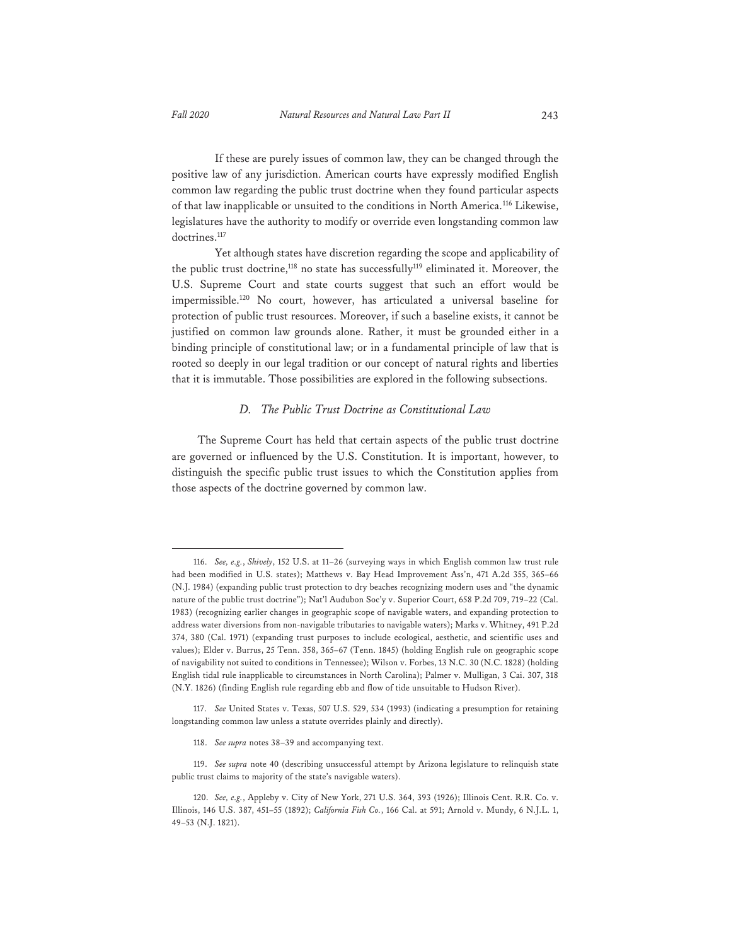If these are purely issues of common law, they can be changed through the positive law of any jurisdiction. American courts have expressly modified English common law regarding the public trust doctrine when they found particular aspects of that law inapplicable or unsuited to the conditions in North America.116 Likewise, legislatures have the authority to modify or override even longstanding common law doctrines.<sup>117</sup>

Yet although states have discretion regarding the scope and applicability of the public trust doctrine,<sup>118</sup> no state has successfully<sup>119</sup> eliminated it. Moreover, the U.S. Supreme Court and state courts suggest that such an effort would be impermissible.120 No court, however, has articulated a universal baseline for protection of public trust resources. Moreover, if such a baseline exists, it cannot be justified on common law grounds alone. Rather, it must be grounded either in a binding principle of constitutional law; or in a fundamental principle of law that is rooted so deeply in our legal tradition or our concept of natural rights and liberties that it is immutable. Those possibilities are explored in the following subsections.

#### *D. The Public Trust Doctrine as Constitutional Law*

The Supreme Court has held that certain aspects of the public trust doctrine are governed or influenced by the U.S. Constitution. It is important, however, to distinguish the specific public trust issues to which the Constitution applies from those aspects of the doctrine governed by common law.

118. *See supra* notes 38–39 and accompanying text.

<sup>116.</sup> *See, e.g.*, *Shively*, 152 U.S. at 11–26 (surveying ways in which English common law trust rule had been modified in U.S. states); Matthews v. Bay Head Improvement Ass'n, 471 A.2d 355, 365–66 (N.J. 1984) (expanding public trust protection to dry beaches recognizing modern uses and "the dynamic nature of the public trust doctrine"); Nat'l Audubon Soc'y v. Superior Court, 658 P.2d 709, 719–22 (Cal. 1983) (recognizing earlier changes in geographic scope of navigable waters, and expanding protection to address water diversions from non-navigable tributaries to navigable waters); Marks v. Whitney, 491 P.2d 374, 380 (Cal. 1971) (expanding trust purposes to include ecological, aesthetic, and scientific uses and values); Elder v. Burrus, 25 Tenn. 358, 365–67 (Tenn. 1845) (holding English rule on geographic scope of navigability not suited to conditions in Tennessee); Wilson v. Forbes, 13 N.C. 30 (N.C. 1828) (holding English tidal rule inapplicable to circumstances in North Carolina); Palmer v. Mulligan, 3 Cai. 307, 318 (N.Y. 1826) (finding English rule regarding ebb and flow of tide unsuitable to Hudson River).

<sup>117.</sup> *See* United States v. Texas, 507 U.S. 529, 534 (1993) (indicating a presumption for retaining longstanding common law unless a statute overrides plainly and directly).

<sup>119.</sup> *See supra* note 40 (describing unsuccessful attempt by Arizona legislature to relinquish state public trust claims to majority of the state's navigable waters).

<sup>120.</sup> *See, e.g.*, Appleby v. City of New York, 271 U.S. 364, 393 (1926); Illinois Cent. R.R. Co. v. Illinois, 146 U.S. 387, 451–55 (1892); *California Fish Co.*, 166 Cal. at 591; Arnold v. Mundy, 6 N.J.L. 1, 49–53 (N.J. 1821).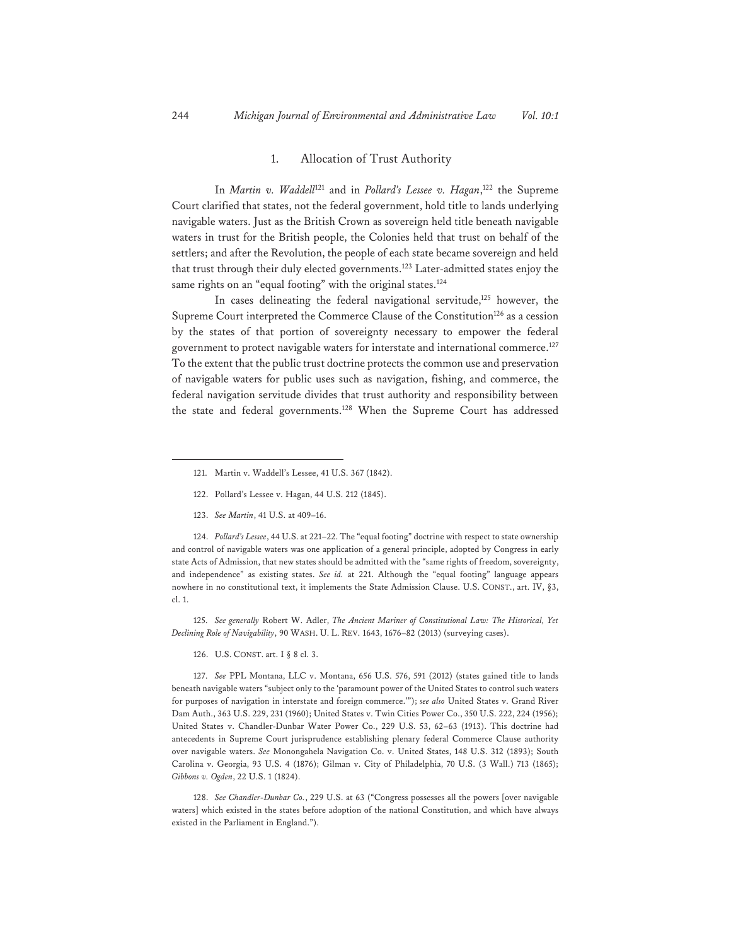#### 1. Allocation of Trust Authority

In *Martin v. Waddell*121 and in *Pollard's Lessee v. Hagan*, 122 the Supreme Court clarified that states, not the federal government, hold title to lands underlying navigable waters. Just as the British Crown as sovereign held title beneath navigable waters in trust for the British people, the Colonies held that trust on behalf of the settlers; and after the Revolution, the people of each state became sovereign and held that trust through their duly elected governments.<sup>123</sup> Later-admitted states enjoy the same rights on an "equal footing" with the original states.<sup>124</sup>

In cases delineating the federal navigational servitude,<sup>125</sup> however, the Supreme Court interpreted the Commerce Clause of the Constitution<sup>126</sup> as a cession by the states of that portion of sovereignty necessary to empower the federal government to protect navigable waters for interstate and international commerce.127 To the extent that the public trust doctrine protects the common use and preservation of navigable waters for public uses such as navigation, fishing, and commerce, the federal navigation servitude divides that trust authority and responsibility between the state and federal governments.<sup>128</sup> When the Supreme Court has addressed

- 122. Pollard's Lessee v. Hagan, 44 U.S. 212 (1845).
- 123. *See Martin*, 41 U.S. at 409–16.

124. *Pollard's Lessee*, 44 U.S. at 221–22. The "equal footing" doctrine with respect to state ownership and control of navigable waters was one application of a general principle, adopted by Congress in early state Acts of Admission, that new states should be admitted with the "same rights of freedom, sovereignty, and independence" as existing states. *See id.* at 221. Although the "equal footing" language appears nowhere in no constitutional text, it implements the State Admission Clause. U.S. CONST., art. IV, §3, cl. 1.

125. *See generally* Robert W. Adler, *The Ancient Mariner of Constitutional Law: The Historical, Yet Declining Role of Navigability*, 90 WASH. U. L. REV. 1643, 1676–82 (2013) (surveying cases).

126. U.S. CONST. art. I § 8 cl. 3.

127. *See* PPL Montana, LLC v. Montana, 656 U.S. 576, 591 (2012) (states gained title to lands beneath navigable waters "subject only to the 'paramount power of the United States to control such waters for purposes of navigation in interstate and foreign commerce.'"); *see also* United States v. Grand River Dam Auth., 363 U.S. 229, 231 (1960); United States v. Twin Cities Power Co., 350 U.S. 222, 224 (1956); United States v. Chandler-Dunbar Water Power Co., 229 U.S. 53, 62–63 (1913). This doctrine had antecedents in Supreme Court jurisprudence establishing plenary federal Commerce Clause authority over navigable waters. *See* Monongahela Navigation Co. v. United States, 148 U.S. 312 (1893); South Carolina v. Georgia, 93 U.S. 4 (1876); Gilman v. City of Philadelphia, 70 U.S. (3 Wall.) 713 (1865); *Gibbons v. Ogden*, 22 U.S. 1 (1824).

128. *See Chandler-Dunbar Co.*, 229 U.S. at 63 ("Congress possesses all the powers [over navigable waters] which existed in the states before adoption of the national Constitution, and which have always existed in the Parliament in England.").

<sup>121.</sup> Martin v. Waddell's Lessee, 41 U.S. 367 (1842).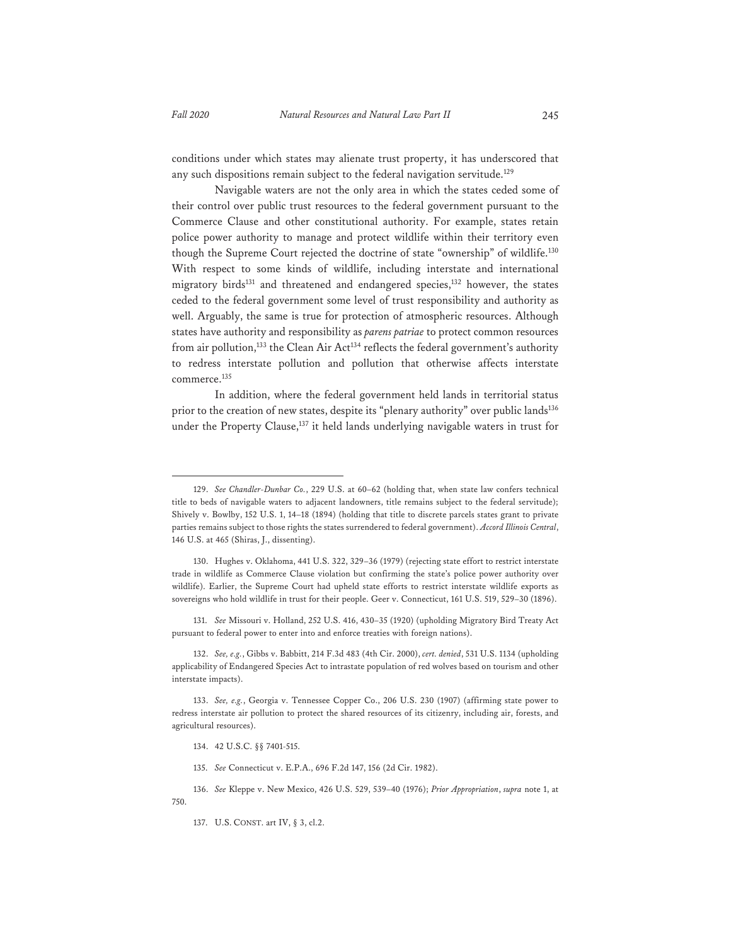conditions under which states may alienate trust property, it has underscored that

any such dispositions remain subject to the federal navigation servitude.<sup>129</sup> Navigable waters are not the only area in which the states ceded some of their control over public trust resources to the federal government pursuant to the Commerce Clause and other constitutional authority. For example, states retain police power authority to manage and protect wildlife within their territory even though the Supreme Court rejected the doctrine of state "ownership" of wildlife.<sup>130</sup> With respect to some kinds of wildlife, including interstate and international migratory birds<sup>131</sup> and threatened and endangered species,<sup>132</sup> however, the states ceded to the federal government some level of trust responsibility and authority as well. Arguably, the same is true for protection of atmospheric resources. Although states have authority and responsibility as *parens patriae* to protect common resources from air pollution,<sup>133</sup> the Clean Air Act<sup>134</sup> reflects the federal government's authority to redress interstate pollution and pollution that otherwise affects interstate commerce.135

In addition, where the federal government held lands in territorial status prior to the creation of new states, despite its "plenary authority" over public lands<sup>136</sup> under the Property Clause,<sup>137</sup> it held lands underlying navigable waters in trust for

131. *See* Missouri v. Holland, 252 U.S. 416, 430–35 (1920) (upholding Migratory Bird Treaty Act pursuant to federal power to enter into and enforce treaties with foreign nations).

132. *See, e.g.*, Gibbs v. Babbitt, 214 F.3d 483 (4th Cir. 2000), *cert. denied*, 531 U.S. 1134 (upholding applicability of Endangered Species Act to intrastate population of red wolves based on tourism and other interstate impacts).

- 134. 42 U.S.C. §§ 7401-515.
- 135. *See* Connecticut v. E.P.A., 696 F.2d 147, 156 (2d Cir. 1982).

<sup>129.</sup> *See Chandler-Dunbar Co.*, 229 U.S. at 60–62 (holding that, when state law confers technical title to beds of navigable waters to adjacent landowners, title remains subject to the federal servitude); Shively v. Bowlby, 152 U.S. 1, 14–18 (1894) (holding that title to discrete parcels states grant to private parties remains subject to those rights the states surrendered to federal government). *Accord Illinois Central*, 146 U.S. at 465 (Shiras, J., dissenting).

<sup>130.</sup> Hughes v. Oklahoma, 441 U.S. 322, 329–36 (1979) (rejecting state effort to restrict interstate trade in wildlife as Commerce Clause violation but confirming the state's police power authority over wildlife). Earlier, the Supreme Court had upheld state efforts to restrict interstate wildlife exports as sovereigns who hold wildlife in trust for their people. Geer v. Connecticut, 161 U.S. 519, 529–30 (1896).

<sup>133.</sup> *See, e.g.*, Georgia v. Tennessee Copper Co., 206 U.S. 230 (1907) (affirming state power to redress interstate air pollution to protect the shared resources of its citizenry, including air, forests, and agricultural resources).

<sup>136.</sup> *See* Kleppe v. New Mexico, 426 U.S. 529, 539–40 (1976); *Prior Appropriation*, *supra* note 1, at 750.

<sup>137.</sup> U.S. CONST. art IV, § 3, cl.2.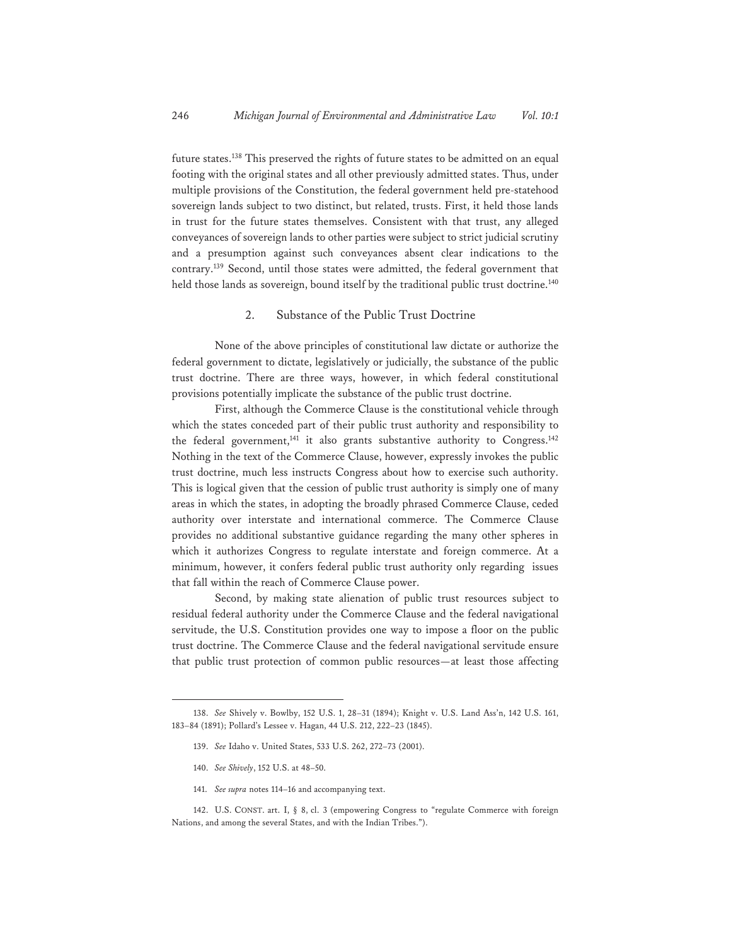future states.<sup>138</sup> This preserved the rights of future states to be admitted on an equal footing with the original states and all other previously admitted states. Thus, under multiple provisions of the Constitution, the federal government held pre-statehood sovereign lands subject to two distinct, but related, trusts. First, it held those lands in trust for the future states themselves. Consistent with that trust, any alleged conveyances of sovereign lands to other parties were subject to strict judicial scrutiny and a presumption against such conveyances absent clear indications to the contrary.139 Second, until those states were admitted, the federal government that held those lands as sovereign, bound itself by the traditional public trust doctrine.<sup>140</sup>

#### 2. Substance of the Public Trust Doctrine

None of the above principles of constitutional law dictate or authorize the federal government to dictate, legislatively or judicially, the substance of the public trust doctrine. There are three ways, however, in which federal constitutional provisions potentially implicate the substance of the public trust doctrine.

First, although the Commerce Clause is the constitutional vehicle through which the states conceded part of their public trust authority and responsibility to the federal government,<sup>141</sup> it also grants substantive authority to Congress.<sup>142</sup> Nothing in the text of the Commerce Clause, however, expressly invokes the public trust doctrine, much less instructs Congress about how to exercise such authority. This is logical given that the cession of public trust authority is simply one of many areas in which the states, in adopting the broadly phrased Commerce Clause, ceded authority over interstate and international commerce. The Commerce Clause provides no additional substantive guidance regarding the many other spheres in which it authorizes Congress to regulate interstate and foreign commerce. At a minimum, however, it confers federal public trust authority only regarding issues that fall within the reach of Commerce Clause power.

Second, by making state alienation of public trust resources subject to residual federal authority under the Commerce Clause and the federal navigational servitude, the U.S. Constitution provides one way to impose a floor on the public trust doctrine. The Commerce Clause and the federal navigational servitude ensure that public trust protection of common public resources—at least those affecting

141. *See supra* notes 114–16 and accompanying text.

142. U.S. CONST. art. I, § 8, cl. 3 (empowering Congress to "regulate Commerce with foreign Nations, and among the several States, and with the Indian Tribes.").

<sup>138.</sup> *See* Shively v. Bowlby, 152 U.S. 1, 28–31 (1894); Knight v. U.S. Land Ass'n, 142 U.S. 161, 183–84 (1891); Pollard's Lessee v. Hagan, 44 U.S. 212, 222–23 (1845).

<sup>139.</sup> *See* Idaho v. United States, 533 U.S. 262, 272–73 (2001).

<sup>140.</sup> *See Shively*, 152 U.S. at 48–50.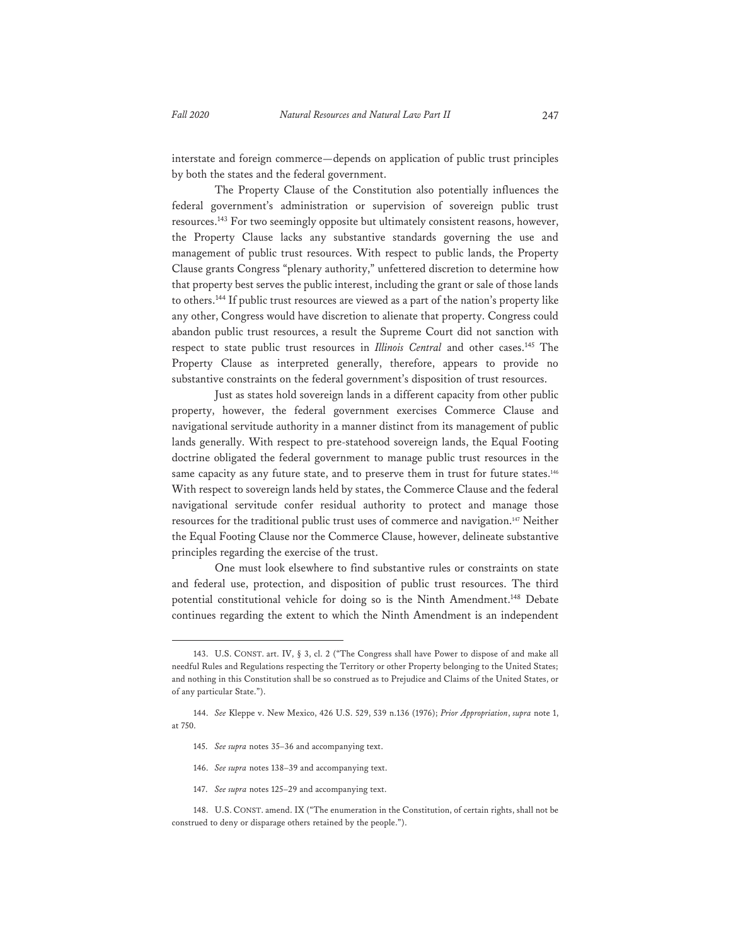interstate and foreign commerce—depends on application of public trust principles by both the states and the federal government.

The Property Clause of the Constitution also potentially influences the federal government's administration or supervision of sovereign public trust resources.143 For two seemingly opposite but ultimately consistent reasons, however, the Property Clause lacks any substantive standards governing the use and management of public trust resources. With respect to public lands, the Property Clause grants Congress "plenary authority," unfettered discretion to determine how that property best serves the public interest, including the grant or sale of those lands to others.144 If public trust resources are viewed as a part of the nation's property like any other, Congress would have discretion to alienate that property. Congress could abandon public trust resources, a result the Supreme Court did not sanction with respect to state public trust resources in *Illinois Central* and other cases.145 The Property Clause as interpreted generally, therefore, appears to provide no substantive constraints on the federal government's disposition of trust resources.

Just as states hold sovereign lands in a different capacity from other public property, however, the federal government exercises Commerce Clause and navigational servitude authority in a manner distinct from its management of public lands generally. With respect to pre-statehood sovereign lands, the Equal Footing doctrine obligated the federal government to manage public trust resources in the same capacity as any future state, and to preserve them in trust for future states.<sup>146</sup> With respect to sovereign lands held by states, the Commerce Clause and the federal navigational servitude confer residual authority to protect and manage those resources for the traditional public trust uses of commerce and navigation.147 Neither the Equal Footing Clause nor the Commerce Clause, however, delineate substantive principles regarding the exercise of the trust.

One must look elsewhere to find substantive rules or constraints on state and federal use, protection, and disposition of public trust resources. The third potential constitutional vehicle for doing so is the Ninth Amendment.<sup>148</sup> Debate continues regarding the extent to which the Ninth Amendment is an independent

147. *See supra* notes 125–29 and accompanying text.

<sup>143.</sup> U.S. CONST. art. IV, § 3, cl. 2 ("The Congress shall have Power to dispose of and make all needful Rules and Regulations respecting the Territory or other Property belonging to the United States; and nothing in this Constitution shall be so construed as to Prejudice and Claims of the United States, or of any particular State.").

<sup>144.</sup> *See* Kleppe v. New Mexico, 426 U.S. 529, 539 n.136 (1976); *Prior Appropriation*, *supra* note 1, at 750.

<sup>145.</sup> *See supra* notes 35–36 and accompanying text.

<sup>146.</sup> *See supra* notes 138–39 and accompanying text.

<sup>148.</sup> U.S. CONST. amend. IX ("The enumeration in the Constitution, of certain rights, shall not be construed to deny or disparage others retained by the people.").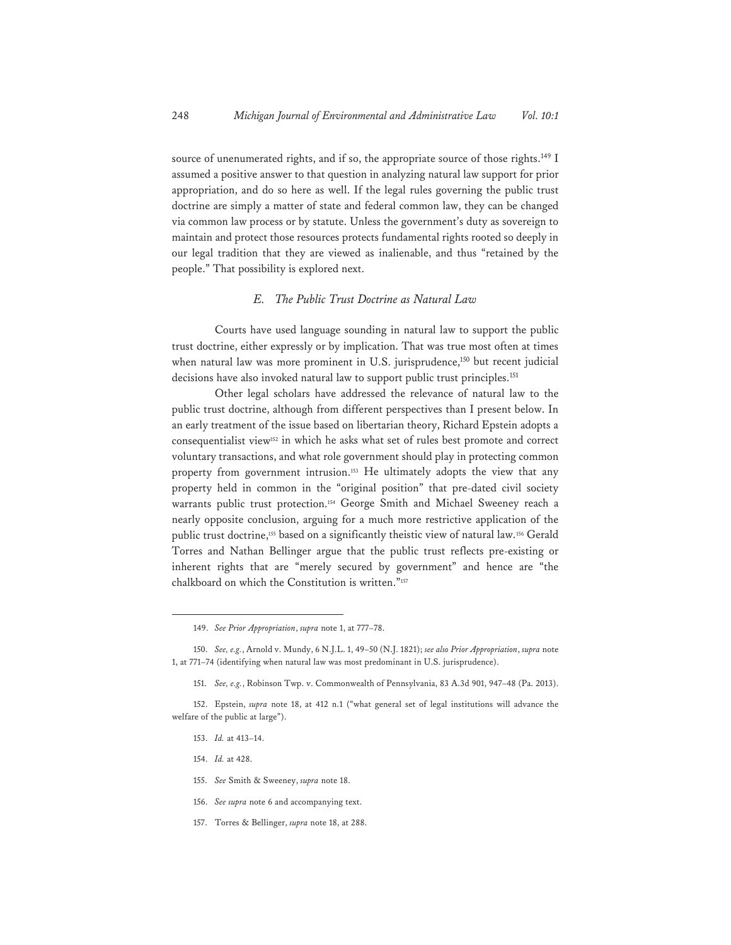source of unenumerated rights, and if so, the appropriate source of those rights.<sup>149</sup> I assumed a positive answer to that question in analyzing natural law support for prior appropriation, and do so here as well. If the legal rules governing the public trust doctrine are simply a matter of state and federal common law, they can be changed via common law process or by statute. Unless the government's duty as sovereign to maintain and protect those resources protects fundamental rights rooted so deeply in our legal tradition that they are viewed as inalienable, and thus "retained by the people." That possibility is explored next.

#### *E. The Public Trust Doctrine as Natural Law*

Courts have used language sounding in natural law to support the public trust doctrine, either expressly or by implication. That was true most often at times when natural law was more prominent in U.S. jurisprudence,<sup>150</sup> but recent judicial decisions have also invoked natural law to support public trust principles.<sup>151</sup>

Other legal scholars have addressed the relevance of natural law to the public trust doctrine, although from different perspectives than I present below. In an early treatment of the issue based on libertarian theory, Richard Epstein adopts a consequentialist view152 in which he asks what set of rules best promote and correct voluntary transactions, and what role government should play in protecting common property from government intrusion.<sup>153</sup> He ultimately adopts the view that any property held in common in the "original position" that pre-dated civil society warrants public trust protection.154 George Smith and Michael Sweeney reach a nearly opposite conclusion, arguing for a much more restrictive application of the public trust doctrine,155 based on a significantly theistic view of natural law.156 Gerald Torres and Nathan Bellinger argue that the public trust reflects pre-existing or inherent rights that are "merely secured by government" and hence are "the chalkboard on which the Constitution is written."157

- 154. *Id.* at 428.
- 155. *See* Smith & Sweeney, *supra* note 18.
- 156. *See supra* note 6 and accompanying text.
- 157. Torres & Bellinger, *supra* note 18, at 288.

<sup>149.</sup> *See Prior Appropriation*, *supra* note 1, at 777–78.

<sup>150.</sup> *See, e.g.*, Arnold v. Mundy, 6 N.J.L. 1, 49–50 (N.J. 1821); *see also Prior Appropriation*, *supra* note 1, at 771–74 (identifying when natural law was most predominant in U.S. jurisprudence).

<sup>151.</sup> *See, e.g.*, Robinson Twp. v. Commonwealth of Pennsylvania, 83 A.3d 901, 947–48 (Pa. 2013).

<sup>152.</sup> Epstein, *supra* note 18, at 412 n.1 ("what general set of legal institutions will advance the welfare of the public at large").

<sup>153.</sup> *Id.* at 413–14.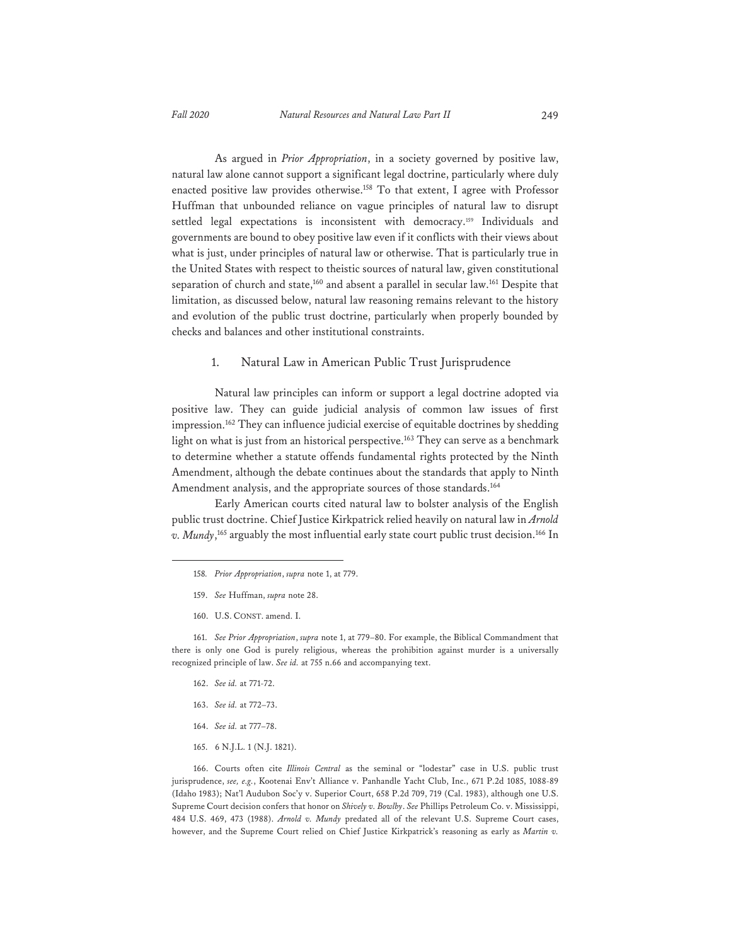As argued in *Prior Appropriation*, in a society governed by positive law, natural law alone cannot support a significant legal doctrine, particularly where duly enacted positive law provides otherwise.<sup>158</sup> To that extent, I agree with Professor Huffman that unbounded reliance on vague principles of natural law to disrupt settled legal expectations is inconsistent with democracy.<sup>159</sup> Individuals and governments are bound to obey positive law even if it conflicts with their views about what is just, under principles of natural law or otherwise. That is particularly true in the United States with respect to theistic sources of natural law, given constitutional separation of church and state,<sup>160</sup> and absent a parallel in secular law.<sup>161</sup> Despite that limitation, as discussed below, natural law reasoning remains relevant to the history

and evolution of the public trust doctrine, particularly when properly bounded by checks and balances and other institutional constraints.

#### 1. Natural Law in American Public Trust Jurisprudence

Natural law principles can inform or support a legal doctrine adopted via positive law. They can guide judicial analysis of common law issues of first impression.<sup>162</sup> They can influence judicial exercise of equitable doctrines by shedding light on what is just from an historical perspective.<sup>163</sup> They can serve as a benchmark to determine whether a statute offends fundamental rights protected by the Ninth Amendment, although the debate continues about the standards that apply to Ninth Amendment analysis, and the appropriate sources of those standards.<sup>164</sup>

Early American courts cited natural law to bolster analysis of the English public trust doctrine. Chief Justice Kirkpatrick relied heavily on natural law in *Arnold v. Mundy*, 165 arguably the most influential early state court public trust decision.166 In

- 159. *See* Huffman, *supra* note 28.
- 160. U.S. CONST. amend. I.

161. *See Prior Appropriation*, *supra* note 1, at 779–80. For example, the Biblical Commandment that there is only one God is purely religious, whereas the prohibition against murder is a universally recognized principle of law. *See id.* at 755 n.66 and accompanying text.

- 162. *See id.* at 771-72.
- 163. *See id.* at 772–73.
- 164. *See id.* at 777–78.
- 165. 6 N.J.L. 1 (N.J. 1821).

166. Courts often cite *Illinois Central* as the seminal or "lodestar" case in U.S. public trust jurisprudence, *see, e.g.*, Kootenai Env't Alliance v. Panhandle Yacht Club, Inc., 671 P.2d 1085, 1088-89 (Idaho 1983); Nat'l Audubon Soc'y v. Superior Court, 658 P.2d 709, 719 (Cal. 1983), although one U.S. Supreme Court decision confers that honor on *Shively v. Bowlby*. *See* Phillips Petroleum Co. v. Mississippi, 484 U.S. 469, 473 (1988). *Arnold v. Mundy* predated all of the relevant U.S. Supreme Court cases, however, and the Supreme Court relied on Chief Justice Kirkpatrick's reasoning as early as *Martin v.* 

<sup>158</sup>*. Prior Appropriation*, *supra* note 1, at 779.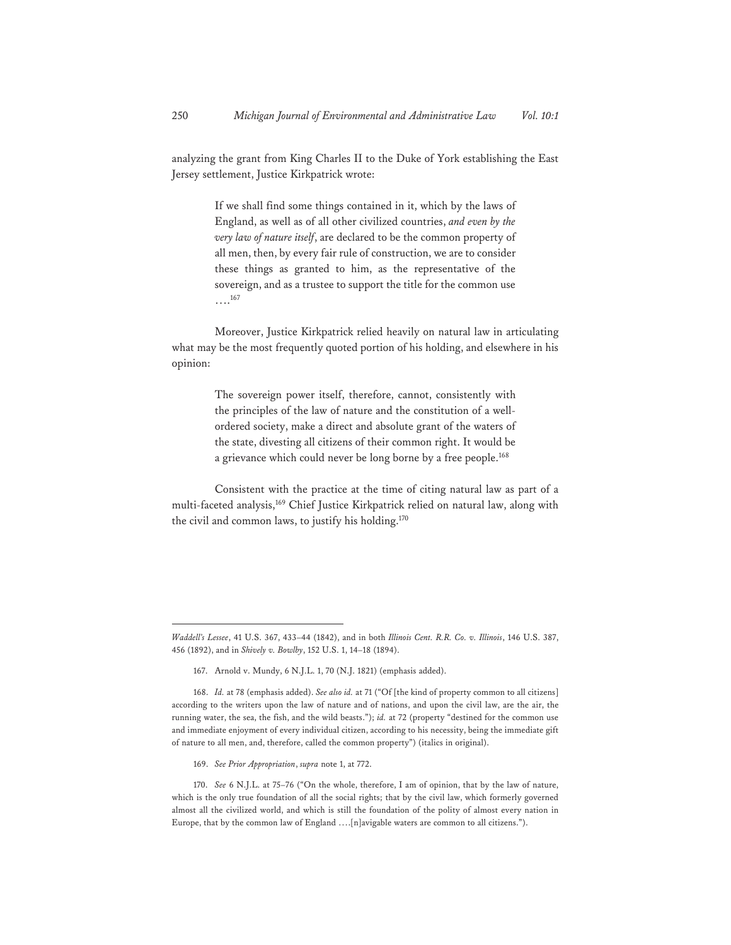analyzing the grant from King Charles II to the Duke of York establishing the East Jersey settlement, Justice Kirkpatrick wrote:

> If we shall find some things contained in it, which by the laws of England, as well as of all other civilized countries, *and even by the very law of nature itself*, are declared to be the common property of all men, then, by every fair rule of construction, we are to consider these things as granted to him, as the representative of the sovereign, and as a trustee to support the title for the common use  $\cdots^{167}$

Moreover, Justice Kirkpatrick relied heavily on natural law in articulating what may be the most frequently quoted portion of his holding, and elsewhere in his opinion:

> The sovereign power itself, therefore, cannot, consistently with the principles of the law of nature and the constitution of a wellordered society, make a direct and absolute grant of the waters of the state, divesting all citizens of their common right. It would be a grievance which could never be long borne by a free people.<sup>168</sup>

Consistent with the practice at the time of citing natural law as part of a multi-faceted analysis,<sup>169</sup> Chief Justice Kirkpatrick relied on natural law, along with the civil and common laws, to justify his holding.170

*Waddell's Lessee*, 41 U.S. 367, 433–44 (1842), and in both *Illinois Cent. R.R. Co. v. Illinois*, 146 U.S. 387, 456 (1892), and in *Shively v. Bowlby*, 152 U.S. 1, 14–18 (1894).

<sup>167.</sup> Arnold v. Mundy, 6 N.J.L. 1, 70 (N.J. 1821) (emphasis added).

<sup>168.</sup> *Id.* at 78 (emphasis added). *See also id.* at 71 ("Of [the kind of property common to all citizens] according to the writers upon the law of nature and of nations, and upon the civil law, are the air, the running water, the sea, the fish, and the wild beasts."); *id.* at 72 (property "destined for the common use and immediate enjoyment of every individual citizen, according to his necessity, being the immediate gift of nature to all men, and, therefore, called the common property") (italics in original).

<sup>169.</sup> *See Prior Appropriation*, *supra* note 1, at 772.

<sup>170.</sup> *See* 6 N.J.L. at 75–76 ("On the whole, therefore, I am of opinion, that by the law of nature, which is the only true foundation of all the social rights; that by the civil law, which formerly governed almost all the civilized world, and which is still the foundation of the polity of almost every nation in Europe, that by the common law of England ….[n]avigable waters are common to all citizens.").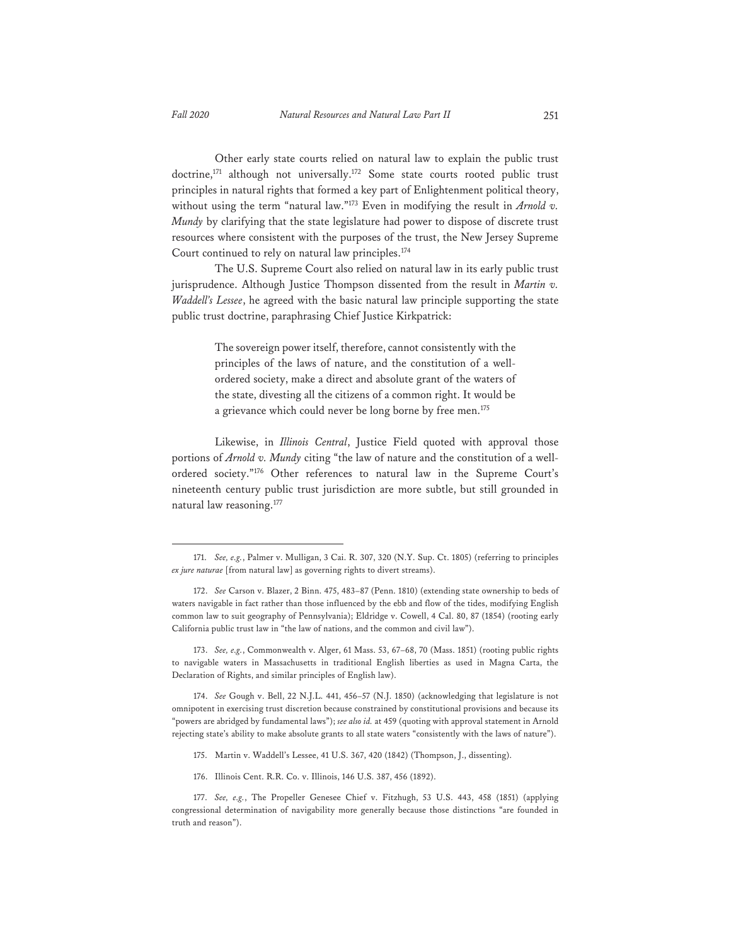Other early state courts relied on natural law to explain the public trust doctrine,<sup>171</sup> although not universally.<sup>172</sup> Some state courts rooted public trust principles in natural rights that formed a key part of Enlightenment political theory, without using the term "natural law."173 Even in modifying the result in *Arnold v. Mundy* by clarifying that the state legislature had power to dispose of discrete trust resources where consistent with the purposes of the trust, the New Jersey Supreme Court continued to rely on natural law principles.<sup>174</sup>

The U.S. Supreme Court also relied on natural law in its early public trust jurisprudence. Although Justice Thompson dissented from the result in *Martin v. Waddell's Lessee*, he agreed with the basic natural law principle supporting the state public trust doctrine, paraphrasing Chief Justice Kirkpatrick:

> The sovereign power itself, therefore, cannot consistently with the principles of the laws of nature, and the constitution of a wellordered society, make a direct and absolute grant of the waters of the state, divesting all the citizens of a common right. It would be a grievance which could never be long borne by free men.<sup>175</sup>

Likewise, in *Illinois Central*, Justice Field quoted with approval those portions of *Arnold v. Mundy* citing "the law of nature and the constitution of a wellordered society."176 Other references to natural law in the Supreme Court's nineteenth century public trust jurisdiction are more subtle, but still grounded in natural law reasoning.<sup>177</sup>

173. *See, e.g.*, Commonwealth v. Alger, 61 Mass. 53, 67–68, 70 (Mass. 1851) (rooting public rights to navigable waters in Massachusetts in traditional English liberties as used in Magna Carta, the Declaration of Rights, and similar principles of English law).

174. *See* Gough v. Bell, 22 N.J.L. 441, 456–57 (N.J. 1850) (acknowledging that legislature is not omnipotent in exercising trust discretion because constrained by constitutional provisions and because its "powers are abridged by fundamental laws"); *see also id.* at 459 (quoting with approval statement in Arnold rejecting state's ability to make absolute grants to all state waters "consistently with the laws of nature").

- 175. Martin v. Waddell's Lessee, 41 U.S. 367, 420 (1842) (Thompson, J., dissenting).
- 176. Illinois Cent. R.R. Co. v. Illinois, 146 U.S. 387, 456 (1892).

<sup>171.</sup> *See, e.g.*, Palmer v. Mulligan, 3 Cai. R. 307, 320 (N.Y. Sup. Ct. 1805) (referring to principles *ex jure naturae* [from natural law] as governing rights to divert streams).

<sup>172.</sup> *See* Carson v. Blazer, 2 Binn. 475, 483–87 (Penn. 1810) (extending state ownership to beds of waters navigable in fact rather than those influenced by the ebb and flow of the tides, modifying English common law to suit geography of Pennsylvania); Eldridge v. Cowell, 4 Cal. 80, 87 (1854) (rooting early California public trust law in "the law of nations, and the common and civil law").

<sup>177.</sup> *See, e.g.*, The Propeller Genesee Chief v. Fitzhugh, 53 U.S. 443, 458 (1851) (applying congressional determination of navigability more generally because those distinctions "are founded in truth and reason").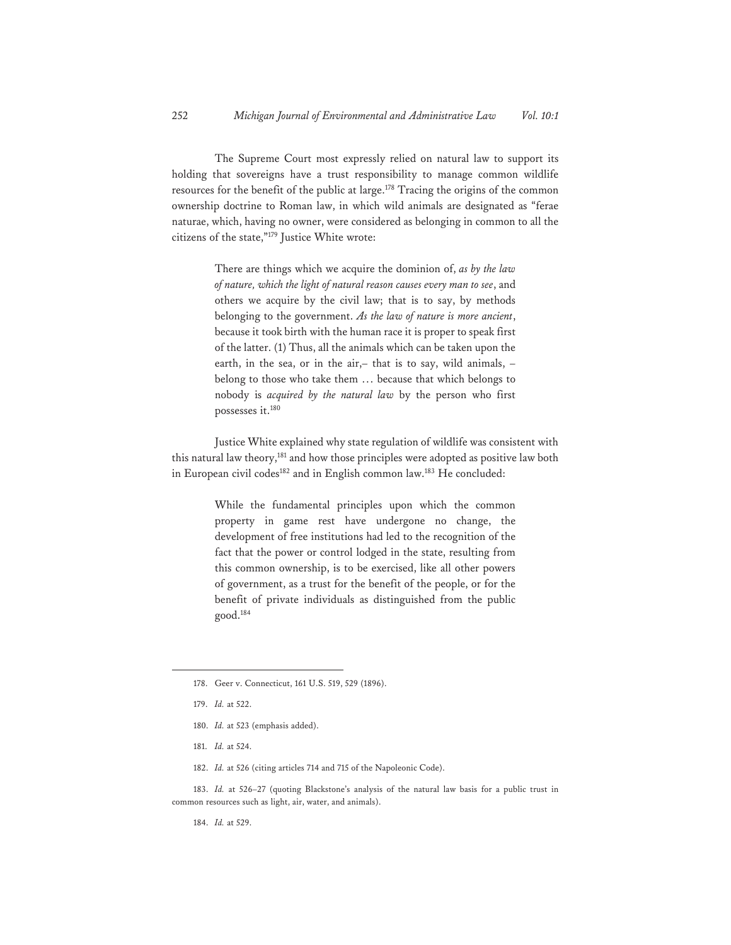The Supreme Court most expressly relied on natural law to support its holding that sovereigns have a trust responsibility to manage common wildlife resources for the benefit of the public at large.<sup>178</sup> Tracing the origins of the common ownership doctrine to Roman law, in which wild animals are designated as "ferae naturae, which, having no owner, were considered as belonging in common to all the citizens of the state,"179 Justice White wrote:

> There are things which we acquire the dominion of, *as by the law of nature, which the light of natural reason causes every man to see*, and others we acquire by the civil law; that is to say, by methods belonging to the government. *As the law of nature is more ancient*, because it took birth with the human race it is proper to speak first of the latter. (1) Thus, all the animals which can be taken upon the earth, in the sea, or in the air,– that is to say, wild animals, – belong to those who take them … because that which belongs to nobody is *acquired by the natural law* by the person who first possesses it.<sup>180</sup>

Justice White explained why state regulation of wildlife was consistent with this natural law theory,<sup>181</sup> and how those principles were adopted as positive law both in European civil codes<sup>182</sup> and in English common law.<sup>183</sup> He concluded:

> While the fundamental principles upon which the common property in game rest have undergone no change, the development of free institutions had led to the recognition of the fact that the power or control lodged in the state, resulting from this common ownership, is to be exercised, like all other powers of government, as a trust for the benefit of the people, or for the benefit of private individuals as distinguished from the public good.184

- 180. *Id.* at 523 (emphasis added).
- 181. *Id.* at 524.
- 182. *Id.* at 526 (citing articles 714 and 715 of the Napoleonic Code).

183. *Id.* at 526–27 (quoting Blackstone's analysis of the natural law basis for a public trust in common resources such as light, air, water, and animals).

184. *Id.* at 529.

<sup>178.</sup> Geer v. Connecticut, 161 U.S. 519, 529 (1896).

<sup>179.</sup> *Id.* at 522.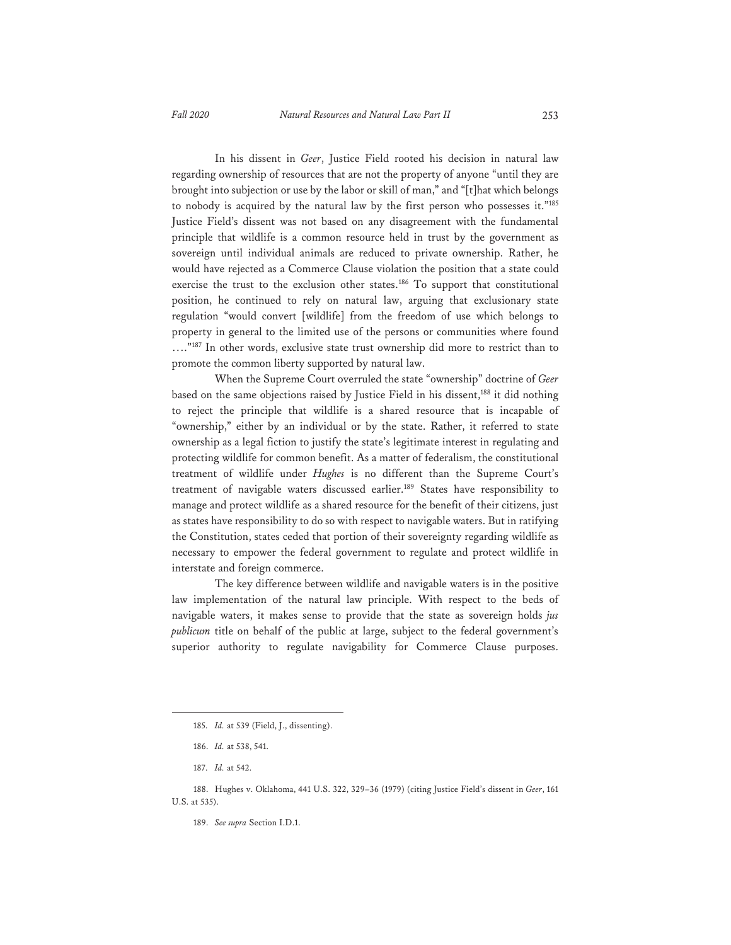In his dissent in *Geer*, Justice Field rooted his decision in natural law regarding ownership of resources that are not the property of anyone "until they are brought into subjection or use by the labor or skill of man," and "[t]hat which belongs to nobody is acquired by the natural law by the first person who possesses it."185 Justice Field's dissent was not based on any disagreement with the fundamental principle that wildlife is a common resource held in trust by the government as sovereign until individual animals are reduced to private ownership. Rather, he would have rejected as a Commerce Clause violation the position that a state could exercise the trust to the exclusion other states.<sup>186</sup> To support that constitutional position, he continued to rely on natural law, arguing that exclusionary state regulation "would convert [wildlife] from the freedom of use which belongs to property in general to the limited use of the persons or communities where found ...."<sup>187</sup> In other words, exclusive state trust ownership did more to restrict than to promote the common liberty supported by natural law.

When the Supreme Court overruled the state "ownership" doctrine of *Geer* based on the same objections raised by Justice Field in his dissent,<sup>188</sup> it did nothing to reject the principle that wildlife is a shared resource that is incapable of "ownership," either by an individual or by the state. Rather, it referred to state ownership as a legal fiction to justify the state's legitimate interest in regulating and protecting wildlife for common benefit. As a matter of federalism, the constitutional treatment of wildlife under *Hughes* is no different than the Supreme Court's treatment of navigable waters discussed earlier.<sup>189</sup> States have responsibility to manage and protect wildlife as a shared resource for the benefit of their citizens, just as states have responsibility to do so with respect to navigable waters. But in ratifying the Constitution, states ceded that portion of their sovereignty regarding wildlife as necessary to empower the federal government to regulate and protect wildlife in interstate and foreign commerce.

The key difference between wildlife and navigable waters is in the positive law implementation of the natural law principle. With respect to the beds of navigable waters, it makes sense to provide that the state as sovereign holds *jus publicum* title on behalf of the public at large, subject to the federal government's superior authority to regulate navigability for Commerce Clause purposes.

<sup>185.</sup> *Id.* at 539 (Field, J., dissenting).

<sup>186.</sup> *Id.* at 538, 541.

<sup>187.</sup> *Id.* at 542.

<sup>188.</sup> Hughes v. Oklahoma, 441 U.S. 322, 329–36 (1979) (citing Justice Field's dissent in *Geer*, 161 U.S. at 535).

<sup>189.</sup> *See supra* Section I.D.1.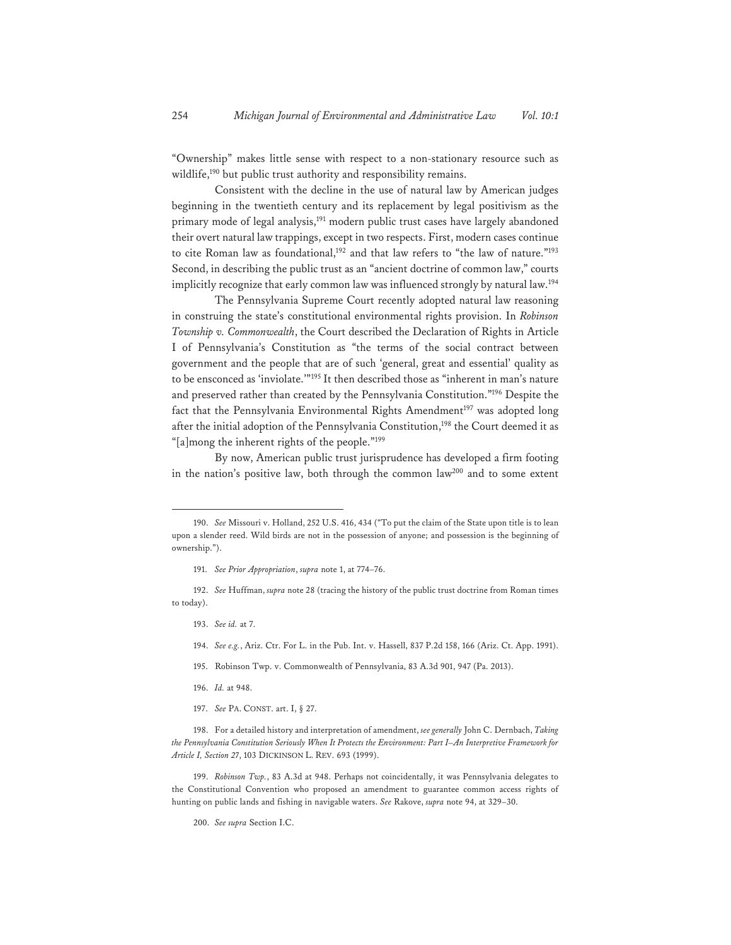"Ownership" makes little sense with respect to a non-stationary resource such as wildlife,<sup>190</sup> but public trust authority and responsibility remains.

Consistent with the decline in the use of natural law by American judges beginning in the twentieth century and its replacement by legal positivism as the primary mode of legal analysis,<sup>191</sup> modern public trust cases have largely abandoned their overt natural law trappings, except in two respects. First, modern cases continue to cite Roman law as foundational,<sup>192</sup> and that law refers to "the law of nature."<sup>193</sup> Second, in describing the public trust as an "ancient doctrine of common law," courts implicitly recognize that early common law was influenced strongly by natural law.<sup>194</sup>

The Pennsylvania Supreme Court recently adopted natural law reasoning in construing the state's constitutional environmental rights provision. In *Robinson Township v. Commonwealth*, the Court described the Declaration of Rights in Article I of Pennsylvania's Constitution as "the terms of the social contract between government and the people that are of such 'general, great and essential' quality as to be ensconced as 'inviolate.'"195 It then described those as "inherent in man's nature and preserved rather than created by the Pennsylvania Constitution."196 Despite the fact that the Pennsylvania Environmental Rights Amendment<sup>197</sup> was adopted long after the initial adoption of the Pennsylvania Constitution,<sup>198</sup> the Court deemed it as "[a]mong the inherent rights of the people."199

By now, American public trust jurisprudence has developed a firm footing in the nation's positive law, both through the common law<sup>200</sup> and to some extent

192. *See* Huffman, *supra* note 28 (tracing the history of the public trust doctrine from Roman times to today).

- 193. *See id.* at 7.
- 194. *See e.g.*, Ariz. Ctr. For L. in the Pub. Int. v. Hassell, 837 P.2d 158, 166 (Ariz. Ct. App. 1991).
- 195. Robinson Twp. v. Commonwealth of Pennsylvania, 83 A.3d 901, 947 (Pa. 2013).
- 196. *Id.* at 948.
- 197. *See* PA. CONST. art. I, § 27.

198. For a detailed history and interpretation of amendment, *see generally* John C. Dernbach, *Taking the Pennsylvania Constitution Seriously When It Protects the Environment: Part I–An Interpretive Framework for Article I, Section 27*, 103 DICKINSON L. REV. 693 (1999).

199. *Robinson Twp.*, 83 A.3d at 948. Perhaps not coincidentally, it was Pennsylvania delegates to the Constitutional Convention who proposed an amendment to guarantee common access rights of hunting on public lands and fishing in navigable waters. *See* Rakove, *supra* note 94, at 329–30.

200. *See supra* Section I.C.

<sup>190.</sup> *See* Missouri v. Holland, 252 U.S. 416, 434 ("To put the claim of the State upon title is to lean upon a slender reed. Wild birds are not in the possession of anyone; and possession is the beginning of ownership.").

<sup>191.</sup> *See Prior Appropriation*, *supra* note 1, at 774–76.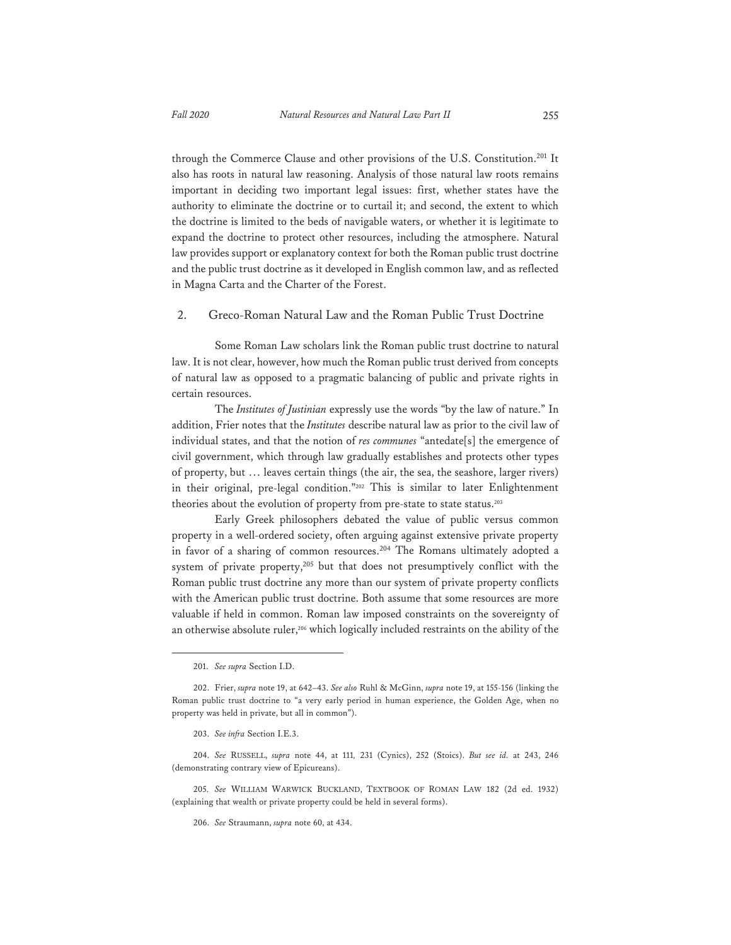through the Commerce Clause and other provisions of the U.S. Constitution.<sup>201</sup> It also has roots in natural law reasoning. Analysis of those natural law roots remains important in deciding two important legal issues: first, whether states have the authority to eliminate the doctrine or to curtail it; and second, the extent to which the doctrine is limited to the beds of navigable waters, or whether it is legitimate to expand the doctrine to protect other resources, including the atmosphere. Natural law provides support or explanatory context for both the Roman public trust doctrine

#### 2. Greco-Roman Natural Law and the Roman Public Trust Doctrine

in Magna Carta and the Charter of the Forest.

and the public trust doctrine as it developed in English common law, and as reflected

Some Roman Law scholars link the Roman public trust doctrine to natural law. It is not clear, however, how much the Roman public trust derived from concepts of natural law as opposed to a pragmatic balancing of public and private rights in certain resources.

The *Institutes of Justinian* expressly use the words "by the law of nature." In addition, Frier notes that the *Institutes* describe natural law as prior to the civil law of individual states, and that the notion of *res communes* "antedate[s] the emergence of civil government, which through law gradually establishes and protects other types of property, but … leaves certain things (the air, the sea, the seashore, larger rivers) in their original, pre-legal condition."202 This is similar to later Enlightenment theories about the evolution of property from pre-state to state status.<sup>203</sup>

Early Greek philosophers debated the value of public versus common property in a well-ordered society, often arguing against extensive private property in favor of a sharing of common resources.<sup>204</sup> The Romans ultimately adopted a system of private property, $205$  but that does not presumptively conflict with the Roman public trust doctrine any more than our system of private property conflicts with the American public trust doctrine. Both assume that some resources are more valuable if held in common. Roman law imposed constraints on the sovereignty of an otherwise absolute ruler,<sup>206</sup> which logically included restraints on the ability of the

<sup>201.</sup> *See supra* Section I.D.

<sup>202.</sup> Frier, *supra* note 19, at 642–43. *See also* Ruhl & McGinn, *supra* note 19, at 155-156 (linking the Roman public trust doctrine to "a very early period in human experience, the Golden Age, when no property was held in private, but all in common").

<sup>203.</sup> *See infra* Section I.E.3.

<sup>204.</sup> *See* RUSSELL, *supra* note 44, at 111*,* 231 (Cynics), 252 (Stoics). *But see id.* at 243, 246 (demonstrating contrary view of Epicureans).

<sup>205.</sup> *See* WILLIAM WARWICK BUCKLAND, TEXTBOOK OF ROMAN LAW 182 (2d ed. 1932) (explaining that wealth or private property could be held in several forms).

<sup>206.</sup> *See* Straumann, *supra* note 60, at 434.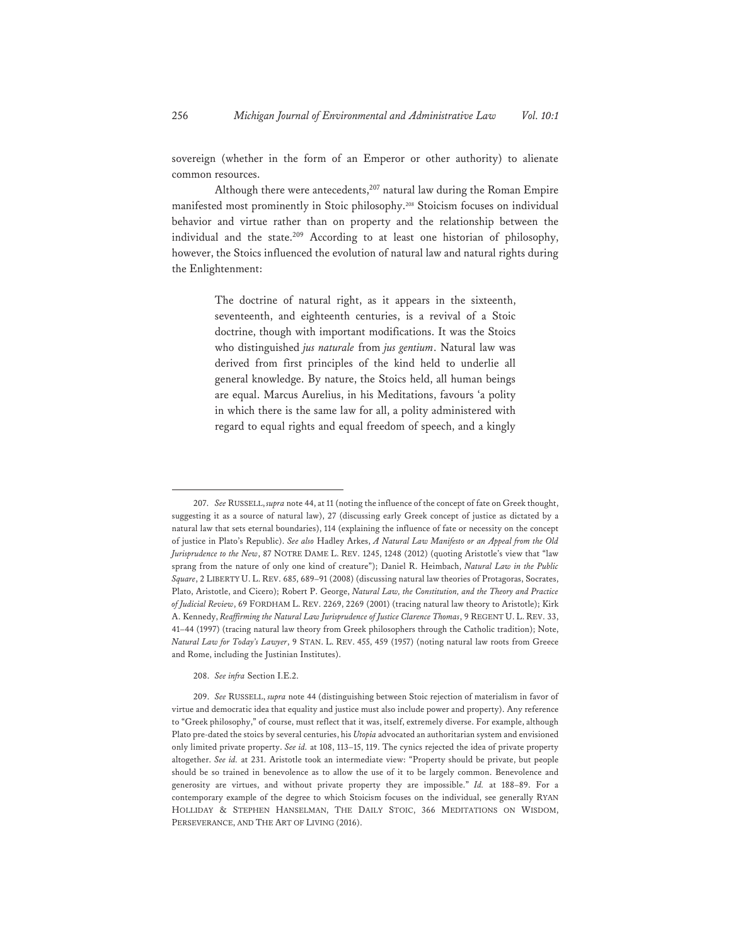sovereign (whether in the form of an Emperor or other authority) to alienate common resources.

Although there were antecedents,<sup>207</sup> natural law during the Roman Empire manifested most prominently in Stoic philosophy.208 Stoicism focuses on individual behavior and virtue rather than on property and the relationship between the individual and the state.<sup>209</sup> According to at least one historian of philosophy, however, the Stoics influenced the evolution of natural law and natural rights during the Enlightenment:

> The doctrine of natural right, as it appears in the sixteenth, seventeenth, and eighteenth centuries, is a revival of a Stoic doctrine, though with important modifications. It was the Stoics who distinguished *jus naturale* from *jus gentium*. Natural law was derived from first principles of the kind held to underlie all general knowledge. By nature, the Stoics held, all human beings are equal. Marcus Aurelius, in his Meditations, favours 'a polity in which there is the same law for all, a polity administered with regard to equal rights and equal freedom of speech, and a kingly

<sup>207.</sup> *See* RUSSELL, *supra* note 44, at 11 (noting the influence of the concept of fate on Greek thought, suggesting it as a source of natural law), 27 (discussing early Greek concept of justice as dictated by a natural law that sets eternal boundaries), 114 (explaining the influence of fate or necessity on the concept of justice in Plato's Republic). *See also* Hadley Arkes, *A Natural Law Manifesto or an Appeal from the Old Jurisprudence to the New*, 87 NOTRE DAME L. REV. 1245, 1248 (2012) (quoting Aristotle's view that "law sprang from the nature of only one kind of creature"); Daniel R. Heimbach, *Natural Law in the Public Square*, 2 LIBERTY U. L. REV. 685, 689–91 (2008) (discussing natural law theories of Protagoras, Socrates, Plato, Aristotle, and Cicero); Robert P. George, *Natural Law, the Constitution, and the Theory and Practice of Judicial Review*, 69 FORDHAM L. REV. 2269, 2269 (2001) (tracing natural law theory to Aristotle); Kirk A. Kennedy, *Reaffirming the Natural Law Jurisprudence of Justice Clarence Thomas*, 9 REGENT U. L. REV. 33, 41–44 (1997) (tracing natural law theory from Greek philosophers through the Catholic tradition); Note, *Natural Law for Today's Lawyer*, 9 STAN. L. REV. 455, 459 (1957) (noting natural law roots from Greece and Rome, including the Justinian Institutes).

<sup>208.</sup> *See infra* Section I.E.2.

<sup>209.</sup> *See* RUSSELL, *supra* note 44 (distinguishing between Stoic rejection of materialism in favor of virtue and democratic idea that equality and justice must also include power and property). Any reference to "Greek philosophy," of course, must reflect that it was, itself, extremely diverse. For example, although Plato pre-dated the stoics by several centuries, his *Utopia* advocated an authoritarian system and envisioned only limited private property. *See id.* at 108, 113–15, 119. The cynics rejected the idea of private property altogether. *See id.* at 231. Aristotle took an intermediate view: "Property should be private, but people should be so trained in benevolence as to allow the use of it to be largely common. Benevolence and generosity are virtues, and without private property they are impossible." *Id.* at 188–89. For a contemporary example of the degree to which Stoicism focuses on the individual, see generally RYAN HOLLIDAY & STEPHEN HANSELMAN, THE DAILY STOIC, 366 MEDITATIONS ON WISDOM, PERSEVERANCE, AND THE ART OF LIVING (2016).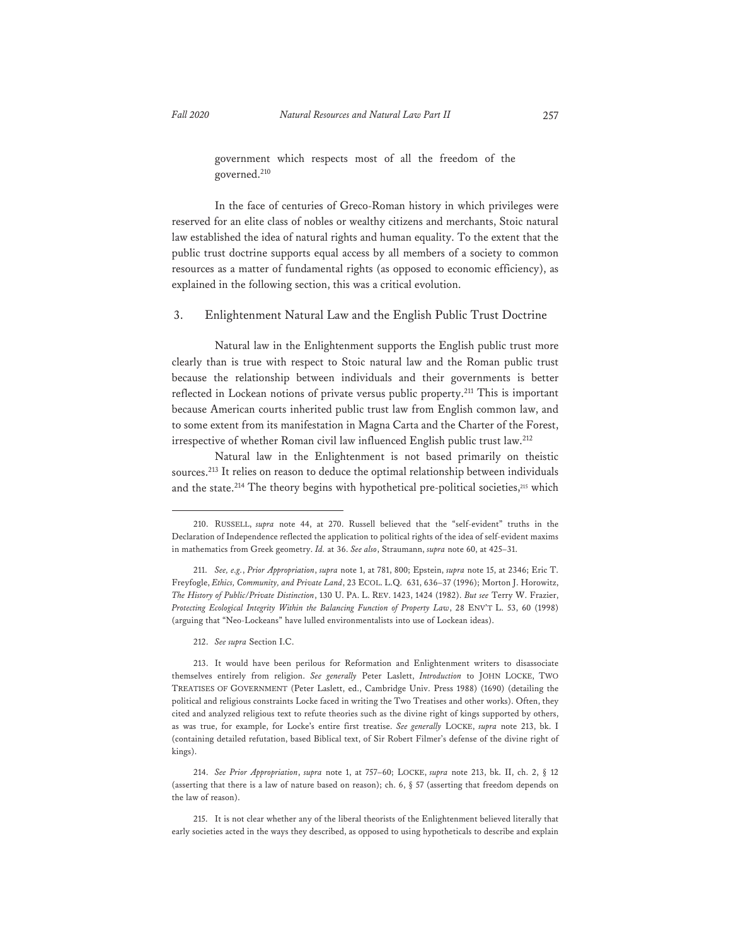government which respects most of all the freedom of the governed.210

In the face of centuries of Greco-Roman history in which privileges were reserved for an elite class of nobles or wealthy citizens and merchants, Stoic natural law established the idea of natural rights and human equality. To the extent that the public trust doctrine supports equal access by all members of a society to common resources as a matter of fundamental rights (as opposed to economic efficiency), as explained in the following section, this was a critical evolution.

3. Enlightenment Natural Law and the English Public Trust Doctrine

Natural law in the Enlightenment supports the English public trust more clearly than is true with respect to Stoic natural law and the Roman public trust because the relationship between individuals and their governments is better reflected in Lockean notions of private versus public property.211 This is important because American courts inherited public trust law from English common law, and to some extent from its manifestation in Magna Carta and the Charter of the Forest, irrespective of whether Roman civil law influenced English public trust law.212

Natural law in the Enlightenment is not based primarily on theistic sources.213 It relies on reason to deduce the optimal relationship between individuals and the state.<sup>214</sup> The theory begins with hypothetical pre-political societies,<sup>215</sup> which

<sup>210.</sup> RUSSELL, *supra* note 44, at 270. Russell believed that the "self-evident" truths in the Declaration of Independence reflected the application to political rights of the idea of self-evident maxims in mathematics from Greek geometry. *Id.* at 36. *See also*, Straumann, *supra* note 60, at 425–31.

<sup>211.</sup> *See, e.g.*, *Prior Appropriation*, *supra* note 1, at 781, 800; Epstein, *supra* note 15, at 2346; Eric T. Freyfogle, *Ethics, Community, and Private Land*, 23 ECOL. L.Q. 631, 636–37 (1996); Morton J. Horowitz, *The History of Public/Private Distinction*, 130 U. PA. L. REV. 1423, 1424 (1982). *But see* Terry W. Frazier, *Protecting Ecological Integrity Within the Balancing Function of Property Law*, 28 ENV'T L. 53, 60 (1998) (arguing that "Neo-Lockeans" have lulled environmentalists into use of Lockean ideas).

<sup>212.</sup> *See supra* Section I.C.

<sup>213.</sup> It would have been perilous for Reformation and Enlightenment writers to disassociate themselves entirely from religion. *See generally* Peter Laslett, *Introduction* to JOHN LOCKE, TWO TREATISES OF GOVERNMENT (Peter Laslett, ed., Cambridge Univ. Press 1988) (1690) (detailing the political and religious constraints Locke faced in writing the Two Treatises and other works). Often, they cited and analyzed religious text to refute theories such as the divine right of kings supported by others, as was true, for example, for Locke's entire first treatise. *See generally* LOCKE, *supra* note 213, bk. I (containing detailed refutation, based Biblical text, of Sir Robert Filmer's defense of the divine right of kings).

<sup>214.</sup> *See Prior Appropriation*, *supra* note 1, at 757–60; LOCKE, *supra* note 213, bk. II, ch. 2, § 12 (asserting that there is a law of nature based on reason); ch. 6, § 57 (asserting that freedom depends on the law of reason).

<sup>215.</sup> It is not clear whether any of the liberal theorists of the Enlightenment believed literally that early societies acted in the ways they described, as opposed to using hypotheticals to describe and explain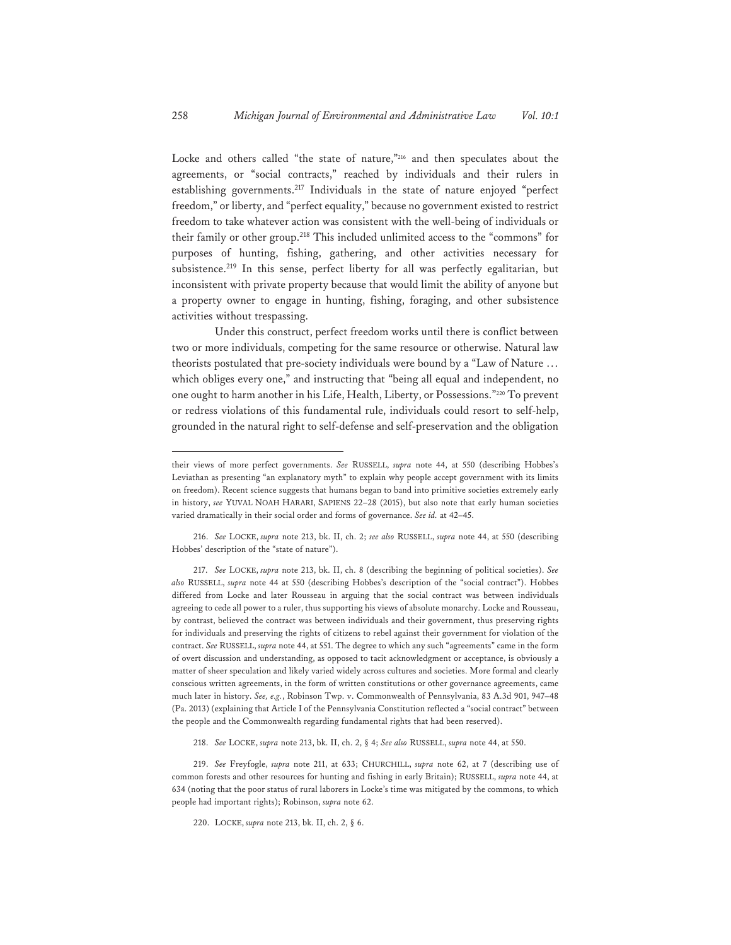Locke and others called "the state of nature,"<sup>216</sup> and then speculates about the agreements, or "social contracts," reached by individuals and their rulers in establishing governments.<sup>217</sup> Individuals in the state of nature enjoyed "perfect freedom," or liberty, and "perfect equality," because no government existed to restrict freedom to take whatever action was consistent with the well-being of individuals or their family or other group.218 This included unlimited access to the "commons" for purposes of hunting, fishing, gathering, and other activities necessary for subsistence.<sup>219</sup> In this sense, perfect liberty for all was perfectly egalitarian, but inconsistent with private property because that would limit the ability of anyone but a property owner to engage in hunting, fishing, foraging, and other subsistence activities without trespassing.

Under this construct, perfect freedom works until there is conflict between two or more individuals, competing for the same resource or otherwise. Natural law theorists postulated that pre-society individuals were bound by a "Law of Nature … which obliges every one," and instructing that "being all equal and independent, no one ought to harm another in his Life, Health, Liberty, or Possessions."220 To prevent or redress violations of this fundamental rule, individuals could resort to self-help, grounded in the natural right to self-defense and self-preservation and the obligation

216. *See* LOCKE, *supra* note 213, bk. II, ch. 2; *see also* RUSSELL, *supra* note 44, at 550 (describing Hobbes' description of the "state of nature").

217. *See* LOCKE, *supra* note 213, bk. II, ch. 8 (describing the beginning of political societies). *See also* RUSSELL, *supra* note 44 at 550 (describing Hobbes's description of the "social contract"). Hobbes differed from Locke and later Rousseau in arguing that the social contract was between individuals agreeing to cede all power to a ruler, thus supporting his views of absolute monarchy. Locke and Rousseau, by contrast, believed the contract was between individuals and their government, thus preserving rights for individuals and preserving the rights of citizens to rebel against their government for violation of the contract. *See* RUSSELL, *supra* note 44, at 551. The degree to which any such "agreements" came in the form of overt discussion and understanding, as opposed to tacit acknowledgment or acceptance, is obviously a matter of sheer speculation and likely varied widely across cultures and societies. More formal and clearly conscious written agreements, in the form of written constitutions or other governance agreements, came much later in history. *See, e.g.*, Robinson Twp. v. Commonwealth of Pennsylvania, 83 A.3d 901, 947–48 (Pa. 2013) (explaining that Article I of the Pennsylvania Constitution reflected a "social contract" between the people and the Commonwealth regarding fundamental rights that had been reserved).

218. *See* LOCKE, *supra* note 213, bk. II, ch. 2, § 4; *See also* RUSSELL, *supra* note 44, at 550.

219. *See* Freyfogle, *supra* note 211, at 633; CHURCHILL, *supra* note 62, at 7 (describing use of common forests and other resources for hunting and fishing in early Britain); RUSSELL, *supra* note 44, at 634 (noting that the poor status of rural laborers in Locke's time was mitigated by the commons, to which people had important rights); Robinson, *supra* note 62.

220. LOCKE, *supra* note 213, bk. II, ch. 2, § 6.

their views of more perfect governments. *See* RUSSELL, *supra* note 44, at 550 (describing Hobbes's Leviathan as presenting "an explanatory myth" to explain why people accept government with its limits on freedom). Recent science suggests that humans began to band into primitive societies extremely early in history, *see* YUVAL NOAH HARARI, SAPIENS 22–28 (2015), but also note that early human societies varied dramatically in their social order and forms of governance. *See id.* at 42–45.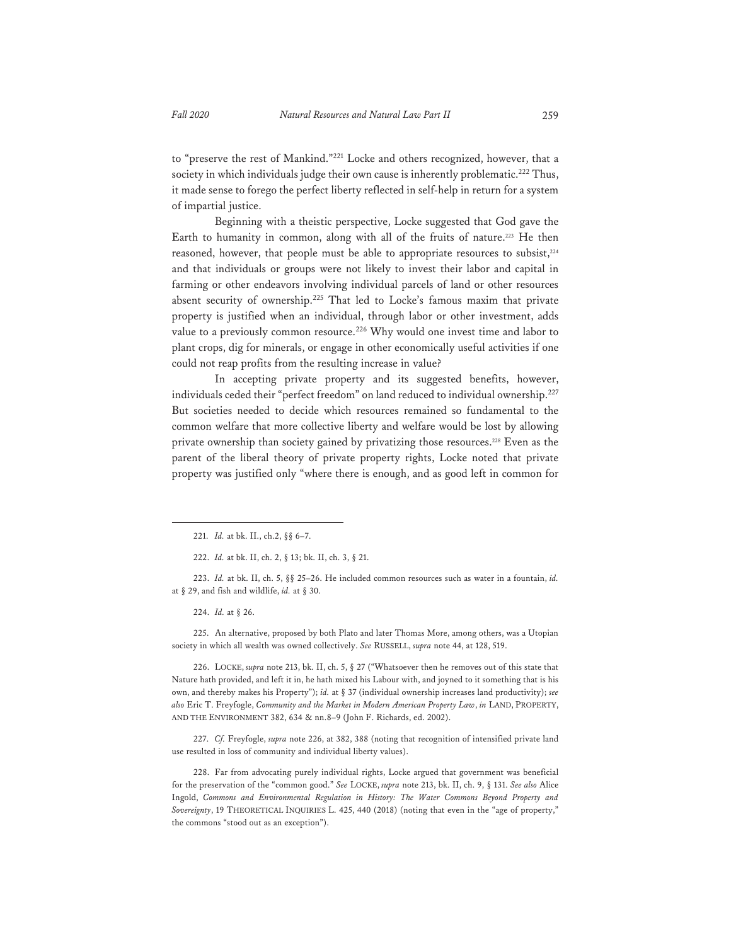to "preserve the rest of Mankind."221 Locke and others recognized, however, that a society in which individuals judge their own cause is inherently problematic.<sup>222</sup> Thus, it made sense to forego the perfect liberty reflected in self-help in return for a system of impartial justice.

Beginning with a theistic perspective, Locke suggested that God gave the Earth to humanity in common, along with all of the fruits of nature.<sup>223</sup> He then reasoned, however, that people must be able to appropriate resources to subsist,224 and that individuals or groups were not likely to invest their labor and capital in farming or other endeavors involving individual parcels of land or other resources absent security of ownership.<sup>225</sup> That led to Locke's famous maxim that private property is justified when an individual, through labor or other investment, adds value to a previously common resource.<sup>226</sup> Why would one invest time and labor to plant crops, dig for minerals, or engage in other economically useful activities if one could not reap profits from the resulting increase in value?

In accepting private property and its suggested benefits, however, individuals ceded their "perfect freedom" on land reduced to individual ownership.<sup>227</sup> But societies needed to decide which resources remained so fundamental to the common welfare that more collective liberty and welfare would be lost by allowing private ownership than society gained by privatizing those resources.<sup>228</sup> Even as the parent of the liberal theory of private property rights, Locke noted that private property was justified only "where there is enough, and as good left in common for

223. *Id.* at bk. II, ch. 5, §§ 25–26. He included common resources such as water in a fountain, *id.* at § 29, and fish and wildlife, *id.* at § 30.

224. *Id.* at § 26.

225. An alternative, proposed by both Plato and later Thomas More, among others, was a Utopian society in which all wealth was owned collectively. *See* RUSSELL, *supra* note 44, at 128, 519.

226. LOCKE, *supra* note 213, bk. II, ch. 5, § 27 ("Whatsoever then he removes out of this state that Nature hath provided, and left it in, he hath mixed his Labour with, and joyned to it something that is his own, and thereby makes his Property"); *id.* at § 37 (individual ownership increases land productivity); *see also* Eric T. Freyfogle, *Community and the Market in Modern American Property Law*, *in* LAND, PROPERTY, AND THE ENVIRONMENT 382, 634 & nn.8–9 (John F. Richards, ed. 2002).

227. *Cf.* Freyfogle, *supra* note 226, at 382, 388 (noting that recognition of intensified private land use resulted in loss of community and individual liberty values).

228. Far from advocating purely individual rights, Locke argued that government was beneficial for the preservation of the "common good." *See* LOCKE, *supra* note 213, bk. II, ch. 9, § 131. *See also* Alice Ingold, *Commons and Environmental Regulation in History: The Water Commons Beyond Property and Sovereignty*, 19 THEORETICAL INQUIRIES L. 425, 440 (2018) (noting that even in the "age of property," the commons "stood out as an exception").

<sup>221.</sup> *Id.* at bk. II., ch.2, §§ 6–7.

<sup>222.</sup> *Id.* at bk. II, ch. 2, § 13; bk. II, ch. 3, § 21.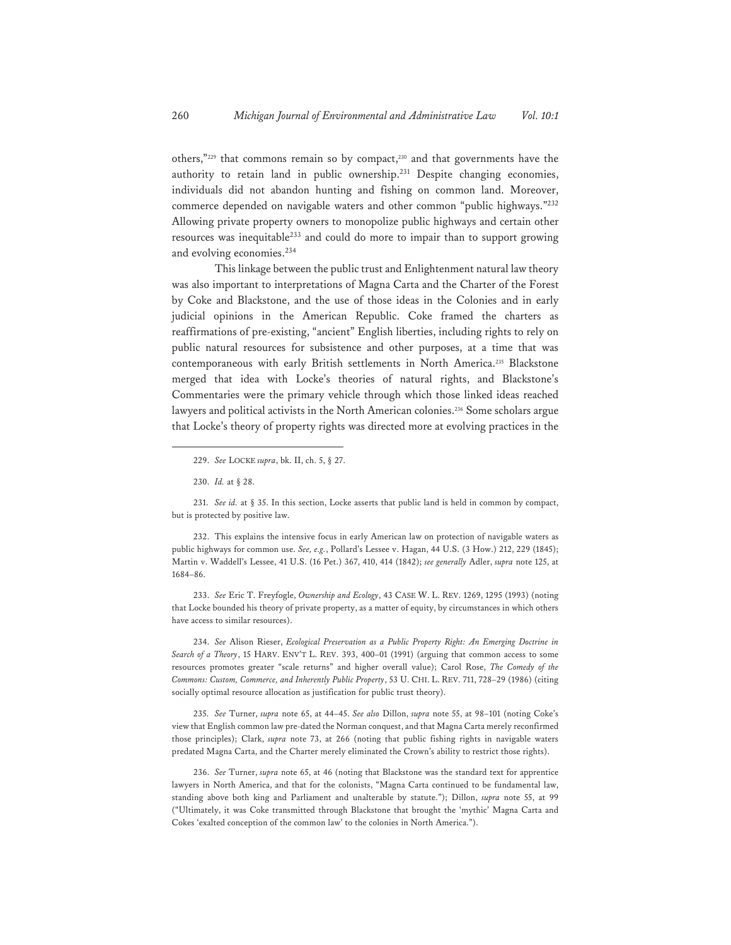others,"229 that commons remain so by compact,230 and that governments have the authority to retain land in public ownership.231 Despite changing economies, individuals did not abandon hunting and fishing on common land. Moreover, commerce depended on navigable waters and other common "public highways."<sup>232</sup> Allowing private property owners to monopolize public highways and certain other resources was inequitable<sup>233</sup> and could do more to impair than to support growing and evolving economies.234

This linkage between the public trust and Enlightenment natural law theory was also important to interpretations of Magna Carta and the Charter of the Forest by Coke and Blackstone, and the use of those ideas in the Colonies and in early judicial opinions in the American Republic. Coke framed the charters as reaffirmations of pre-existing, "ancient" English liberties, including rights to rely on public natural resources for subsistence and other purposes, at a time that was contemporaneous with early British settlements in North America.235 Blackstone merged that idea with Locke's theories of natural rights, and Blackstone's Commentaries were the primary vehicle through which those linked ideas reached lawyers and political activists in the North American colonies.236 Some scholars argue that Locke's theory of property rights was directed more at evolving practices in the

231. *See id.* at § 35. In this section, Locke asserts that public land is held in common by compact, but is protected by positive law.

232. This explains the intensive focus in early American law on protection of navigable waters as public highways for common use. *See, e.g.*, Pollard's Lessee v. Hagan, 44 U.S. (3 How.) 212, 229 (1845); Martin v. Waddell's Lessee, 41 U.S. (16 Pet.) 367, 410, 414 (1842); *see generally* Adler, *supra* note 125, at 1684–86.

233. *See* Eric T. Freyfogle, *Ownership and Ecology*, 43 CASE W. L. REV. 1269, 1295 (1993) (noting that Locke bounded his theory of private property, as a matter of equity, by circumstances in which others have access to similar resources).

234. *See* Alison Rieser, *Ecological Preservation as a Public Property Right: An Emerging Doctrine in Search of a Theory*, 15 HARV. ENV'T L. REV. 393, 400–01 (1991) (arguing that common access to some resources promotes greater "scale returns" and higher overall value); Carol Rose, *The Comedy of the Commons: Custom, Commerce, and Inherently Public Property*, 53 U. CHI. L. REV. 711, 728–29 (1986) (citing socially optimal resource allocation as justification for public trust theory).

235. *See* Turner, *supra* note 65, at 44–45. *See also* Dillon, *supra* note 55, at 98–101 (noting Coke's view that English common law pre-dated the Norman conquest, and that Magna Carta merely reconfirmed those principles); Clark, *supra* note 73, at 266 (noting that public fishing rights in navigable waters predated Magna Carta, and the Charter merely eliminated the Crown's ability to restrict those rights).

236. *See* Turner, *supra* note 65, at 46 (noting that Blackstone was the standard text for apprentice lawyers in North America, and that for the colonists, "Magna Carta continued to be fundamental law, standing above both king and Parliament and unalterable by statute."); Dillon, *supra* note 55, at 99 ("Ultimately, it was Coke transmitted through Blackstone that brought the 'mythic' Magna Carta and Cokes 'exalted conception of the common law' to the colonies in North America.").

<sup>229.</sup> *See* LOCKE *supra*, bk. II, ch. 5, § 27.

<sup>230.</sup> *Id.* at § 28.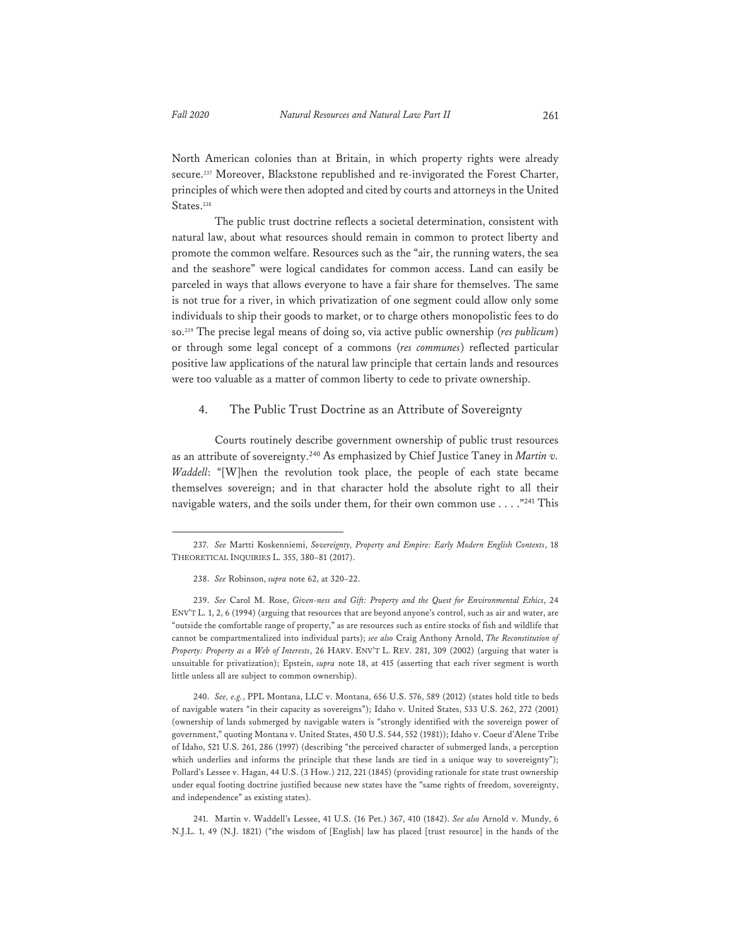North American colonies than at Britain, in which property rights were already secure.237 Moreover, Blackstone republished and re-invigorated the Forest Charter, principles of which were then adopted and cited by courts and attorneys in the United States.<sup>238</sup>

The public trust doctrine reflects a societal determination, consistent with natural law, about what resources should remain in common to protect liberty and promote the common welfare. Resources such as the "air, the running waters, the sea and the seashore" were logical candidates for common access. Land can easily be parceled in ways that allows everyone to have a fair share for themselves. The same is not true for a river, in which privatization of one segment could allow only some individuals to ship their goods to market, or to charge others monopolistic fees to do so.239 The precise legal means of doing so, via active public ownership (*res publicum*) or through some legal concept of a commons (*res communes*) reflected particular positive law applications of the natural law principle that certain lands and resources were too valuable as a matter of common liberty to cede to private ownership.

#### 4. The Public Trust Doctrine as an Attribute of Sovereignty

Courts routinely describe government ownership of public trust resources as an attribute of sovereignty.240 As emphasized by Chief Justice Taney in *Martin v. Waddell*: "[W]hen the revolution took place, the people of each state became themselves sovereign; and in that character hold the absolute right to all their navigable waters, and the soils under them, for their own common use . . . . "<sup>241</sup> This

241. Martin v. Waddell's Lessee, 41 U.S. (16 Pet.) 367, 410 (1842). *See also* Arnold v. Mundy, 6 N.J.L. 1, 49 (N.J. 1821) ("the wisdom of [English] law has placed [trust resource] in the hands of the

<sup>237.</sup> *See* Martti Koskenniemi, *Sovereignty, Property and Empire: Early Modern English Contexts*, 18 THEORETICAL INQUIRIES L. 355, 380–81 (2017).

<sup>238.</sup> *See* Robinson, *supra* note 62, at 320–22.

<sup>239.</sup> *See* Carol M. Rose, *Given-ness and Gift: Property and the Quest for Environmental Ethics*, 24 ENV'T L. 1, 2, 6 (1994) (arguing that resources that are beyond anyone's control, such as air and water, are "outside the comfortable range of property," as are resources such as entire stocks of fish and wildlife that cannot be compartmentalized into individual parts); *see also* Craig Anthony Arnold, *The Reconstitution of Property: Property as a Web of Interests*, 26 HARV. ENV'T L. REV. 281, 309 (2002) (arguing that water is unsuitable for privatization); Epstein, *supra* note 18, at 415 (asserting that each river segment is worth little unless all are subject to common ownership).

<sup>240.</sup> *See, e.g.*, PPL Montana, LLC v. Montana, 656 U.S. 576, 589 (2012) (states hold title to beds of navigable waters "in their capacity as sovereigns"); Idaho v. United States, 533 U.S. 262, 272 (2001) (ownership of lands submerged by navigable waters is "strongly identified with the sovereign power of government," quoting Montana v. United States, 450 U.S. 544, 552 (1981)); Idaho v. Coeur d'Alene Tribe of Idaho, 521 U.S. 261, 286 (1997) (describing "the perceived character of submerged lands, a perception which underlies and informs the principle that these lands are tied in a unique way to sovereignty"); Pollard's Lessee v. Hagan, 44 U.S. (3 How.) 212, 221 (1845) (providing rationale for state trust ownership under equal footing doctrine justified because new states have the "same rights of freedom, sovereignty, and independence" as existing states).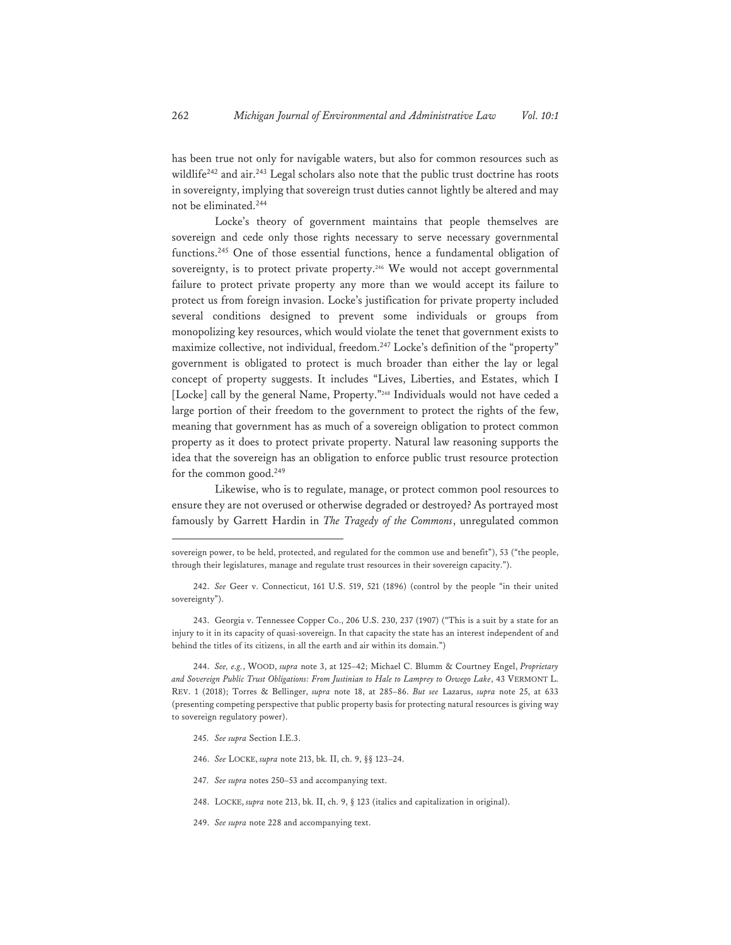has been true not only for navigable waters, but also for common resources such as wildlife<sup>242</sup> and air.<sup>243</sup> Legal scholars also note that the public trust doctrine has roots in sovereignty, implying that sovereign trust duties cannot lightly be altered and may not be eliminated.<sup>244</sup>

Locke's theory of government maintains that people themselves are sovereign and cede only those rights necessary to serve necessary governmental functions.245 One of those essential functions, hence a fundamental obligation of sovereignty, is to protect private property.<sup>246</sup> We would not accept governmental failure to protect private property any more than we would accept its failure to protect us from foreign invasion. Locke's justification for private property included several conditions designed to prevent some individuals or groups from monopolizing key resources, which would violate the tenet that government exists to maximize collective, not individual, freedom.247 Locke's definition of the "property" government is obligated to protect is much broader than either the lay or legal concept of property suggests. It includes "Lives, Liberties, and Estates, which I [Locke] call by the general Name, Property."<sup>248</sup> Individuals would not have ceded a large portion of their freedom to the government to protect the rights of the few, meaning that government has as much of a sovereign obligation to protect common property as it does to protect private property. Natural law reasoning supports the idea that the sovereign has an obligation to enforce public trust resource protection for the common good.249

Likewise, who is to regulate, manage, or protect common pool resources to ensure they are not overused or otherwise degraded or destroyed? As portrayed most famously by Garrett Hardin in *The Tragedy of the Commons*, unregulated common

244. *See, e.g.*, WOOD, *supra* note 3, at 125–42; Michael C. Blumm & Courtney Engel, *Proprietary and Sovereign Public Trust Obligations: From Justinian to Hale to Lamprey to Oswego Lake*, 43 VERMONT L. REV. 1 (2018); Torres & Bellinger, *supra* note 18, at 285–86. *But see* Lazarus, *supra* note 25, at 633 (presenting competing perspective that public property basis for protecting natural resources is giving way to sovereign regulatory power).

- 245. *See supra* Section I.E.3.
- 246. *See* LOCKE, *supra* note 213, bk. II, ch. 9, §§ 123–24.
- 247. *See supra* notes 250–53 and accompanying text.
- 248. LOCKE, *supra* note 213, bk. II, ch. 9, § 123 (italics and capitalization in original).
- 249. *See supra* note 228 and accompanying text.

sovereign power, to be held, protected, and regulated for the common use and benefit"), 53 ("the people, through their legislatures, manage and regulate trust resources in their sovereign capacity.").

<sup>242.</sup> *See* Geer v. Connecticut, 161 U.S. 519, 521 (1896) (control by the people "in their united sovereignty").

<sup>243.</sup> Georgia v. Tennessee Copper Co., 206 U.S. 230, 237 (1907) ("This is a suit by a state for an injury to it in its capacity of quasi-sovereign. In that capacity the state has an interest independent of and behind the titles of its citizens, in all the earth and air within its domain.")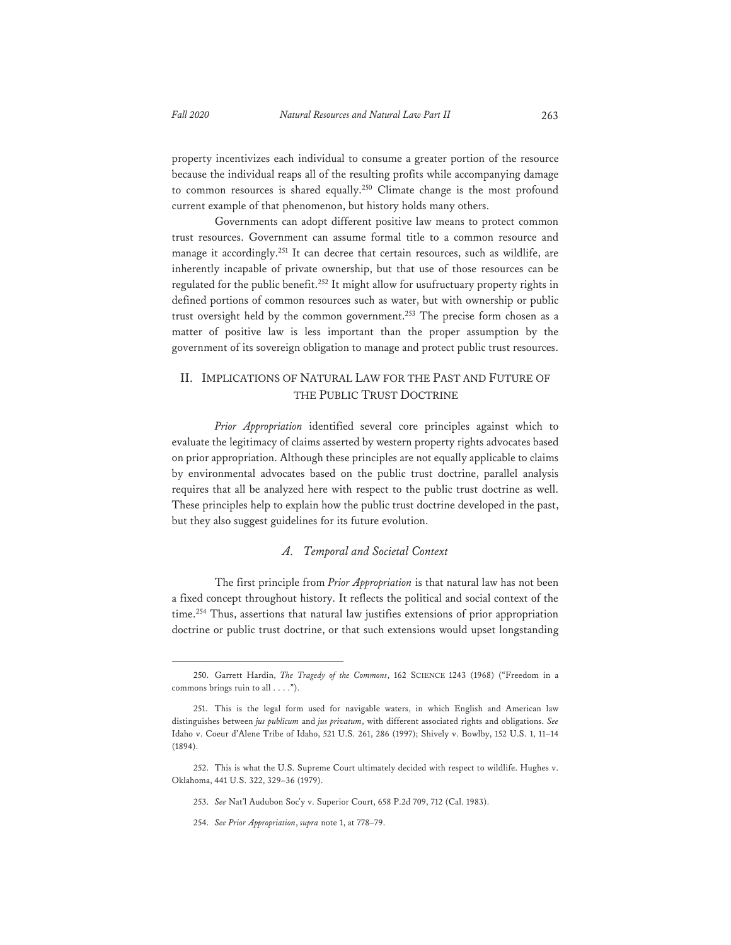property incentivizes each individual to consume a greater portion of the resource because the individual reaps all of the resulting profits while accompanying damage to common resources is shared equally.<sup>250</sup> Climate change is the most profound current example of that phenomenon, but history holds many others.

Governments can adopt different positive law means to protect common trust resources. Government can assume formal title to a common resource and manage it accordingly.<sup>251</sup> It can decree that certain resources, such as wildlife, are inherently incapable of private ownership, but that use of those resources can be regulated for the public benefit.252 It might allow for usufructuary property rights in defined portions of common resources such as water, but with ownership or public trust oversight held by the common government.<sup>253</sup> The precise form chosen as a matter of positive law is less important than the proper assumption by the government of its sovereign obligation to manage and protect public trust resources.

### II. IMPLICATIONS OF NATURAL LAW FOR THE PAST AND FUTURE OF THE PUBLIC TRUST DOCTRINE

*Prior Appropriation* identified several core principles against which to evaluate the legitimacy of claims asserted by western property rights advocates based on prior appropriation. Although these principles are not equally applicable to claims by environmental advocates based on the public trust doctrine, parallel analysis requires that all be analyzed here with respect to the public trust doctrine as well. These principles help to explain how the public trust doctrine developed in the past, but they also suggest guidelines for its future evolution.

#### *A. Temporal and Societal Context*

The first principle from *Prior Appropriation* is that natural law has not been a fixed concept throughout history. It reflects the political and social context of the time.<sup>254</sup> Thus, assertions that natural law justifies extensions of prior appropriation doctrine or public trust doctrine, or that such extensions would upset longstanding

<sup>250.</sup> Garrett Hardin, *The Tragedy of the Commons*, 162 SCIENCE 1243 (1968) ("Freedom in a commons brings ruin to all . . . .").

<sup>251.</sup> This is the legal form used for navigable waters, in which English and American law distinguishes between *jus publicum* and *jus privatum*, with different associated rights and obligations. *See* Idaho v. Coeur d'Alene Tribe of Idaho, 521 U.S. 261, 286 (1997); Shively v. Bowlby, 152 U.S. 1, 11–14 (1894).

<sup>252.</sup> This is what the U.S. Supreme Court ultimately decided with respect to wildlife. Hughes v. Oklahoma, 441 U.S. 322, 329–36 (1979).

<sup>253.</sup> *See* Nat'l Audubon Soc'y v. Superior Court, 658 P.2d 709, 712 (Cal. 1983).

<sup>254.</sup> *See Prior Appropriation*, *supra* note 1, at 778–79.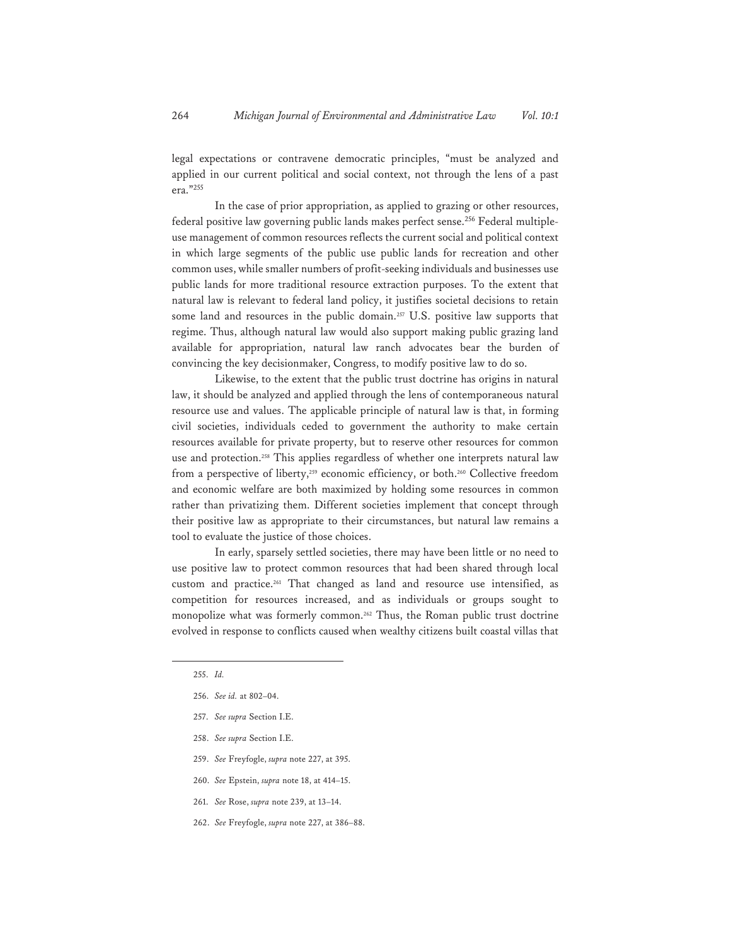legal expectations or contravene democratic principles, "must be analyzed and applied in our current political and social context, not through the lens of a past era."255

In the case of prior appropriation, as applied to grazing or other resources, federal positive law governing public lands makes perfect sense.256 Federal multipleuse management of common resources reflects the current social and political context in which large segments of the public use public lands for recreation and other common uses, while smaller numbers of profit-seeking individuals and businesses use public lands for more traditional resource extraction purposes. To the extent that natural law is relevant to federal land policy, it justifies societal decisions to retain some land and resources in the public domain.<sup>257</sup> U.S. positive law supports that regime. Thus, although natural law would also support making public grazing land available for appropriation, natural law ranch advocates bear the burden of convincing the key decisionmaker, Congress, to modify positive law to do so.

Likewise, to the extent that the public trust doctrine has origins in natural law, it should be analyzed and applied through the lens of contemporaneous natural resource use and values. The applicable principle of natural law is that, in forming civil societies, individuals ceded to government the authority to make certain resources available for private property, but to reserve other resources for common use and protection.258 This applies regardless of whether one interprets natural law from a perspective of liberty,<sup>259</sup> economic efficiency, or both.<sup>260</sup> Collective freedom and economic welfare are both maximized by holding some resources in common rather than privatizing them. Different societies implement that concept through their positive law as appropriate to their circumstances, but natural law remains a tool to evaluate the justice of those choices.

In early, sparsely settled societies, there may have been little or no need to use positive law to protect common resources that had been shared through local custom and practice.261 That changed as land and resource use intensified, as competition for resources increased, and as individuals or groups sought to monopolize what was formerly common.262 Thus, the Roman public trust doctrine evolved in response to conflicts caused when wealthy citizens built coastal villas that

- 258. *See supra* Section I.E.
- 259. *See* Freyfogle, *supra* note 227, at 395.
- 260. *See* Epstein, *supra* note 18, at 414–15.
- 261. *See* Rose, *supra* note 239, at 13–14.
- 262. *See* Freyfogle, *supra* note 227, at 386–88.

<sup>255.</sup> *Id.* 

<sup>256.</sup> *See id.* at 802–04.

<sup>257.</sup> *See supra* Section I.E.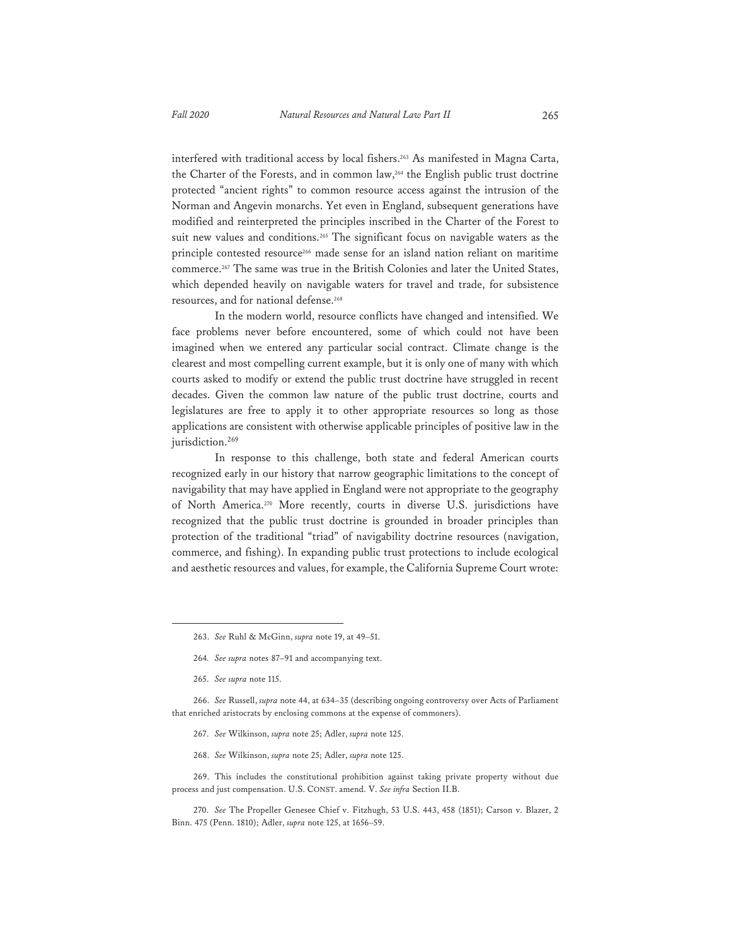interfered with traditional access by local fishers.263 As manifested in Magna Carta, the Charter of the Forests, and in common law,264 the English public trust doctrine protected "ancient rights" to common resource access against the intrusion of the Norman and Angevin monarchs. Yet even in England, subsequent generations have modified and reinterpreted the principles inscribed in the Charter of the Forest to suit new values and conditions.265 The significant focus on navigable waters as the principle contested resource266 made sense for an island nation reliant on maritime commerce.267 The same was true in the British Colonies and later the United States, which depended heavily on navigable waters for travel and trade, for subsistence resources, and for national defense.<sup>268</sup>

In the modern world, resource conflicts have changed and intensified. We face problems never before encountered, some of which could not have been imagined when we entered any particular social contract. Climate change is the clearest and most compelling current example, but it is only one of many with which courts asked to modify or extend the public trust doctrine have struggled in recent decades. Given the common law nature of the public trust doctrine, courts and legislatures are free to apply it to other appropriate resources so long as those applications are consistent with otherwise applicable principles of positive law in the jurisdiction.<sup>269</sup>

In response to this challenge, both state and federal American courts recognized early in our history that narrow geographic limitations to the concept of navigability that may have applied in England were not appropriate to the geography of North America.270 More recently, courts in diverse U.S. jurisdictions have recognized that the public trust doctrine is grounded in broader principles than protection of the traditional "triad" of navigability doctrine resources (navigation, commerce, and fishing). In expanding public trust protections to include ecological and aesthetic resources and values, for example, the California Supreme Court wrote:

- 267. *See* Wilkinson, *supra* note 25; Adler, *supra* note 125.
- 268. *See* Wilkinson, *supra* note 25; Adler, *supra* note 125.

269. This includes the constitutional prohibition against taking private property without due process and just compensation. U.S. CONST. amend. V. *See infra* Section II.B.

270. *See* The Propeller Genesee Chief v. Fitzhugh, 53 U.S. 443, 458 (1851); Carson v. Blazer, 2 Binn. 475 (Penn. 1810); Adler, *supra* note 125, at 1656–59.

<sup>263.</sup> *See* Ruhl & McGinn, *supra* note 19, at 49–51.

<sup>264</sup>*. See supra* notes 87–91 and accompanying text.

<sup>265.</sup> *See supra* note 115.

<sup>266.</sup> *See* Russell, *supra* note 44, at 634–35 (describing ongoing controversy over Acts of Parliament that enriched aristocrats by enclosing commons at the expense of commoners).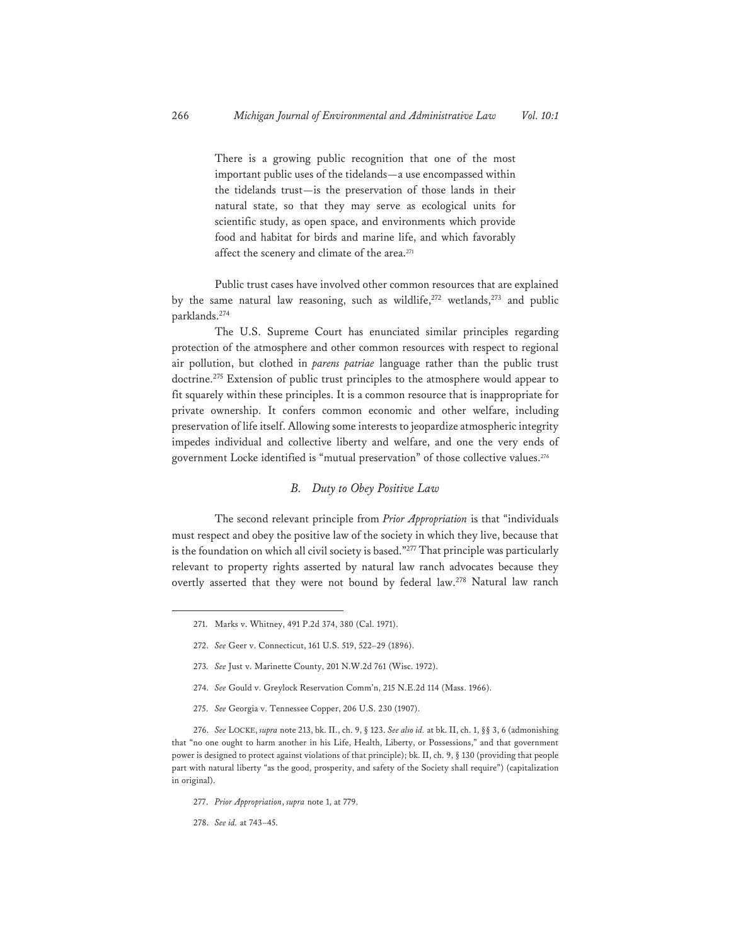There is a growing public recognition that one of the most important public uses of the tidelands—a use encompassed within the tidelands trust—is the preservation of those lands in their natural state, so that they may serve as ecological units for scientific study, as open space, and environments which provide food and habitat for birds and marine life, and which favorably affect the scenery and climate of the area.271

Public trust cases have involved other common resources that are explained by the same natural law reasoning, such as wildlife,<sup>272</sup> wetlands,<sup>273</sup> and public parklands.274

The U.S. Supreme Court has enunciated similar principles regarding protection of the atmosphere and other common resources with respect to regional air pollution, but clothed in *parens patriae* language rather than the public trust doctrine.275 Extension of public trust principles to the atmosphere would appear to fit squarely within these principles. It is a common resource that is inappropriate for private ownership. It confers common economic and other welfare, including preservation of life itself. Allowing some interests to jeopardize atmospheric integrity impedes individual and collective liberty and welfare, and one the very ends of government Locke identified is "mutual preservation" of those collective values.276

#### *B. Duty to Obey Positive Law*

The second relevant principle from *Prior Appropriation* is that "individuals must respect and obey the positive law of the society in which they live, because that is the foundation on which all civil society is based."277 That principle was particularly relevant to property rights asserted by natural law ranch advocates because they overtly asserted that they were not bound by federal law.<sup>278</sup> Natural law ranch

- 273*. See* Just v. Marinette County, 201 N.W.2d 761 (Wisc. 1972).
- 274. *See* Gould v. Greylock Reservation Comm'n, 215 N.E.2d 114 (Mass. 1966).
- 275. *See* Georgia v. Tennessee Copper, 206 U.S. 230 (1907).

276. *See* LOCKE, *supra* note 213, bk. II., ch. 9, § 123. *See also id.* at bk. II, ch. 1, §§ 3, 6 (admonishing that "no one ought to harm another in his Life, Health, Liberty, or Possessions," and that government power is designed to protect against violations of that principle); bk. II, ch. 9, § 130 (providing that people part with natural liberty "as the good, prosperity, and safety of the Society shall require") (capitalization in original).

- 277. *Prior Appropriation*, *supra* note 1, at 779.
- 278. *See id.* at 743–45.

<sup>271.</sup> Marks v. Whitney, 491 P.2d 374, 380 (Cal. 1971).

<sup>272.</sup> *See* Geer v. Connecticut, 161 U.S. 519, 522–29 (1896).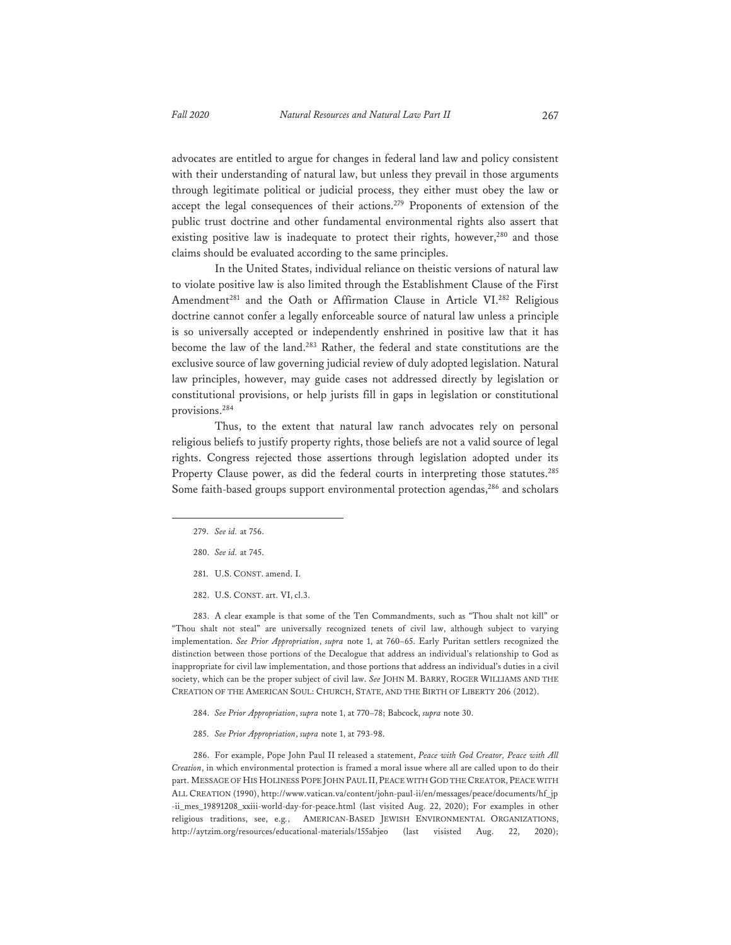advocates are entitled to argue for changes in federal land law and policy consistent with their understanding of natural law, but unless they prevail in those arguments through legitimate political or judicial process, they either must obey the law or accept the legal consequences of their actions.279 Proponents of extension of the public trust doctrine and other fundamental environmental rights also assert that existing positive law is inadequate to protect their rights, however,<sup>280</sup> and those claims should be evaluated according to the same principles.

In the United States, individual reliance on theistic versions of natural law to violate positive law is also limited through the Establishment Clause of the First Amendment<sup>281</sup> and the Oath or Affirmation Clause in Article VI.<sup>282</sup> Religious doctrine cannot confer a legally enforceable source of natural law unless a principle is so universally accepted or independently enshrined in positive law that it has become the law of the land.283 Rather, the federal and state constitutions are the exclusive source of law governing judicial review of duly adopted legislation. Natural law principles, however, may guide cases not addressed directly by legislation or constitutional provisions, or help jurists fill in gaps in legislation or constitutional provisions.284

Thus, to the extent that natural law ranch advocates rely on personal religious beliefs to justify property rights, those beliefs are not a valid source of legal rights. Congress rejected those assertions through legislation adopted under its Property Clause power, as did the federal courts in interpreting those statutes.<sup>285</sup> Some faith-based groups support environmental protection agendas,<sup>286</sup> and scholars

- 281. U.S. CONST. amend. I.
- 282. U.S. CONST. art. VI, cl.3.

283. A clear example is that some of the Ten Commandments, such as "Thou shalt not kill" or "Thou shalt not steal" are universally recognized tenets of civil law, although subject to varying implementation. *See Prior Appropriation*, *supra* note 1, at 760–65. Early Puritan settlers recognized the distinction between those portions of the Decalogue that address an individual's relationship to God as inappropriate for civil law implementation, and those portions that address an individual's duties in a civil society, which can be the proper subject of civil law. *See* JOHN M. BARRY, ROGER WILLIAMS AND THE CREATION OF THE AMERICAN SOUL: CHURCH, STATE, AND THE BIRTH OF LIBERTY 206 (2012).

- 284. *See Prior Appropriation*, *supra* note 1, at 770–78; Babcock, *supra* note 30.
- 285. *See Prior Appropriation*, *supra* note 1, at 793-98.

286. For example, Pope John Paul II released a statement, *Peace with God Creator, Peace with All Creation*, in which environmental protection is framed a moral issue where all are called upon to do their part. MESSAGE OF HIS HOLINESS POPE JOHN PAUL II, PEACE WITH GOD THE CREATOR, PEACE WITH ALL CREATION (1990), http://www.vatican.va/content/john-paul-ii/en/messages/peace/documents/hf\_jp -ii\_mes\_19891208\_xxiii-world-day-for-peace.html (last visited Aug. 22, 2020); For examples in other religious traditions, see, e.g*.*, AMERICAN-BASED JEWISH ENVIRONMENTAL ORGANIZATIONS, http://aytzim.org/resources/educational-materials/155abjeo (last visisted Aug. 22, 2020);

<sup>279.</sup> *See id.* at 756.

<sup>280.</sup> *See id.* at 745.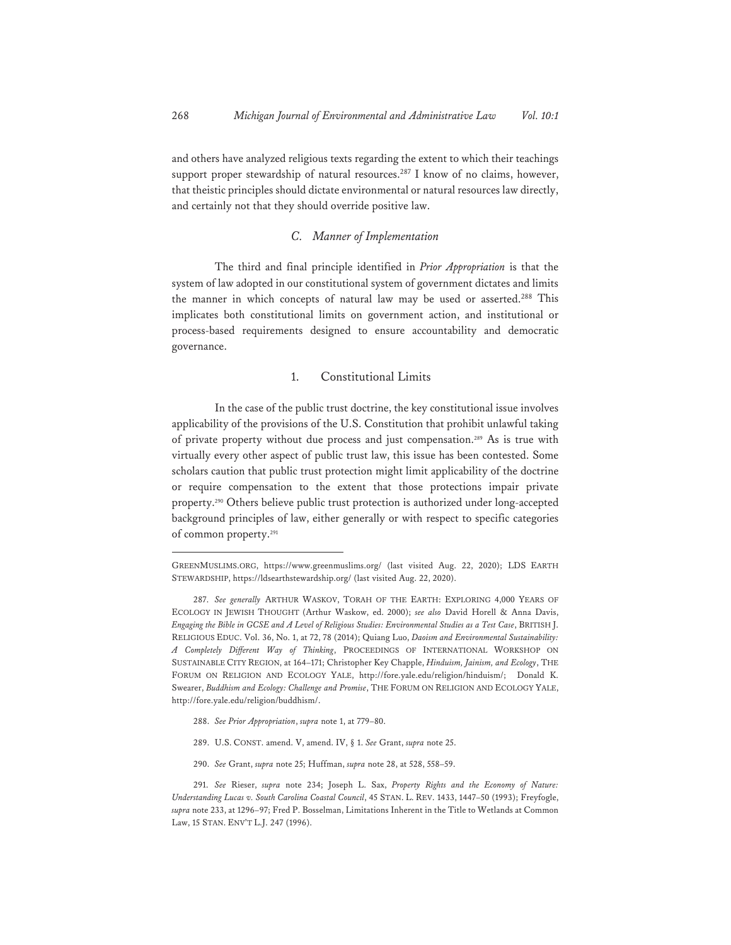and others have analyzed religious texts regarding the extent to which their teachings support proper stewardship of natural resources.<sup>287</sup> I know of no claims, however, that theistic principles should dictate environmental or natural resources law directly, and certainly not that they should override positive law.

#### *C. Manner of Implementation*

The third and final principle identified in *Prior Appropriation* is that the system of law adopted in our constitutional system of government dictates and limits the manner in which concepts of natural law may be used or asserted.<sup>288</sup> This implicates both constitutional limits on government action, and institutional or process-based requirements designed to ensure accountability and democratic governance.

#### 1. Constitutional Limits

In the case of the public trust doctrine, the key constitutional issue involves applicability of the provisions of the U.S. Constitution that prohibit unlawful taking of private property without due process and just compensation.289 As is true with virtually every other aspect of public trust law, this issue has been contested. Some scholars caution that public trust protection might limit applicability of the doctrine or require compensation to the extent that those protections impair private property.290 Others believe public trust protection is authorized under long-accepted background principles of law, either generally or with respect to specific categories of common property.291

- 288. *See Prior Appropriation*, *supra* note 1, at 779–80.
- 289. U.S. CONST. amend. V, amend. IV, § 1. *See* Grant, *supra* note 25.
- 290. *See* Grant, *supra* note 25; Huffman, *supra* note 28, at 528, 558–59.

GREENMUSLIMS.ORG, https://www.greenmuslims.org/ (last visited Aug. 22, 2020); LDS EARTH STEWARDSHIP, https://ldsearthstewardship.org/ (last visited Aug. 22, 2020).

<sup>287.</sup> *See generally* ARTHUR WASKOV, TORAH OF THE EARTH: EXPLORING 4,000 YEARS OF ECOLOGY IN JEWISH THOUGHT (Arthur Waskow, ed. 2000); *see also* David Horell & Anna Davis, *Engaging the Bible in GCSE and A Level of Religious Studies: Environmental Studies as a Test Case*, BRITISH J. RELIGIOUS EDUC. Vol. 36, No. 1, at 72, 78 (2014); Quiang Luo, *Daoism and Environmental Sustainability: A Completely Different Way of Thinking*, PROCEEDINGS OF INTERNATIONAL WORKSHOP ON SUSTAINABLE CITY REGION, at 164–171; Christopher Key Chapple, *Hinduism, Jainism, and Ecology*, THE FORUM ON RELIGION AND ECOLOGY YALE, http://fore.yale.edu/religion/hinduism/; Donald K. Swearer, *Buddhism and Ecology: Challenge and Promise*, THE FORUM ON RELIGION AND ECOLOGY YALE, http://fore.yale.edu/religion/buddhism/.

<sup>291.</sup> *See* Rieser, *supra* note 234; Joseph L. Sax, *Property Rights and the Economy of Nature: Understanding Lucas v. South Carolina Coastal Council*, 45 STAN. L. REV. 1433, 1447–50 (1993); Freyfogle, *supra* note 233, at 1296–97; Fred P. Bosselman, Limitations Inherent in the Title to Wetlands at Common Law, 15 STAN. ENV'T L.J. 247 (1996).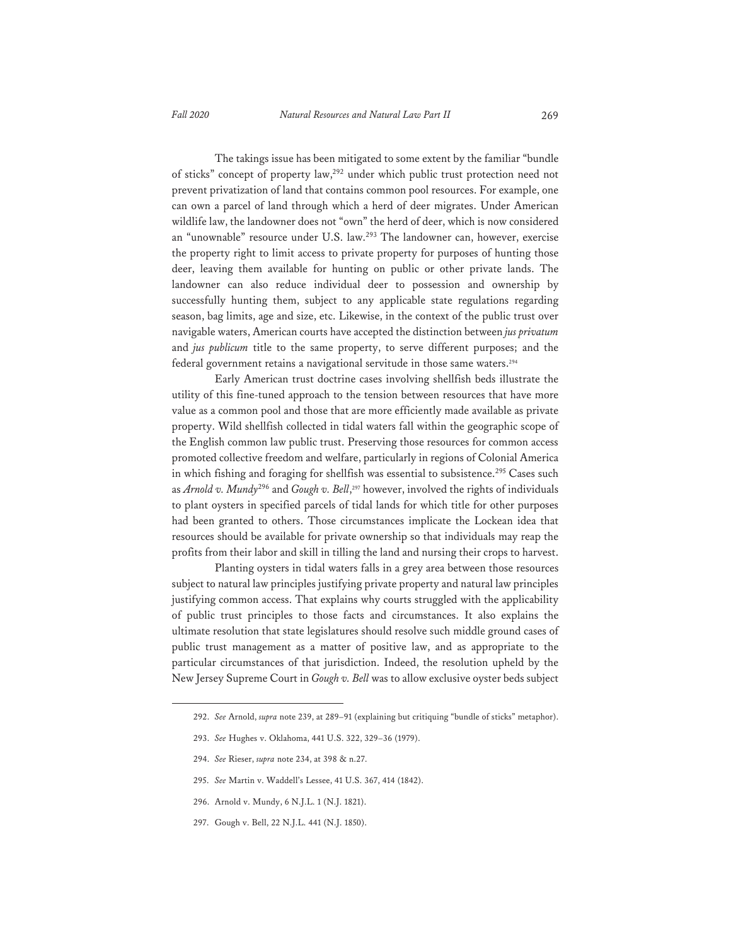The takings issue has been mitigated to some extent by the familiar "bundle of sticks" concept of property law,292 under which public trust protection need not prevent privatization of land that contains common pool resources. For example, one can own a parcel of land through which a herd of deer migrates. Under American wildlife law, the landowner does not "own" the herd of deer, which is now considered an "unownable" resource under U.S. law.293 The landowner can, however, exercise the property right to limit access to private property for purposes of hunting those deer, leaving them available for hunting on public or other private lands. The landowner can also reduce individual deer to possession and ownership by successfully hunting them, subject to any applicable state regulations regarding season, bag limits, age and size, etc. Likewise, in the context of the public trust over navigable waters, American courts have accepted the distinction between *jus privatum* and *jus publicum* title to the same property, to serve different purposes; and the federal government retains a navigational servitude in those same waters.<sup>294</sup>

Early American trust doctrine cases involving shellfish beds illustrate the utility of this fine-tuned approach to the tension between resources that have more value as a common pool and those that are more efficiently made available as private property. Wild shellfish collected in tidal waters fall within the geographic scope of the English common law public trust. Preserving those resources for common access promoted collective freedom and welfare, particularly in regions of Colonial America in which fishing and foraging for shellfish was essential to subsistence.<sup>295</sup> Cases such as *Arnold v. Mundy*296 and *Gough v. Bell*, 297 however, involved the rights of individuals to plant oysters in specified parcels of tidal lands for which title for other purposes had been granted to others. Those circumstances implicate the Lockean idea that resources should be available for private ownership so that individuals may reap the profits from their labor and skill in tilling the land and nursing their crops to harvest.

Planting oysters in tidal waters falls in a grey area between those resources subject to natural law principles justifying private property and natural law principles justifying common access. That explains why courts struggled with the applicability of public trust principles to those facts and circumstances. It also explains the ultimate resolution that state legislatures should resolve such middle ground cases of public trust management as a matter of positive law, and as appropriate to the particular circumstances of that jurisdiction. Indeed, the resolution upheld by the New Jersey Supreme Court in *Gough v. Bell* was to allow exclusive oyster beds subject

- 295. *See* Martin v. Waddell's Lessee, 41 U.S. 367, 414 (1842).
- 296. Arnold v. Mundy, 6 N.J.L. 1 (N.J. 1821).
- 297. Gough v. Bell, 22 N.J.L. 441 (N.J. 1850).

<sup>292.</sup> *See* Arnold, *supra* note 239, at 289–91 (explaining but critiquing "bundle of sticks" metaphor).

<sup>293.</sup> *See* Hughes v. Oklahoma, 441 U.S. 322, 329–36 (1979).

<sup>294.</sup> *See* Rieser, *supra* note 234, at 398 & n.27.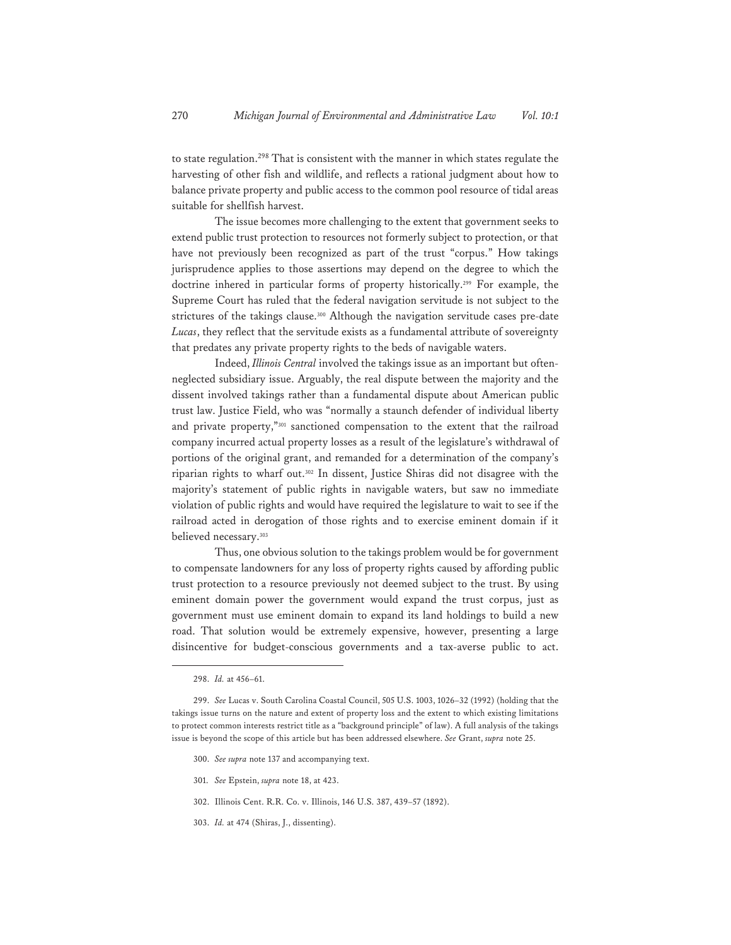to state regulation.298 That is consistent with the manner in which states regulate the harvesting of other fish and wildlife, and reflects a rational judgment about how to balance private property and public access to the common pool resource of tidal areas suitable for shellfish harvest.

The issue becomes more challenging to the extent that government seeks to extend public trust protection to resources not formerly subject to protection, or that have not previously been recognized as part of the trust "corpus." How takings jurisprudence applies to those assertions may depend on the degree to which the doctrine inhered in particular forms of property historically.299 For example, the Supreme Court has ruled that the federal navigation servitude is not subject to the strictures of the takings clause.<sup>300</sup> Although the navigation servitude cases pre-date *Lucas*, they reflect that the servitude exists as a fundamental attribute of sovereignty that predates any private property rights to the beds of navigable waters.

Indeed, *Illinois Central* involved the takings issue as an important but oftenneglected subsidiary issue. Arguably, the real dispute between the majority and the dissent involved takings rather than a fundamental dispute about American public trust law. Justice Field, who was "normally a staunch defender of individual liberty and private property,"301 sanctioned compensation to the extent that the railroad company incurred actual property losses as a result of the legislature's withdrawal of portions of the original grant, and remanded for a determination of the company's riparian rights to wharf out.302 In dissent, Justice Shiras did not disagree with the majority's statement of public rights in navigable waters, but saw no immediate violation of public rights and would have required the legislature to wait to see if the railroad acted in derogation of those rights and to exercise eminent domain if it believed necessary.<sup>303</sup>

Thus, one obvious solution to the takings problem would be for government to compensate landowners for any loss of property rights caused by affording public trust protection to a resource previously not deemed subject to the trust. By using eminent domain power the government would expand the trust corpus, just as government must use eminent domain to expand its land holdings to build a new road. That solution would be extremely expensive, however, presenting a large disincentive for budget-conscious governments and a tax-averse public to act.

- 300. *See supra* note 137 and accompanying text.
- 301. *See* Epstein, *supra* note 18, at 423.
- 302. Illinois Cent. R.R. Co. v. Illinois, 146 U.S. 387, 439–57 (1892).
- 303. *Id.* at 474 (Shiras, J., dissenting).

<sup>298.</sup> *Id.* at 456–61.

<sup>299.</sup> *See* Lucas v. South Carolina Coastal Council, 505 U.S. 1003, 1026–32 (1992) (holding that the takings issue turns on the nature and extent of property loss and the extent to which existing limitations to protect common interests restrict title as a "background principle" of law). A full analysis of the takings issue is beyond the scope of this article but has been addressed elsewhere. *See* Grant, *supra* note 25.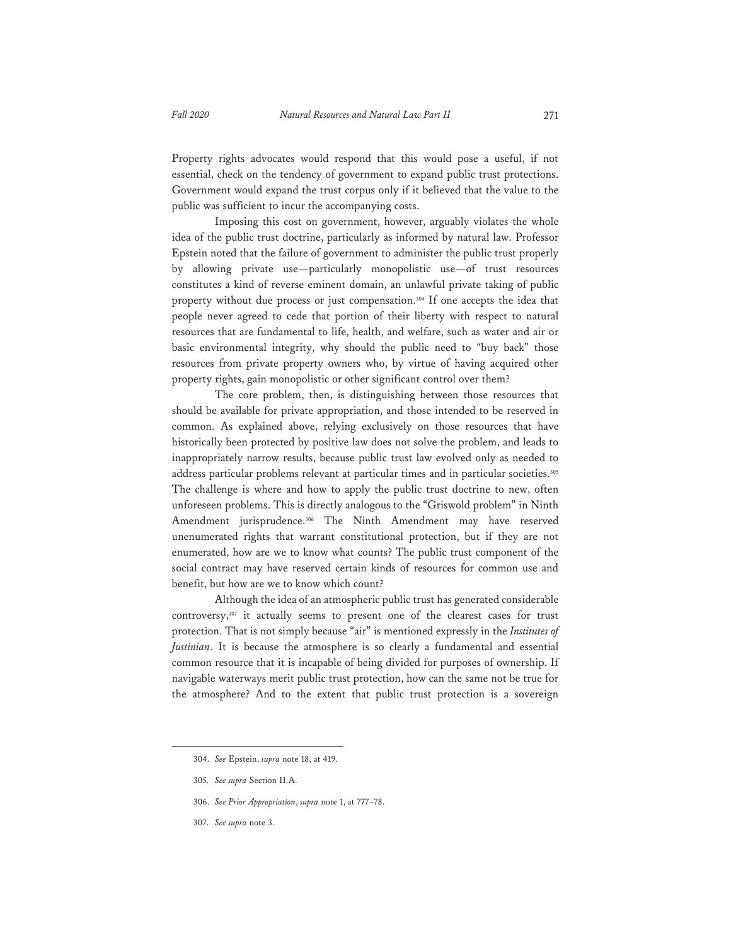Property rights advocates would respond that this would pose a useful, if not essential, check on the tendency of government to expand public trust protections. Government would expand the trust corpus only if it believed that the value to the public was sufficient to incur the accompanying costs.

Imposing this cost on government, however, arguably violates the whole idea of the public trust doctrine, particularly as informed by natural law. Professor Epstein noted that the failure of government to administer the public trust properly by allowing private use—particularly monopolistic use—of trust resources constitutes a kind of reverse eminent domain, an unlawful private taking of public property without due process or just compensation.<sup>304</sup> If one accepts the idea that people never agreed to cede that portion of their liberty with respect to natural resources that are fundamental to life, health, and welfare, such as water and air or basic environmental integrity, why should the public need to "buy back" those resources from private property owners who, by virtue of having acquired other property rights, gain monopolistic or other significant control over them?

The core problem, then, is distinguishing between those resources that should be available for private appropriation, and those intended to be reserved in common. As explained above, relying exclusively on those resources that have historically been protected by positive law does not solve the problem, and leads to inappropriately narrow results, because public trust law evolved only as needed to address particular problems relevant at particular times and in particular societies.<sup>305</sup> The challenge is where and how to apply the public trust doctrine to new, often unforeseen problems. This is directly analogous to the "Griswold problem" in Ninth Amendment jurisprudence.306 The Ninth Amendment may have reserved unenumerated rights that warrant constitutional protection, but if they are not enumerated, how are we to know what counts? The public trust component of the social contract may have reserved certain kinds of resources for common use and benefit, but how are we to know which count?

Although the idea of an atmospheric public trust has generated considerable controversy,307 it actually seems to present one of the clearest cases for trust protection. That is not simply because "air" is mentioned expressly in the *Institutes of Justinian*. It is because the atmosphere is so clearly a fundamental and essential common resource that it is incapable of being divided for purposes of ownership. If navigable waterways merit public trust protection, how can the same not be true for the atmosphere? And to the extent that public trust protection is a sovereign

307. *See supra* note 3.

<sup>304.</sup> *See* Epstein, *supra* note 18, at 419.

<sup>305.</sup> *See supra* Section II.A.

<sup>306.</sup> *See Prior Appropriation*, *supra* note 1, at 777–78.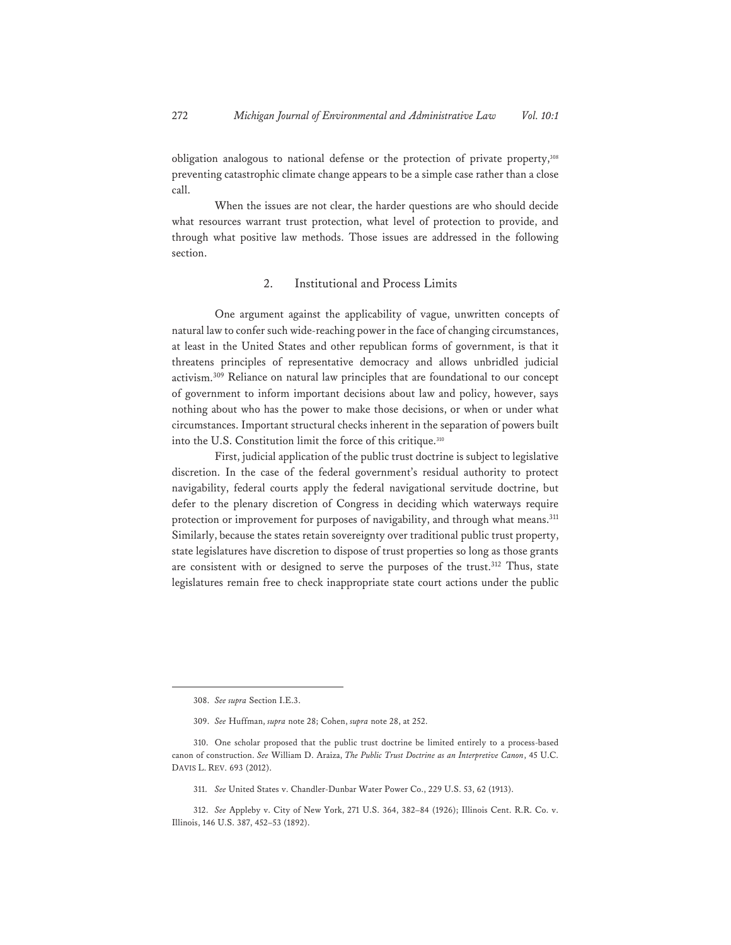obligation analogous to national defense or the protection of private property,<sup>308</sup> preventing catastrophic climate change appears to be a simple case rather than a close call.

When the issues are not clear, the harder questions are who should decide what resources warrant trust protection, what level of protection to provide, and through what positive law methods. Those issues are addressed in the following section.

#### 2. Institutional and Process Limits

One argument against the applicability of vague, unwritten concepts of natural law to confer such wide-reaching power in the face of changing circumstances, at least in the United States and other republican forms of government, is that it threatens principles of representative democracy and allows unbridled judicial activism.309 Reliance on natural law principles that are foundational to our concept of government to inform important decisions about law and policy, however, says nothing about who has the power to make those decisions, or when or under what circumstances. Important structural checks inherent in the separation of powers built into the U.S. Constitution limit the force of this critique.<sup>310</sup>

First, judicial application of the public trust doctrine is subject to legislative discretion. In the case of the federal government's residual authority to protect navigability, federal courts apply the federal navigational servitude doctrine, but defer to the plenary discretion of Congress in deciding which waterways require protection or improvement for purposes of navigability, and through what means.<sup>311</sup> Similarly, because the states retain sovereignty over traditional public trust property, state legislatures have discretion to dispose of trust properties so long as those grants are consistent with or designed to serve the purposes of the trust.<sup>312</sup> Thus, state legislatures remain free to check inappropriate state court actions under the public

<sup>308.</sup> *See supra* Section I.E.3.

<sup>309.</sup> *See* Huffman, *supra* note 28; Cohen, *supra* note 28, at 252.

<sup>310.</sup> One scholar proposed that the public trust doctrine be limited entirely to a process-based canon of construction. *See* William D. Araiza, *The Public Trust Doctrine as an Interpretive Canon*, 45 U.C. DAVIS L. REV. 693 (2012).

<sup>311.</sup> *See* United States v. Chandler-Dunbar Water Power Co., 229 U.S. 53, 62 (1913).

<sup>312.</sup> *See* Appleby v. City of New York, 271 U.S. 364, 382–84 (1926); Illinois Cent. R.R. Co. v. Illinois, 146 U.S. 387, 452–53 (1892).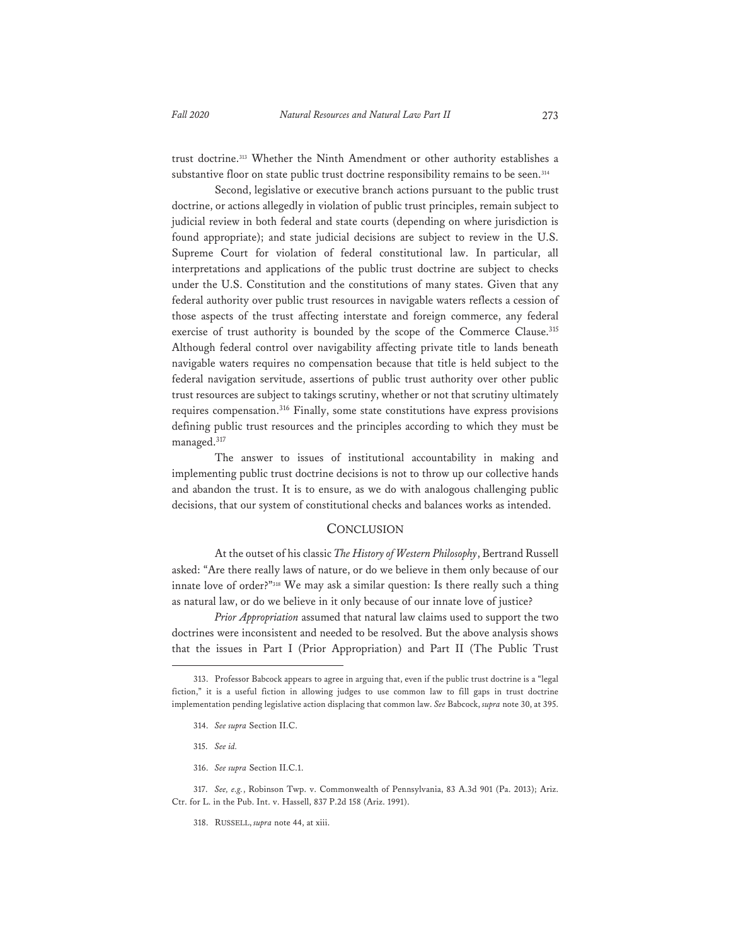trust doctrine.313 Whether the Ninth Amendment or other authority establishes a substantive floor on state public trust doctrine responsibility remains to be seen.<sup>314</sup>

Second, legislative or executive branch actions pursuant to the public trust doctrine, or actions allegedly in violation of public trust principles, remain subject to judicial review in both federal and state courts (depending on where jurisdiction is found appropriate); and state judicial decisions are subject to review in the U.S. Supreme Court for violation of federal constitutional law. In particular, all interpretations and applications of the public trust doctrine are subject to checks under the U.S. Constitution and the constitutions of many states. Given that any federal authority over public trust resources in navigable waters reflects a cession of those aspects of the trust affecting interstate and foreign commerce, any federal exercise of trust authority is bounded by the scope of the Commerce Clause.<sup>315</sup> Although federal control over navigability affecting private title to lands beneath navigable waters requires no compensation because that title is held subject to the federal navigation servitude, assertions of public trust authority over other public trust resources are subject to takings scrutiny, whether or not that scrutiny ultimately requires compensation.<sup>316</sup> Finally, some state constitutions have express provisions defining public trust resources and the principles according to which they must be managed.<sup>317</sup>

The answer to issues of institutional accountability in making and implementing public trust doctrine decisions is not to throw up our collective hands and abandon the trust. It is to ensure, as we do with analogous challenging public decisions, that our system of constitutional checks and balances works as intended.

#### **CONCLUSION**

At the outset of his classic *The History of Western Philosophy*, Bertrand Russell asked: "Are there really laws of nature, or do we believe in them only because of our innate love of order?"318 We may ask a similar question: Is there really such a thing as natural law, or do we believe in it only because of our innate love of justice?

*Prior Appropriation* assumed that natural law claims used to support the two doctrines were inconsistent and needed to be resolved. But the above analysis shows that the issues in Part I (Prior Appropriation) and Part II (The Public Trust

- 315. *See id.*
- 316. *See supra* Section II.C.1.

318. RUSSELL, *supra* note 44, at xiii.

<sup>313.</sup> Professor Babcock appears to agree in arguing that, even if the public trust doctrine is a "legal fiction," it is a useful fiction in allowing judges to use common law to fill gaps in trust doctrine implementation pending legislative action displacing that common law. *See* Babcock, *supra* note 30, at 395.

<sup>314.</sup> *See supra* Section II.C.

<sup>317.</sup> *See, e.g.*, Robinson Twp. v. Commonwealth of Pennsylvania, 83 A.3d 901 (Pa. 2013); Ariz. Ctr. for L. in the Pub. Int. v. Hassell, 837 P.2d 158 (Ariz. 1991).